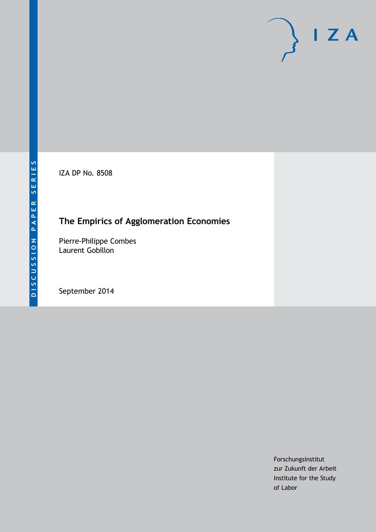IZA DP No. 8508

## **The Empirics of Agglomeration Economies**

Pierre-Philippe Combes Laurent Gobillon

September 2014

Forschungsinstitut zur Zukunft der Arbeit Institute for the Study of Labor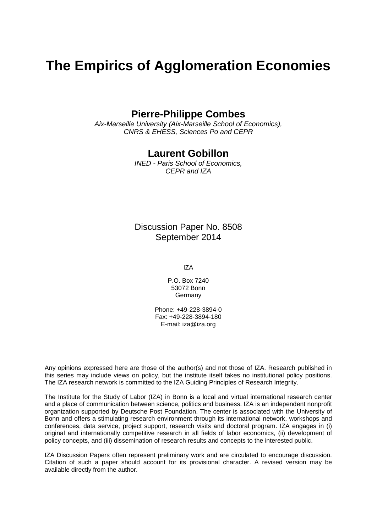# **The Empirics of Agglomeration Economies**

## **Pierre-Philippe Combes**

*Aix-Marseille University (Aix-Marseille School of Economics), CNRS & EHESS, Sciences Po and CEPR*

### **Laurent Gobillon**

*INED - Paris School of Economics, CEPR and IZA*

## Discussion Paper No. 8508 September 2014

IZA

P.O. Box 7240 53072 Bonn **Germany** 

Phone: +49-228-3894-0 Fax: +49-228-3894-180 E-mail: [iza@iza.org](mailto:iza@iza.org)

Any opinions expressed here are those of the author(s) and not those of IZA. Research published in this series may include views on policy, but the institute itself takes no institutional policy positions. The IZA research network is committed to the IZA Guiding Principles of Research Integrity.

The Institute for the Study of Labor (IZA) in Bonn is a local and virtual international research center and a place of communication between science, politics and business. IZA is an independent nonprofit organization supported by Deutsche Post Foundation. The center is associated with the University of Bonn and offers a stimulating research environment through its international network, workshops and conferences, data service, project support, research visits and doctoral program. IZA engages in (i) original and internationally competitive research in all fields of labor economics, (ii) development of policy concepts, and (iii) dissemination of research results and concepts to the interested public.

IZA Discussion Papers often represent preliminary work and are circulated to encourage discussion. Citation of such a paper should account for its provisional character. A revised version may be available directly from the author.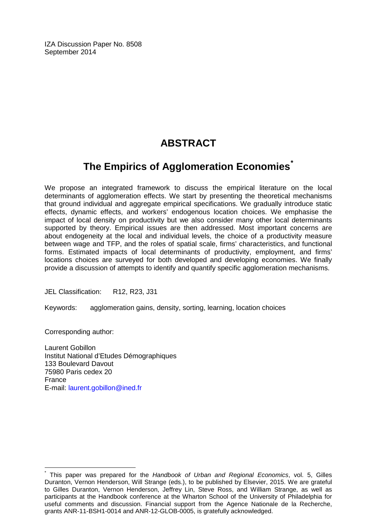IZA Discussion Paper No. 8508 September 2014

## **ABSTRACT**

## **The Empirics of Agglomeration Economies[\\*](#page-2-0)**

We propose an integrated framework to discuss the empirical literature on the local determinants of agglomeration effects. We start by presenting the theoretical mechanisms that ground individual and aggregate empirical specifications. We gradually introduce static effects, dynamic effects, and workers' endogenous location choices. We emphasise the impact of local density on productivity but we also consider many other local determinants supported by theory. Empirical issues are then addressed. Most important concerns are about endogeneity at the local and individual levels, the choice of a productivity measure between wage and TFP, and the roles of spatial scale, firms' characteristics, and functional forms. Estimated impacts of local determinants of productivity, employment, and firms' locations choices are surveyed for both developed and developing economies. We finally provide a discussion of attempts to identify and quantify specific agglomeration mechanisms.

JEL Classification: R12, R23, J31

Keywords: agglomeration gains, density, sorting, learning, location choices

Corresponding author:

Laurent Gobillon Institut National d'Etudes Démographiques 133 Boulevard Davout 75980 Paris cedex 20 France E-mail: [laurent.gobillon@ined.fr](mailto:laurent.gobillon@ined.fr)

<span id="page-2-0"></span>\* This paper was prepared for the *Handbook of Urban and Regional Economics*, vol. 5, Gilles Duranton, Vernon Henderson, Will Strange (eds.), to be published by Elsevier, 2015. We are grateful to Gilles Duranton, Vernon Henderson, Jeffrey Lin, Steve Ross, and William Strange, as well as participants at the Handbook conference at the Wharton School of the University of Philadelphia for useful comments and discussion. Financial support from the Agence Nationale de la Recherche, grants ANR-11-BSH1-0014 and ANR-12-GLOB-0005, is gratefully acknowledged.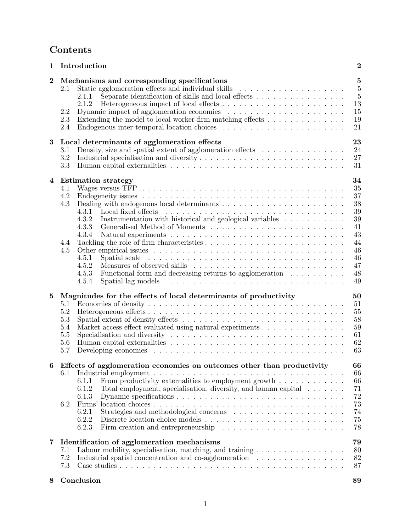## Contents

| $\mathbf{1}$ | Introduction                                                                                                                                                                                                                                                                                                                                                                                        | $\boldsymbol{2}$                                                                 |
|--------------|-----------------------------------------------------------------------------------------------------------------------------------------------------------------------------------------------------------------------------------------------------------------------------------------------------------------------------------------------------------------------------------------------------|----------------------------------------------------------------------------------|
| $\bf{2}$     | Mechanisms and corresponding specifications<br>2.1<br>Separate identification of skills and local effects<br>2.1.1<br>2.1.2<br>2.2<br>Extending the model to local worker-firm matching effects<br>2.3<br>2.4                                                                                                                                                                                       | $\bf{5}$<br>$\bf 5$<br>$\overline{5}$<br>13<br>15<br>19<br>21                    |
| 3            | Local determinants of agglomeration effects<br>Density, size and spatial extent of agglomeration effects $\ldots \ldots \ldots \ldots \ldots$<br>$3.1\,$<br>3.2<br>3.3                                                                                                                                                                                                                              | 23<br>24<br>27<br>31                                                             |
| 4            | <b>Estimation strategy</b><br>4.1<br>4.2<br>4.3<br>4.3.1<br>4.3.2<br>Instrumentation with historical and geological variables $\hfill\ldots\ldots\ldots\ldots\ldots$<br>4.3.3<br>4.3.4<br>4.4<br>4.5<br>Spatial scale $\ldots \ldots \ldots \ldots \ldots \ldots \ldots \ldots \ldots \ldots \ldots$<br>4.5.1<br>4.5.2<br>Functional form and decreasing returns to agglomeration<br>4.5.3<br>4.5.4 | 34<br>35<br>37<br>38<br>39<br>39<br>41<br>43<br>44<br>46<br>46<br>47<br>48<br>49 |
| 5            | Magnitudes for the effects of local determinants of productivity<br>5.1<br>5.2<br>5.3<br>Market access effect evaluated using natural experiments<br>5.4<br>Specialisation and diversity $\dots \dots \dots \dots \dots \dots \dots \dots \dots \dots \dots$<br>5.5<br>5.6<br>5.7<br>Developing economies $\ldots \ldots \ldots \ldots \ldots \ldots \ldots \ldots \ldots \ldots \ldots \ldots$     | 50<br>51<br>$55\,$<br>58<br>59<br>61<br>62<br>63                                 |
| $\bf{6}$     | Effects of agglomeration economies on outcomes other than productivity<br>6.1<br>From productivity externalities to employment growth $\dots \dots \dots \dots$<br>6.1.1<br>6.1.2<br>Total employment, specialisation, diversity, and human capital<br>6.1.3<br>6.2<br>6.2.1<br>6.2.2<br>6.2.3                                                                                                      | 66<br>66<br>66<br>71<br>72<br>73<br>74<br>75<br>78                               |
| 7            | Identification of agglomeration mechanisms<br>Labour mobility, specialisation, matching, and training $\ldots \ldots \ldots \ldots \ldots$<br>7.1<br>7.2<br>Industrial spatial concentration and co-agglomeration<br>7.3                                                                                                                                                                            | 79<br>80<br>$82\,$<br>87                                                         |
| 8            | Conclusion                                                                                                                                                                                                                                                                                                                                                                                          | 89                                                                               |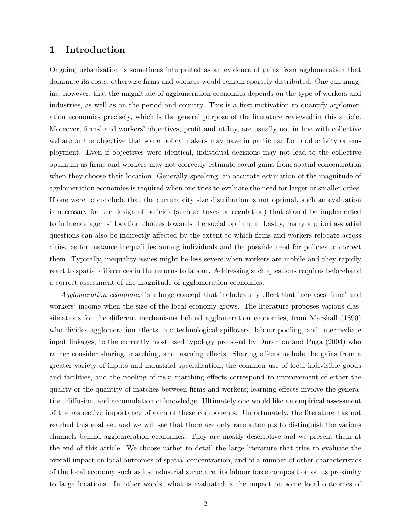#### 1 Introduction

Ongoing urbanisation is sometimes interpreted as an evidence of gains from agglomeration that dominate its costs, otherwise firms and workers would remain sparsely distributed. One can imagine, however, that the magnitude of agglomeration economies depends on the type of workers and industries, as well as on the period and country. This is a first motivation to quantify agglomeration economies precisely, which is the general purpose of the literature reviewed in this article. Moreover, firms' and workers' objectives, profit and utility, are usually not in line with collective welfare or the objective that some policy makers may have in particular for productivity or employment. Even if objectives were identical, individual decisions may not lead to the collective optimum as firms and workers may not correctly estimate social gains from spatial concentration when they choose their location. Generally speaking, an accurate estimation of the magnitude of agglomeration economies is required when one tries to evaluate the need for larger or smaller cities. If one were to conclude that the current city size distribution is not optimal, such an evaluation is necessary for the design of policies (such as taxes or regulation) that should be implemented to influence agents' location choices towards the social optimum. Lastly, many a priori a-spatial questions can also be indirectly affected by the extent to which firms and workers relocate across cities, as for instance inequalities among individuals and the possible need for policies to correct them. Typically, inequality issues might be less severe when workers are mobile and they rapidly react to spatial differences in the returns to labour. Addressing such questions requires beforehand a correct assessment of the magnitude of agglomeration economies.

Agglomeration economies is a large concept that includes any effect that increases firms' and workers' income when the size of the local economy grows. The literature proposes various classifications for the different mechanisms behind agglomeration economies, from Marshall (1890) who divides agglomeration effects into technological spillovers, labour pooling, and intermediate input linkages, to the currently most used typology proposed by Duranton and Puga (2004) who rather consider sharing, matching, and learning effects. Sharing effects include the gains from a greater variety of inputs and industrial specialisation, the common use of local indivisible goods and facilities, and the pooling of risk; matching effects correspond to improvement of either the quality or the quantity of matches between firms and workers; learning effects involve the generation, diffusion, and accumulation of knowledge. Ultimately one would like an empirical assessment of the respective importance of each of these components. Unfortunately, the literature has not reached this goal yet and we will see that there are only rare attempts to distinguish the various channels behind agglomeration economies. They are mostly descriptive and we present them at the end of this article. We choose rather to detail the large literature that tries to evaluate the overall impact on local outcomes of spatial concentration, and of a number of other characteristics of the local economy such as its industrial structure, its labour force composition or its proximity to large locations. In other words, what is evaluated is the impact on some local outcomes of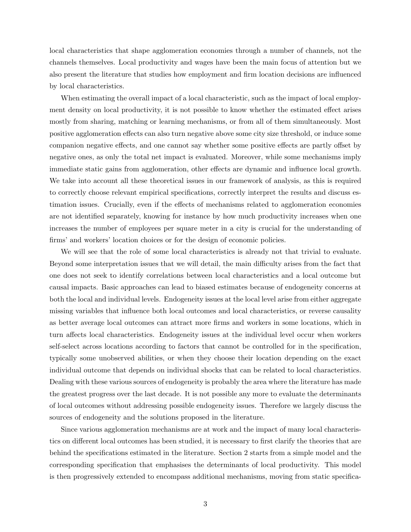local characteristics that shape agglomeration economies through a number of channels, not the channels themselves. Local productivity and wages have been the main focus of attention but we also present the literature that studies how employment and firm location decisions are influenced by local characteristics.

When estimating the overall impact of a local characteristic, such as the impact of local employment density on local productivity, it is not possible to know whether the estimated effect arises mostly from sharing, matching or learning mechanisms, or from all of them simultaneously. Most positive agglomeration effects can also turn negative above some city size threshold, or induce some companion negative effects, and one cannot say whether some positive effects are partly offset by negative ones, as only the total net impact is evaluated. Moreover, while some mechanisms imply immediate static gains from agglomeration, other effects are dynamic and influence local growth. We take into account all these theoretical issues in our framework of analysis, as this is required to correctly choose relevant empirical specifications, correctly interpret the results and discuss estimation issues. Crucially, even if the effects of mechanisms related to agglomeration economies are not identified separately, knowing for instance by how much productivity increases when one increases the number of employees per square meter in a city is crucial for the understanding of firms' and workers' location choices or for the design of economic policies.

We will see that the role of some local characteristics is already not that trivial to evaluate. Beyond some interpretation issues that we will detail, the main difficulty arises from the fact that one does not seek to identify correlations between local characteristics and a local outcome but causal impacts. Basic approaches can lead to biased estimates because of endogeneity concerns at both the local and individual levels. Endogeneity issues at the local level arise from either aggregate missing variables that influence both local outcomes and local characteristics, or reverse causality as better average local outcomes can attract more firms and workers in some locations, which in turn affects local characteristics. Endogeneity issues at the individual level occur when workers self-select across locations according to factors that cannot be controlled for in the specification, typically some unobserved abilities, or when they choose their location depending on the exact individual outcome that depends on individual shocks that can be related to local characteristics. Dealing with these various sources of endogeneity is probably the area where the literature has made the greatest progress over the last decade. It is not possible any more to evaluate the determinants of local outcomes without addressing possible endogeneity issues. Therefore we largely discuss the sources of endogeneity and the solutions proposed in the literature.

Since various agglomeration mechanisms are at work and the impact of many local characteristics on different local outcomes has been studied, it is necessary to first clarify the theories that are behind the specifications estimated in the literature. Section 2 starts from a simple model and the corresponding specification that emphasises the determinants of local productivity. This model is then progressively extended to encompass additional mechanisms, moving from static specifica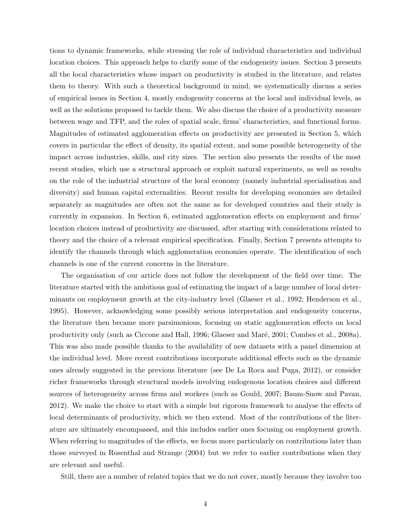tions to dynamic frameworks, while stressing the role of individual characteristics and individual location choices. This approach helps to clarify some of the endogeneity issues. Section 3 presents all the local characteristics whose impact on productivity is studied in the literature, and relates them to theory. With such a theoretical background in mind, we systematically discuss a series of empirical issues in Section 4, mostly endogeneity concerns at the local and individual levels, as well as the solutions proposed to tackle them. We also discuss the choice of a productivity measure between wage and TFP, and the roles of spatial scale, firms' characteristics, and functional forms. Magnitudes of estimated agglomeration effects on productivity are presented in Section 5, which covers in particular the effect of density, its spatial extent, and some possible heterogeneity of the impact across industries, skills, and city sizes. The section also presents the results of the most recent studies, which use a structural approach or exploit natural experiments, as well as results on the role of the industrial structure of the local economy (namely industrial specialisation and diversity) and human capital externalities. Recent results for developing economies are detailed separately as magnitudes are often not the same as for developed countries and their study is currently in expansion. In Section 6, estimated agglomeration effects on employment and firms' location choices instead of productivity are discussed, after starting with considerations related to theory and the choice of a relevant empirical specification. Finally, Section 7 presents attempts to identify the channels through which agglomeration economies operate. The identification of such channels is one of the current concerns in the literature.

The organisation of our article does not follow the development of the field over time. The literature started with the ambitious goal of estimating the impact of a large number of local determinants on employment growth at the city-industry level (Glaeser et al., 1992; Henderson et al., 1995). However, acknowledging some possibly serious interpretation and endogeneity concerns, the literature then became more parsimonious, focusing on static agglomeration effects on local productivity only (such as Ciccone and Hall, 1996; Glaeser and Maré, 2001; Combes et al., 2008a). This was also made possible thanks to the availability of new datasets with a panel dimension at the individual level. More recent contributions incorporate additional effects such as the dynamic ones already suggested in the previous literature (see De La Roca and Puga, 2012), or consider richer frameworks through structural models involving endogenous location choices and different sources of heterogeneity across firms and workers (such as Gould, 2007; Baum-Snow and Pavan, 2012). We make the choice to start with a simple but rigorous framework to analyse the effects of local determinants of productivity, which we then extend. Most of the contributions of the literature are ultimately encompassed, and this includes earlier ones focusing on employment growth. When referring to magnitudes of the effects, we focus more particularly on contributions later than those surveyed in Rosenthal and Strange (2004) but we refer to earlier contributions when they are relevant and useful.

Still, there are a number of related topics that we do not cover, mostly because they involve too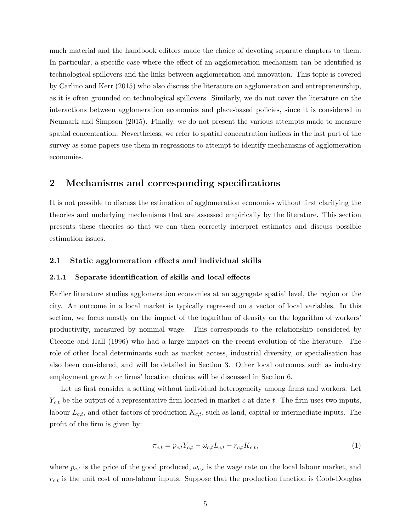much material and the handbook editors made the choice of devoting separate chapters to them. In particular, a specific case where the effect of an agglomeration mechanism can be identified is technological spillovers and the links between agglomeration and innovation. This topic is covered by Carlino and Kerr (2015) who also discuss the literature on agglomeration and entrepreneurship, as it is often grounded on technological spillovers. Similarly, we do not cover the literature on the interactions between agglomeration economies and place-based policies, since it is considered in Neumark and Simpson (2015). Finally, we do not present the various attempts made to measure spatial concentration. Nevertheless, we refer to spatial concentration indices in the last part of the survey as some papers use them in regressions to attempt to identify mechanisms of agglomeration economies.

#### 2 Mechanisms and corresponding specifications

It is not possible to discuss the estimation of agglomeration economies without first clarifying the theories and underlying mechanisms that are assessed empirically by the literature. This section presents these theories so that we can then correctly interpret estimates and discuss possible estimation issues.

#### 2.1 Static agglomeration effects and individual skills

#### 2.1.1 Separate identification of skills and local effects

Earlier literature studies agglomeration economies at an aggregate spatial level, the region or the city. An outcome in a local market is typically regressed on a vector of local variables. In this section, we focus mostly on the impact of the logarithm of density on the logarithm of workers' productivity, measured by nominal wage. This corresponds to the relationship considered by Ciccone and Hall (1996) who had a large impact on the recent evolution of the literature. The role of other local determinants such as market access, industrial diversity, or specialisation has also been considered, and will be detailed in Section 3. Other local outcomes such as industry employment growth or firms' location choices will be discussed in Section 6.

Let us first consider a setting without individual heterogeneity among firms and workers. Let  $Y_{c,t}$  be the output of a representative firm located in market c at date t. The firm uses two inputs, labour  $L_{c,t}$ , and other factors of production  $K_{c,t}$ , such as land, capital or intermediate inputs. The profit of the firm is given by:

$$
\pi_{c,t} = p_{c,t} Y_{c,t} - \omega_{c,t} L_{c,t} - r_{c,t} K_{c,t},\tag{1}
$$

where  $p_{c,t}$  is the price of the good produced,  $\omega_{c,t}$  is the wage rate on the local labour market, and  $r_{c,t}$  is the unit cost of non-labour inputs. Suppose that the production function is Cobb-Douglas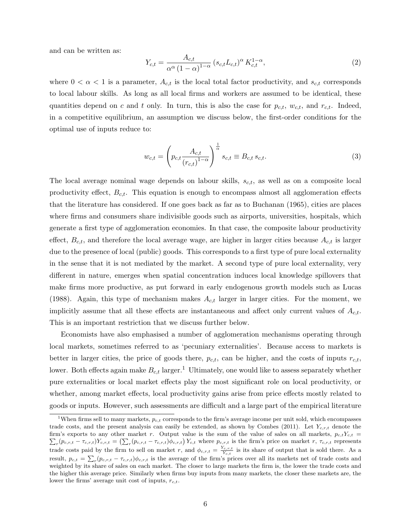and can be written as:

$$
Y_{c,t} = \frac{A_{c,t}}{\alpha^{\alpha} \left(1 - \alpha\right)^{1 - \alpha}} \left(s_{c,t} L_{c,t}\right)^{\alpha} K_{c,t}^{1 - \alpha},\tag{2}
$$

where  $0 < \alpha < 1$  is a parameter,  $A_{c,t}$  is the local total factor productivity, and  $s_{c,t}$  corresponds to local labour skills. As long as all local firms and workers are assumed to be identical, these quantities depend on c and t only. In turn, this is also the case for  $p_{c,t}$ ,  $w_{c,t}$ , and  $r_{c,t}$ . Indeed, in a competitive equilibrium, an assumption we discuss below, the first-order conditions for the optimal use of inputs reduce to:

$$
w_{c,t} = \left(p_{c,t} \frac{A_{c,t}}{(r_{c,t})^{1-\alpha}}\right)^{\frac{1}{\alpha}} s_{c,t} \equiv B_{c,t} s_{c,t}.
$$
 (3)

The local average nominal wage depends on labour skills,  $s_{c,t}$ , as well as on a composite local productivity effect,  $B_{c,t}$ . This equation is enough to encompass almost all agglomeration effects that the literature has considered. If one goes back as far as to Buchanan (1965), cities are places where firms and consumers share indivisible goods such as airports, universities, hospitals, which generate a first type of agglomeration economies. In that case, the composite labour productivity effect,  $B_{c,t}$ , and therefore the local average wage, are higher in larger cities because  $A_{c,t}$  is larger due to the presence of local (public) goods. This corresponds to a first type of pure local externality in the sense that it is not mediated by the market. A second type of pure local externality, very different in nature, emerges when spatial concentration induces local knowledge spillovers that make firms more productive, as put forward in early endogenous growth models such as Lucas (1988). Again, this type of mechanism makes  $A_{c,t}$  larger in larger cities. For the moment, we implicitly assume that all these effects are instantaneous and affect only current values of  $A_{c,t}$ . This is an important restriction that we discuss further below.

Economists have also emphasised a number of agglomeration mechanisms operating through local markets, sometimes referred to as 'pecuniary externalities'. Because access to markets is better in larger cities, the price of goods there,  $p_{c,t}$ , can be higher, and the costs of inputs  $r_{c,t}$ , lower. Both effects again make  $B_{c,t}$  larger.<sup>1</sup> Ultimately, one would like to assess separately whether pure externalities or local market effects play the most significant role on local productivity, or whether, among market effects, local productivity gains arise from price effects mostly related to goods or inputs. However, such assessments are difficult and a large part of the empirical literature

<sup>&</sup>lt;sup>1</sup>When firms sell to many markets,  $p_{c,t}$  corresponds to the firm's average income per unit sold, which encompasses trade costs, and the present analysis can easily be extended, as shown by Combes (2011). Let  $Y_{c,r,t}$  denote the firm's exports to any other market r. Output value is the sum of the value of sales on all markets,  $p_{c,t}Y_{c,t}$  = firm's exports to any other market r. Output value is the sum of the value of sales on all markets,  $p_{c,t}Y_{c,t} = \sum_{r}(p_{c,r,t} - \tau_{c,r,t})Y_{c,r,t} = (\sum_{r}(p_{c,r,t} - \tau_{c,r,t})\phi_{c,r,t}) Y_{c,t}$  where  $p_{c,r,t}$  is the firm's price on market r,  $\$ trade costs paid by the firm to sell on market r, and  $\phi_{c,r,t} = \frac{Y_{c,r,t}}{Y_{c,t}}$  is its share of output that is sold there. As a result,  $p_{c,t} = \sum_{r} (p_{c,r,t} - \tau_{c,r,t}) \phi_{c,r,t}$  is the average of the firm's prices over all its markets net of trade costs and weighted by its share of sales on each market. The closer to large markets the firm is, the lower the trade costs and the higher this average price. Similarly when firms buy inputs from many markets, the closer these markets are, the lower the firms' average unit cost of inputs,  $r_{c,t}$ .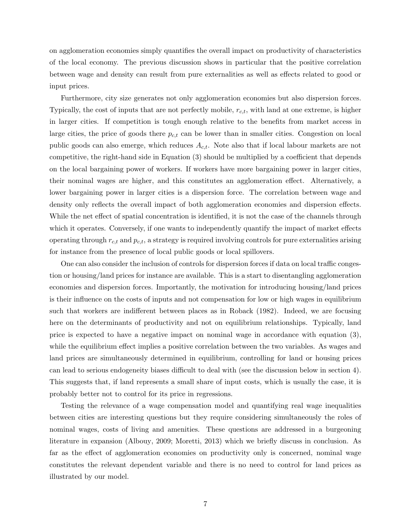on agglomeration economies simply quantifies the overall impact on productivity of characteristics of the local economy. The previous discussion shows in particular that the positive correlation between wage and density can result from pure externalities as well as effects related to good or input prices.

Furthermore, city size generates not only agglomeration economies but also dispersion forces. Typically, the cost of inputs that are not perfectly mobile,  $r_{c,t}$ , with land at one extreme, is higher in larger cities. If competition is tough enough relative to the benefits from market access in large cities, the price of goods there  $p_{c,t}$  can be lower than in smaller cities. Congestion on local public goods can also emerge, which reduces  $A_{c,t}$ . Note also that if local labour markets are not competitive, the right-hand side in Equation (3) should be multiplied by a coefficient that depends on the local bargaining power of workers. If workers have more bargaining power in larger cities, their nominal wages are higher, and this constitutes an agglomeration effect. Alternatively, a lower bargaining power in larger cities is a dispersion force. The correlation between wage and density only reflects the overall impact of both agglomeration economies and dispersion effects. While the net effect of spatial concentration is identified, it is not the case of the channels through which it operates. Conversely, if one wants to independently quantify the impact of market effects operating through  $r_{c,t}$  and  $p_{c,t}$ , a strategy is required involving controls for pure externalities arising for instance from the presence of local public goods or local spillovers.

One can also consider the inclusion of controls for dispersion forces if data on local traffic congestion or housing/land prices for instance are available. This is a start to disentangling agglomeration economies and dispersion forces. Importantly, the motivation for introducing housing/land prices is their influence on the costs of inputs and not compensation for low or high wages in equilibrium such that workers are indifferent between places as in Roback (1982). Indeed, we are focusing here on the determinants of productivity and not on equilibrium relationships. Typically, land price is expected to have a negative impact on nominal wage in accordance with equation (3), while the equilibrium effect implies a positive correlation between the two variables. As wages and land prices are simultaneously determined in equilibrium, controlling for land or housing prices can lead to serious endogeneity biases difficult to deal with (see the discussion below in section 4). This suggests that, if land represents a small share of input costs, which is usually the case, it is probably better not to control for its price in regressions.

Testing the relevance of a wage compensation model and quantifying real wage inequalities between cities are interesting questions but they require considering simultaneously the roles of nominal wages, costs of living and amenities. These questions are addressed in a burgeoning literature in expansion (Albouy, 2009; Moretti, 2013) which we briefly discuss in conclusion. As far as the effect of agglomeration economies on productivity only is concerned, nominal wage constitutes the relevant dependent variable and there is no need to control for land prices as illustrated by our model.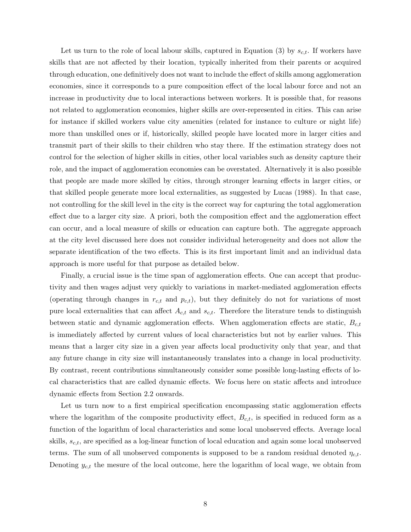Let us turn to the role of local labour skills, captured in Equation (3) by  $s_{c,t}$ . If workers have skills that are not affected by their location, typically inherited from their parents or acquired through education, one definitively does not want to include the effect of skills among agglomeration economies, since it corresponds to a pure composition effect of the local labour force and not an increase in productivity due to local interactions between workers. It is possible that, for reasons not related to agglomeration economies, higher skills are over-represented in cities. This can arise for instance if skilled workers value city amenities (related for instance to culture or night life) more than unskilled ones or if, historically, skilled people have located more in larger cities and transmit part of their skills to their children who stay there. If the estimation strategy does not control for the selection of higher skills in cities, other local variables such as density capture their role, and the impact of agglomeration economies can be overstated. Alternatively it is also possible that people are made more skilled by cities, through stronger learning effects in larger cities, or that skilled people generate more local externalities, as suggested by Lucas (1988). In that case, not controlling for the skill level in the city is the correct way for capturing the total agglomeration effect due to a larger city size. A priori, both the composition effect and the agglomeration effect can occur, and a local measure of skills or education can capture both. The aggregate approach at the city level discussed here does not consider individual heterogeneity and does not allow the separate identification of the two effects. This is its first important limit and an individual data approach is more useful for that purpose as detailed below.

Finally, a crucial issue is the time span of agglomeration effects. One can accept that productivity and then wages adjust very quickly to variations in market-mediated agglomeration effects (operating through changes in  $r_{c,t}$  and  $p_{c,t}$ ), but they definitely do not for variations of most pure local externalities that can affect  $A_{c,t}$  and  $s_{c,t}$ . Therefore the literature tends to distinguish between static and dynamic agglomeration effects. When agglomeration effects are static,  $B_{c,t}$ is immediately affected by current values of local characteristics but not by earlier values. This means that a larger city size in a given year affects local productivity only that year, and that any future change in city size will instantaneously translates into a change in local productivity. By contrast, recent contributions simultaneously consider some possible long-lasting effects of local characteristics that are called dynamic effects. We focus here on static affects and introduce dynamic effects from Section 2.2 onwards.

Let us turn now to a first empirical specification encompassing static agglomeration effects where the logarithm of the composite productivity effect,  $B_{c,t}$ , is specified in reduced form as a function of the logarithm of local characteristics and some local unobserved effects. Average local skills,  $s_{c,t}$ , are specified as a log-linear function of local education and again some local unobserved terms. The sum of all unobserved components is supposed to be a random residual denoted  $\eta_{c,t}$ . Denoting  $y_{c,t}$  the mesure of the local outcome, here the logarithm of local wage, we obtain from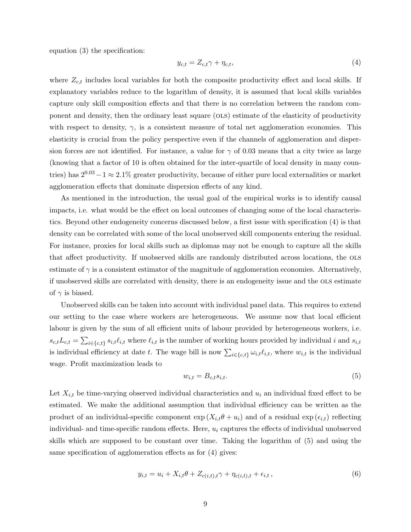equation (3) the specification:

$$
y_{c,t} = Z_{c,t}\gamma + \eta_{c,t},\tag{4}
$$

where  $Z_{c,t}$  includes local variables for both the composite productivity effect and local skills. If explanatory variables reduce to the logarithm of density, it is assumed that local skills variables capture only skill composition effects and that there is no correlation between the random component and density, then the ordinary least square (ols) estimate of the elasticity of productivity with respect to density,  $\gamma$ , is a consistent measure of total net agglomeration economies. This elasticity is crucial from the policy perspective even if the channels of agglomeration and dispersion forces are not identified. For instance, a value for  $\gamma$  of 0.03 means that a city twice as large (knowing that a factor of 10 is often obtained for the inter-quartile of local density in many countries) has  $2^{0.03} - 1 \approx 2.1\%$  greater productivity, because of either pure local externalities or market agglomeration effects that dominate dispersion effects of any kind.

As mentioned in the introduction, the usual goal of the empirical works is to identify causal impacts, i.e. what would be the effect on local outcomes of changing some of the local characteristics. Beyond other endogeneity concerns discussed below, a first issue with specification (4) is that density can be correlated with some of the local unobserved skill components entering the residual. For instance, proxies for local skills such as diplomas may not be enough to capture all the skills that affect productivity. If unobserved skills are randomly distributed across locations, the ols estimate of  $\gamma$  is a consistent estimator of the magnitude of agglomeration economies. Alternatively, if unobserved skills are correlated with density, there is an endogeneity issue and the ols estimate of  $\gamma$  is biased.

Unobserved skills can be taken into account with individual panel data. This requires to extend our setting to the case where workers are heterogeneous. We assume now that local efficient labour is given by the sum of all efficient units of labour provided by heterogeneous workers, i.e.  $s_{c,t}L_{c,t} = \sum_{i\in\{c,t\}} s_{i,t}\ell_{i,t}$  where  $\ell_{i,t}$  is the number of working hours provided by individual i and  $s_{i,t}$ is individual efficiency at date t. The wage bill is now  $\sum_{i\in\{c,t\}} \omega_{i,t} \ell_{i,t}$ , where  $w_{i,t}$  is the individual wage. Profit maximization leads to

$$
w_{i,t} = B_{c,t} s_{i,t}.\tag{5}
$$

Let  $X_{i,t}$  be time-varying observed individual characteristics and  $u_i$  an individual fixed effect to be estimated. We make the additional assumption that individual efficiency can be written as the product of an individual-specific component  $\exp(X_{i,t}\theta + u_i)$  and of a residual  $\exp(\epsilon_{i,t})$  reflecting individual- and time-specific random effects. Here,  $u_i$  captures the effects of individual unobserved skills which are supposed to be constant over time. Taking the logarithm of (5) and using the same specification of agglomeration effects as for (4) gives:

$$
y_{i,t} = u_i + X_{i,t}\theta + Z_{c(i,t),t}\gamma + \eta_{c(i,t),t} + \epsilon_{i,t},
$$
\n
$$
\tag{6}
$$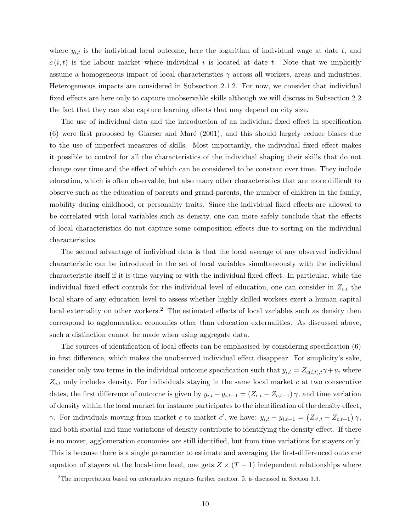where  $y_{i,t}$  is the individual local outcome, here the logarithm of individual wage at date  $t$ , and  $c(i, t)$  is the labour market where individual i is located at date t. Note that we implicitly assume a homogeneous impact of local characteristics  $\gamma$  across all workers, areas and industries. Heterogeneous impacts are considered in Subsection 2.1.2. For now, we consider that individual fixed effects are here only to capture unobservable skills although we will discuss in Subsection 2.2 the fact that they can also capture learning effects that may depend on city size.

The use of individual data and the introduction of an individual fixed effect in specification  $(6)$  were first proposed by Glaeser and Maré  $(2001)$ , and this should largely reduce biases due to the use of imperfect measures of skills. Most importantly, the individual fixed effect makes it possible to control for all the characteristics of the individual shaping their skills that do not change over time and the effect of which can be considered to be constant over time. They include education, which is often observable, but also many other characteristics that are more difficult to observe such as the education of parents and grand-parents, the number of children in the family, mobility during childhood, or personality traits. Since the individual fixed effects are allowed to be correlated with local variables such as density, one can more safely conclude that the effects of local characteristics do not capture some composition effects due to sorting on the individual characteristics.

The second advantage of individual data is that the local average of any observed individual characteristic can be introduced in the set of local variables simultaneously with the individual characteristic itself if it is time-varying or with the individual fixed effect. In particular, while the individual fixed effect controls for the individual level of education, one can consider in  $Z_{c,t}$  the local share of any education level to assess whether highly skilled workers exert a human capital local externality on other workers.<sup>2</sup> The estimated effects of local variables such as density then correspond to agglomeration economies other than education externalities. As discussed above, such a distinction cannot be made when using aggregate data.

The sources of identification of local effects can be emphasised by considering specification (6) in first difference, which makes the unobserved individual effect disappear. For simplicity's sake, consider only two terms in the individual outcome specification such that  $y_{i,t} = Z_{c(i,t),t} \gamma + u_i$  where  $Z_{c,t}$  only includes density. For individuals staying in the same local market c at two consecutive dates, the first difference of outcome is given by  $y_{i,t} - y_{i,t-1} = (Z_{c,t} - Z_{c,t-1}) \gamma$ , and time variation of density within the local market for instance participates to the identification of the density effect, γ. For individuals moving from market c to market c', we have:  $y_{i,t} - y_{i,t-1} = (Z_{c',t} - Z_{c,t-1}) \gamma$ , and both spatial and time variations of density contribute to identifying the density effect. If there is no mover, agglomeration economies are still identified, but from time variations for stayers only. This is because there is a single parameter to estimate and averaging the first-differenced outcome equation of stayers at the local-time level, one gets  $Z \times (T-1)$  independent relationships where

<sup>&</sup>lt;sup>2</sup>The interpretation based on externalities requires further caution. It is discussed in Section 3.3.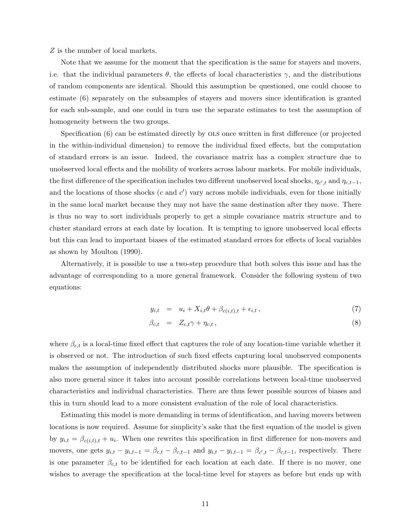Z is the number of local markets.

Note that we assume for the moment that the specification is the same for stayers and movers, i.e. that the individual parameters  $\theta$ , the effects of local characteristics  $\gamma$ , and the distributions of random components are identical. Should this assumption be questioned, one could choose to estimate (6) separately on the subsamples of stayers and movers since identification is granted for each sub-sample, and one could in turn use the separate estimates to test the assumption of homogeneity between the two groups.

Specification (6) can be estimated directly by ols once written in first difference (or projected in the within-individual dimension) to remove the individual fixed effects, but the computation of standard errors is an issue. Indeed, the covariance matrix has a complex structure due to unobserved local effects and the mobility of workers across labour markets. For mobile individuals, the first difference of the specification includes two different unobserved local shocks,  $\eta_{c',t}$  and  $\eta_{c,t-1}$ , and the locations of those shocks  $(c \text{ and } c')$  vary across mobile individuals, even for those initially in the same local market because they may not have the same destination after they move. There is thus no way to sort individuals properly to get a simple covariance matrix structure and to cluster standard errors at each date by location. It is tempting to ignore unobserved local effects but this can lead to important biases of the estimated standard errors for effects of local variables as shown by Moulton (1990).

Alternatively, it is possible to use a two-step procedure that both solves this issue and has the advantage of corresponding to a more general framework. Consider the following system of two equations:

$$
y_{i,t} = u_i + X_{i,t}\theta + \beta_{c(i,t),t} + \epsilon_{i,t}, \qquad (7)
$$

$$
\beta_{c,t} = Z_{c,t} \gamma + \eta_{c,t}, \qquad (8)
$$

where  $\beta_{c,t}$  is a local-time fixed effect that captures the role of any location-time variable whether it is observed or not. The introduction of such fixed effects capturing local unobserved components makes the assumption of independently distributed shocks more plausible. The specification is also more general since it takes into account possible correlations between local-time unobserved characteristics and individual characteristics. There are thus fewer possible sources of biases and this in turn should lead to a more consistent evaluation of the role of local characteristics.

Estimating this model is more demanding in terms of identification, and having movers between locations is now required. Assume for simplicity's sake that the first equation of the model is given by  $y_{i,t} = \beta_{c(i,t),t} + u_i$ . When one rewrites this specification in first difference for non-movers and movers, one gets  $y_{i,t} - y_{i,t-1} = \beta_{c,t} - \beta_{c,t-1}$  and  $y_{i,t} - y_{i,t-1} = \beta_{c',t} - \beta_{c,t-1}$ , respectively. There is one parameter  $\beta_{c,t}$  to be identified for each location at each date. If there is no mover, one wishes to average the specification at the local-time level for stayers as before but ends up with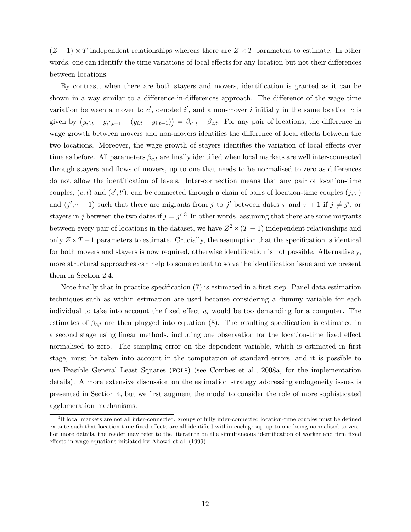$(Z-1) \times T$  independent relationships whereas there are  $Z \times T$  parameters to estimate. In other words, one can identify the time variations of local effects for any location but not their differences between locations.

By contrast, when there are both stayers and movers, identification is granted as it can be shown in a way similar to a difference-in-differences approach. The difference of the wage time variation between a mover to  $c'$ , denoted i', and a non-mover i initially in the same location c is given by  $(y_{i',t} - y_{i',t-1} - (y_{i,t} - y_{i,t-1})) = \beta_{c',t} - \beta_{c,t}$ . For any pair of locations, the difference in wage growth between movers and non-movers identifies the difference of local effects between the two locations. Moreover, the wage growth of stayers identifies the variation of local effects over time as before. All parameters  $\beta_{c,t}$  are finally identified when local markets are well inter-connected through stayers and flows of movers, up to one that needs to be normalised to zero as differences do not allow the identification of levels. Inter-connection means that any pair of location-time couples,  $(c, t)$  and  $(c', t')$ , can be connected through a chain of pairs of location-time couples  $(j, \tau)$ and  $(j', \tau + 1)$  such that there are migrants from j to j' between dates  $\tau$  and  $\tau + 1$  if  $j \neq j'$ , or stayers in j between the two dates if  $j = j'.^3$  In other words, assuming that there are some migrants between every pair of locations in the dataset, we have  $Z^2 \times (T-1)$  independent relationships and only  $Z \times T - 1$  parameters to estimate. Crucially, the assumption that the specification is identical for both movers and stayers is now required, otherwise identification is not possible. Alternatively, more structural approaches can help to some extent to solve the identification issue and we present them in Section 2.4.

Note finally that in practice specification (7) is estimated in a first step. Panel data estimation techniques such as within estimation are used because considering a dummy variable for each individual to take into account the fixed effect  $u_i$  would be too demanding for a computer. The estimates of  $\beta_{c,t}$  are then plugged into equation (8). The resulting specification is estimated in a second stage using linear methods, including one observation for the location-time fixed effect normalised to zero. The sampling error on the dependent variable, which is estimated in first stage, must be taken into account in the computation of standard errors, and it is possible to use Feasible General Least Squares (fgls) (see Combes et al., 2008a, for the implementation details). A more extensive discussion on the estimation strategy addressing endogeneity issues is presented in Section 4, but we first augment the model to consider the role of more sophisticated agglomeration mechanisms.

<sup>3</sup> If local markets are not all inter-connected, groups of fully inter-connected location-time couples must be defined ex-ante such that location-time fixed effects are all identified within each group up to one being normalised to zero. For more details, the reader may refer to the literature on the simultaneous identification of worker and firm fixed effects in wage equations initiated by Abowd et al. (1999).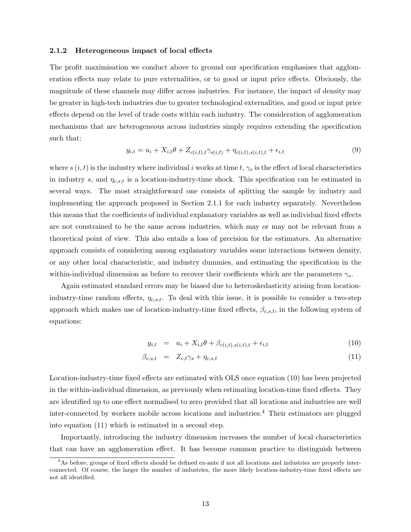#### 2.1.2 Heterogeneous impact of local effects

The profit maximisation we conduct above to ground our specification emphasises that agglomeration effects may relate to pure externalities, or to good or input price effects. Obviously, the magnitude of these channels may differ across industries. For instance, the impact of density may be greater in high-tech industries due to greater technological externalities, and good or input price effects depend on the level of trade costs within each industry. The consideration of agglomeration mechanisms that are heterogeneous across industries simply requires extending the specification such that:

$$
y_{i,t} = u_i + X_{i,t}\theta + Z_{c(i,t),t}\gamma_{s(i,t)} + \eta_{c(i,t),s(i,t),t} + \epsilon_{i,t}
$$
\n(9)

where  $s(i, t)$  is the industry where individual i works at time t,  $\gamma_s$  is the effect of local characteristics in industry s, and  $\eta_{c,s,t}$  is a location-industry-time shock. This specification can be estimated in several ways. The most straightforward one consists of splitting the sample by industry and implementing the approach proposed in Section 2.1.1 for each industry separately. Nevertheless this means that the coefficients of individual explanatory variables as well as individual fixed effects are not constrained to be the same across industries, which may or may not be relevant from a theoretical point of view. This also entails a loss of precision for the estimators. An alternative approach consists of considering among explanatory variables some interactions between density, or any other local characteristic, and industry dummies, and estimating the specification in the within-individual dimension as before to recover their coefficients which are the parameters  $\gamma_s$ .

Again estimated standard errors may be biased due to heteroskedasticity arising from locationindustry-time random effects,  $\eta_{c,s,t}$ . To deal with this issue, it is possible to consider a two-step approach which makes use of location-industry-time fixed effects,  $\beta_{c,s,t}$ , in the following system of equations:

$$
y_{i,t} = u_i + X_{i,t}\theta + \beta_{c(i,t),s(i,t),t} + \epsilon_{i,t} \tag{10}
$$

$$
\beta_{c,s,t} = Z_{c,t}\gamma_s + \eta_{c,s,t} \tag{11}
$$

Location-industry-time fixed effects are estimated with OLS once equation (10) has been projected in the within-individual dimension, as previously when estimating location-time fixed effects. They are identified up to one effect normalised to zero provided that all locations and industries are well inter-connected by workers mobile across locations and industries.<sup>4</sup> Their estimators are plugged into equation (11) which is estimated in a second step.

Importantly, introducing the industry dimension increases the number of local characteristics that can have an agglomeration effect. It has become common practice to distinguish between

<sup>&</sup>lt;sup>4</sup>As before, groups of fixed effects should be defined ex-ante if not all locations and industries are properly interconnected. Of course, the larger the number of industries, the more likely location-industry-time fixed effects are not all identified.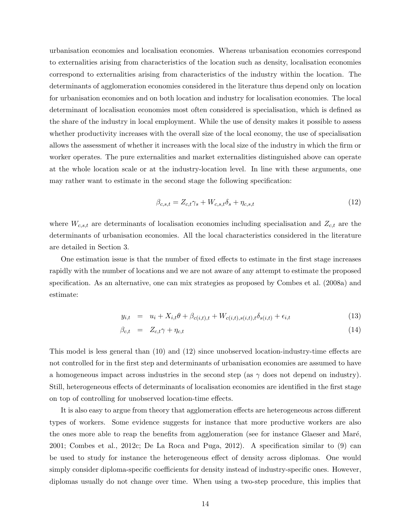urbanisation economies and localisation economies. Whereas urbanisation economies correspond to externalities arising from characteristics of the location such as density, localisation economies correspond to externalities arising from characteristics of the industry within the location. The determinants of agglomeration economies considered in the literature thus depend only on location for urbanisation economies and on both location and industry for localisation economies. The local determinant of localisation economies most often considered is specialisation, which is defined as the share of the industry in local employment. While the use of density makes it possible to assess whether productivity increases with the overall size of the local economy, the use of specialisation allows the assessment of whether it increases with the local size of the industry in which the firm or worker operates. The pure externalities and market externalities distinguished above can operate at the whole location scale or at the industry-location level. In line with these arguments, one may rather want to estimate in the second stage the following specification:

$$
\beta_{c,s,t} = Z_{c,t}\gamma_s + W_{c,s,t}\delta_s + \eta_{c,s,t} \tag{12}
$$

where  $W_{c,s,t}$  are determinants of localisation economies including specialisation and  $Z_{c,t}$  are the determinants of urbanisation economies. All the local characteristics considered in the literature are detailed in Section 3.

One estimation issue is that the number of fixed effects to estimate in the first stage increases rapidly with the number of locations and we are not aware of any attempt to estimate the proposed specification. As an alternative, one can mix strategies as proposed by Combes et al. (2008a) and estimate:

$$
y_{i,t} = u_i + X_{i,t}\theta + \beta_{c(i,t),t} + W_{c(i,t),s(i,t),t}\delta_{s(i,t)} + \epsilon_{i,t}
$$
\n(13)

$$
\beta_{c,t} = Z_{c,t} \gamma + \eta_{c,t} \tag{14}
$$

This model is less general than (10) and (12) since unobserved location-industry-time effects are not controlled for in the first step and determinants of urbanisation economies are assumed to have a homogeneous impact across industries in the second step (as  $\gamma$  does not depend on industry). Still, heterogeneous effects of determinants of localisation economies are identified in the first stage on top of controlling for unobserved location-time effects.

It is also easy to argue from theory that agglomeration effects are heterogeneous across different types of workers. Some evidence suggests for instance that more productive workers are also the ones more able to reap the benefits from agglomeration (see for instance Glaeser and Maré, 2001; Combes et al., 2012c; De La Roca and Puga, 2012). A specification similar to (9) can be used to study for instance the heterogeneous effect of density across diplomas. One would simply consider diploma-specific coefficients for density instead of industry-specific ones. However, diplomas usually do not change over time. When using a two-step procedure, this implies that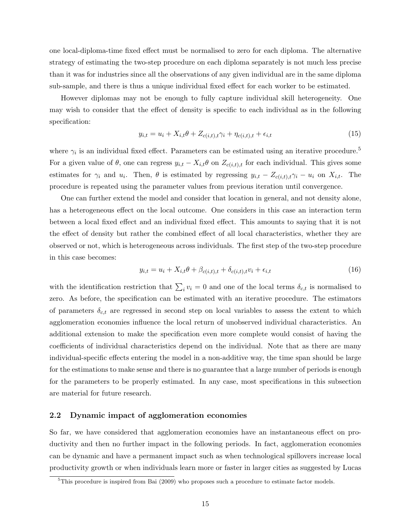one local-diploma-time fixed effect must be normalised to zero for each diploma. The alternative strategy of estimating the two-step procedure on each diploma separately is not much less precise than it was for industries since all the observations of any given individual are in the same diploma sub-sample, and there is thus a unique individual fixed effect for each worker to be estimated.

However diplomas may not be enough to fully capture individual skill heterogeneity. One may wish to consider that the effect of density is specific to each individual as in the following specification:

$$
y_{i,t} = u_i + X_{i,t}\theta + Z_{c(i,t),t}\gamma_i + \eta_{c(i,t),t} + \epsilon_{i,t}
$$
\n(15)

where  $\gamma_i$  is an individual fixed effect. Parameters can be estimated using an iterative procedure.<sup>5</sup> For a given value of  $\theta$ , one can regress  $y_{i,t} - X_{i,t} \theta$  on  $Z_{c(i,t),t}$  for each individual. This gives some estimates for  $\gamma_i$  and  $u_i$ . Then,  $\theta$  is estimated by regressing  $y_{i,t} - Z_{c(i,t),t}\gamma_i - u_i$  on  $X_{i,t}$ . The procedure is repeated using the parameter values from previous iteration until convergence.

One can further extend the model and consider that location in general, and not density alone, has a heterogeneous effect on the local outcome. One considers in this case an interaction term between a local fixed effect and an individual fixed effect. This amounts to saying that it is not the effect of density but rather the combined effect of all local characteristics, whether they are observed or not, which is heterogeneous across individuals. The first step of the two-step procedure in this case becomes:

$$
y_{i,t} = u_i + X_{i,t}\theta + \beta_{c(i,t),t} + \delta_{c(i,t),t}v_i + \epsilon_{i,t}
$$
\n
$$
(16)
$$

with the identification restriction that  $\sum_i v_i = 0$  and one of the local terms  $\delta_{c,t}$  is normalised to zero. As before, the specification can be estimated with an iterative procedure. The estimators of parameters  $\delta_{c,t}$  are regressed in second step on local variables to assess the extent to which agglomeration economies influence the local return of unobserved individual characteristics. An additional extension to make the specification even more complete would consist of having the coefficients of individual characteristics depend on the individual. Note that as there are many individual-specific effects entering the model in a non-additive way, the time span should be large for the estimations to make sense and there is no guarantee that a large number of periods is enough for the parameters to be properly estimated. In any case, most specifications in this subsection are material for future research.

#### 2.2 Dynamic impact of agglomeration economies

So far, we have considered that agglomeration economies have an instantaneous effect on productivity and then no further impact in the following periods. In fact, agglomeration economies can be dynamic and have a permanent impact such as when technological spillovers increase local productivity growth or when individuals learn more or faster in larger cities as suggested by Lucas

 $5$ This procedure is inspired from Bai (2009) who proposes such a procedure to estimate factor models.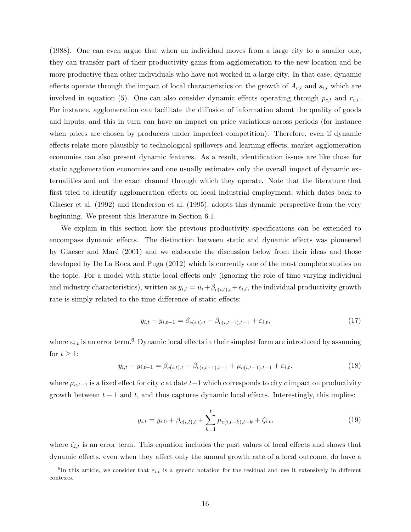(1988). One can even argue that when an individual moves from a large city to a smaller one, they can transfer part of their productivity gains from agglomeration to the new location and be more productive than other individuals who have not worked in a large city. In that case, dynamic effects operate through the impact of local characteristics on the growth of  $A_{c,t}$  and  $s_{i,t}$  which are involved in equation (5). One can also consider dynamic effects operating through  $p_{c,t}$  and  $r_{c,t}$ . For instance, agglomeration can facilitate the diffusion of information about the quality of goods and inputs, and this in turn can have an impact on price variations across periods (for instance when prices are chosen by producers under imperfect competition). Therefore, even if dynamic effects relate more plausibly to technological spillovers and learning effects, market agglomeration economies can also present dynamic features. As a result, identification issues are like those for static agglomeration economies and one usually estimates only the overall impact of dynamic externalities and not the exact channel through which they operate. Note that the literature that first tried to identify agglomeration effects on local industrial employment, which dates back to Glaeser et al. (1992) and Henderson et al. (1995), adopts this dynamic perspective from the very beginning. We present this literature in Section 6.1.

We explain in this section how the previous productivity specifications can be extended to encompass dynamic effects. The distinction between static and dynamic effects was pioneered by Glaeser and Maré (2001) and we elaborate the discussion below from their ideas and those developed by De La Roca and Puga (2012) which is currently one of the most complete studies on the topic. For a model with static local effects only (ignoring the role of time-varying individual and industry characteristics), written as  $y_{i,t} = u_i + \beta_{c(i,t),t} + \epsilon_{i,t}$ , the individual productivity growth rate is simply related to the time difference of static effects:

$$
y_{i,t} - y_{i,t-1} = \beta_{c(i,t),t} - \beta_{c(i,t-1),t-1} + \varepsilon_{i,t},
$$
\n(17)

where  $\varepsilon_{i,t}$  is an error term.<sup>6</sup> Dynamic local effects in their simplest form are introduced by assuming for  $t \geq 1$ :

$$
y_{i,t} - y_{i,t-1} = \beta_{c(i,t),t} - \beta_{c(i,t-1),t-1} + \mu_{c(i,t-1),t-1} + \varepsilon_{i,t}.
$$
\n(18)

where  $\mu_{c,t-1}$  is a fixed effect for city c at date t-1 which corresponds to city c impact on productivity growth between  $t - 1$  and  $t$ , and thus captures dynamic local effects. Interestingly, this implies:

$$
y_{i,t} = y_{i,0} + \beta_{c(i,t),t} + \sum_{k=1}^{t} \mu_{c(i,t-k),t-k} + \zeta_{i,t},
$$
\n(19)

where  $\zeta_{i,t}$  is an error term. This equation includes the past values of local effects and shows that dynamic effects, even when they affect only the annual growth rate of a local outcome, do have a

<sup>&</sup>lt;sup>6</sup>In this article, we consider that  $\varepsilon_{i,t}$  is a generic notation for the residual and use it extensively in different contexts.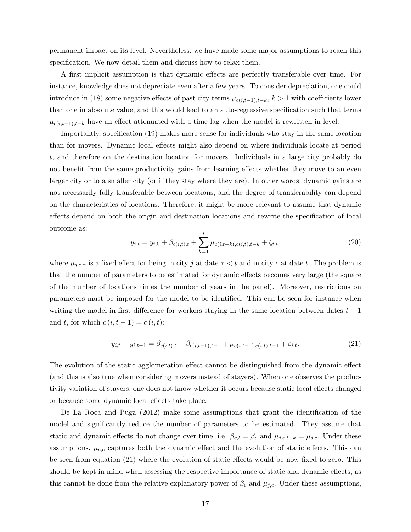permanent impact on its level. Nevertheless, we have made some major assumptions to reach this specification. We now detail them and discuss how to relax them.

A first implicit assumption is that dynamic effects are perfectly transferable over time. For instance, knowledge does not depreciate even after a few years. To consider depreciation, one could introduce in (18) some negative effects of past city terms  $\mu_{c(i,t-1),t-k}$ ,  $k > 1$  with coefficients lower than one in absolute value, and this would lead to an auto-regressive specification such that terms  $\mu_{c(i,t-1),t-k}$  have an effect attenuated with a time lag when the model is rewritten in level.

Importantly, specification (19) makes more sense for individuals who stay in the same location than for movers. Dynamic local effects might also depend on where individuals locate at period t, and therefore on the destination location for movers. Individuals in a large city probably do not benefit from the same productivity gains from learning effects whether they move to an even larger city or to a smaller city (or if they stay where they are). In other words, dynamic gains are not necessarily fully transferable between locations, and the degree of transferability can depend on the characteristics of locations. Therefore, it might be more relevant to assume that dynamic effects depend on both the origin and destination locations and rewrite the specification of local outcome as:

$$
y_{i,t} = y_{i,0} + \beta_{c(i,t),t} + \sum_{k=1}^{t} \mu_{c(i,t-k),c(i,t),t-k} + \zeta_{i,t}.
$$
 (20)

where  $\mu_{j,c,\tau}$  is a fixed effect for being in city j at date  $\tau < t$  and in city c at date t. The problem is that the number of parameters to be estimated for dynamic effects becomes very large (the square of the number of locations times the number of years in the panel). Moreover, restrictions on parameters must be imposed for the model to be identified. This can be seen for instance when writing the model in first difference for workers staying in the same location between dates  $t - 1$ and t, for which  $c(i, t-1) = c(i, t)$ :

$$
y_{i,t} - y_{i,t-1} = \beta_{c(i,t),t} - \beta_{c(i,t-1),t-1} + \mu_{c(i,t-1),c(i,t),t-1} + \varepsilon_{i,t}.
$$
\n(21)

The evolution of the static agglomeration effect cannot be distinguished from the dynamic effect (and this is also true when considering movers instead of stayers). When one observes the productivity variation of stayers, one does not know whether it occurs because static local effects changed or because some dynamic local effects take place.

De La Roca and Puga (2012) make some assumptions that grant the identification of the model and significantly reduce the number of parameters to be estimated. They assume that static and dynamic effects do not change over time, i.e.  $\beta_{c,t} = \beta_c$  and  $\mu_{j,c,t-k} = \mu_{j,c}$ . Under these assumptions,  $\mu_{c,c}$  captures both the dynamic effect and the evolution of static effects. This can be seen from equation (21) where the evolution of static effects would be now fixed to zero. This should be kept in mind when assessing the respective importance of static and dynamic effects, as this cannot be done from the relative explanatory power of  $\beta_c$  and  $\mu_{j,c}$ . Under these assumptions,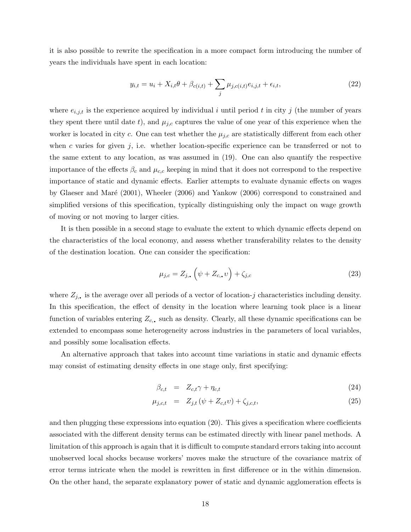it is also possible to rewrite the specification in a more compact form introducing the number of years the individuals have spent in each location:

$$
y_{i,t} = u_i + X_{i,t}\theta + \beta_{c(i,t)} + \sum_j \mu_{j,c(i,t)} e_{i,j,t} + \epsilon_{i,t},
$$
\n(22)

where  $e_{i,j,t}$  is the experience acquired by individual i until period t in city j (the number of years they spent there until date t), and  $\mu_{j,c}$  captures the value of one year of this experience when the worker is located in city c. One can test whether the  $\mu_{j,c}$  are statistically different from each other when c varies for given j, i.e. whether location-specific experience can be transferred or not to the same extent to any location, as was assumed in (19). One can also quantify the respective importance of the effects  $\beta_c$  and  $\mu_{c,c}$  keeping in mind that it does not correspond to the respective importance of static and dynamic effects. Earlier attempts to evaluate dynamic effects on wages by Glaeser and Maré  $(2001)$ , Wheeler  $(2006)$  and Yankow  $(2006)$  correspond to constrained and simplified versions of this specification, typically distinguishing only the impact on wage growth of moving or not moving to larger cities.

It is then possible in a second stage to evaluate the extent to which dynamic effects depend on the characteristics of the local economy, and assess whether transferability relates to the density of the destination location. One can consider the specification:

$$
\mu_{j,c} = Z_{j,\bullet} \left( \psi + Z_{c,\bullet} v \right) + \zeta_{j,c} \tag{23}
$$

where  $Z_{j,\bullet}$  is the average over all periods of a vector of location-j characteristics including density. In this specification, the effect of density in the location where learning took place is a linear function of variables entering  $Z_{c,\bullet}$ , such as density. Clearly, all these dynamic specifications can be extended to encompass some heterogeneity across industries in the parameters of local variables, and possibly some localisation effects.

An alternative approach that takes into account time variations in static and dynamic effects may consist of estimating density effects in one stage only, first specifying:

$$
\beta_{c,t} = Z_{c,t} \gamma + \eta_{c,t} \tag{24}
$$

$$
\mu_{j,c,t} = Z_{j,t} (\psi + Z_{c,t} v) + \zeta_{j,c,t}, \tag{25}
$$

and then plugging these expressions into equation (20). This gives a specification where coefficients associated with the different density terms can be estimated directly with linear panel methods. A limitation of this approach is again that it is difficult to compute standard errors taking into account unobserved local shocks because workers' moves make the structure of the covariance matrix of error terms intricate when the model is rewritten in first difference or in the within dimension. On the other hand, the separate explanatory power of static and dynamic agglomeration effects is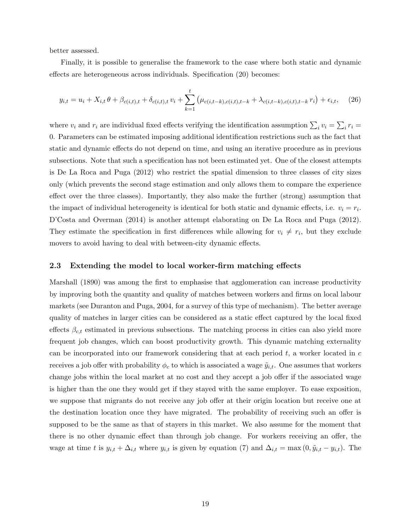better assessed.

Finally, it is possible to generalise the framework to the case where both static and dynamic effects are heterogeneous across individuals. Specification (20) becomes:

$$
y_{i,t} = u_i + X_{i,t} \theta + \beta_{c(i,t),t} + \delta_{c(i,t),t} v_i + \sum_{k=1}^t \left( \mu_{c(i,t-k),c(i,t),t-k} + \lambda_{c(i,t-k),c(i,t),t-k} r_i \right) + \epsilon_{i,t}, \quad (26)
$$

where  $v_i$  and  $r_i$  are individual fixed effects verifying the identification assumption  $\sum_i v_i = \sum_i r_i =$ 0. Parameters can be estimated imposing additional identification restrictions such as the fact that static and dynamic effects do not depend on time, and using an iterative procedure as in previous subsections. Note that such a specification has not been estimated yet. One of the closest attempts is De La Roca and Puga (2012) who restrict the spatial dimension to three classes of city sizes only (which prevents the second stage estimation and only allows them to compare the experience effect over the three classes). Importantly, they also make the further (strong) assumption that the impact of individual heterogeneity is identical for both static and dynamic effects, i.e.  $v_i = r_i$ . D'Costa and Overman (2014) is another attempt elaborating on De La Roca and Puga (2012). They estimate the specification in first differences while allowing for  $v_i \neq r_i$ , but they exclude movers to avoid having to deal with between-city dynamic effects.

#### 2.3 Extending the model to local worker-firm matching effects

Marshall (1890) was among the first to emphasise that agglomeration can increase productivity by improving both the quantity and quality of matches between workers and firms on local labour markets (see Duranton and Puga, 2004, for a survey of this type of mechanism). The better average quality of matches in larger cities can be considered as a static effect captured by the local fixed effects  $\beta_{c,t}$  estimated in previous subsections. The matching process in cities can also yield more frequent job changes, which can boost productivity growth. This dynamic matching externality can be incorporated into our framework considering that at each period  $t$ , a worker located in  $c$ receives a job offer with probability  $\phi_c$  to which is associated a wage  $\tilde{y}_{i,t}$ . One assumes that workers change jobs within the local market at no cost and they accept a job offer if the associated wage is higher than the one they would get if they stayed with the same employer. To ease exposition, we suppose that migrants do not receive any job offer at their origin location but receive one at the destination location once they have migrated. The probability of receiving such an offer is supposed to be the same as that of stayers in this market. We also assume for the moment that there is no other dynamic effect than through job change. For workers receiving an offer, the wage at time t is  $y_{i,t} + \Delta_{i,t}$  where  $y_{i,t}$  is given by equation (7) and  $\Delta_{i,t} = \max(0, \tilde{y}_{i,t} - y_{i,t})$ . The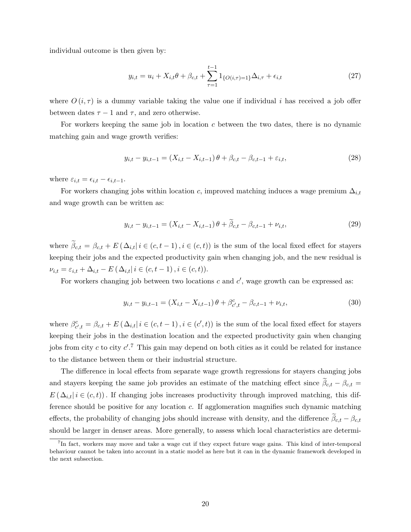individual outcome is then given by:

$$
y_{i,t} = u_i + X_{i,t}\theta + \beta_{c,t} + \sum_{\tau=1}^{t-1} 1_{\{O(i,\tau)=1\}} \Delta_{i,\tau} + \epsilon_{i,t}
$$
 (27)

where  $O(i, \tau)$  is a dummy variable taking the value one if individual i has received a job offer between dates  $\tau - 1$  and  $\tau$ , and zero otherwise.

For workers keeping the same job in location  $c$  between the two dates, there is no dynamic matching gain and wage growth verifies:

$$
y_{i,t} - y_{i,t-1} = (X_{i,t} - X_{i,t-1})\theta + \beta_{c,t} - \beta_{c,t-1} + \varepsilon_{i,t},
$$
\n(28)

where  $\varepsilon_{i,t} = \epsilon_{i,t} - \epsilon_{i,t-1}$ .

For workers changing jobs within location c, improved matching induces a wage premium  $\Delta_{i,t}$ and wage growth can be written as:

$$
y_{i,t} - y_{i,t-1} = (X_{i,t} - X_{i,t-1})\theta + \tilde{\beta}_{c,t} - \beta_{c,t-1} + \nu_{i,t},
$$
\n(29)

where  $\tilde{\beta}_{c,t} = \beta_{c,t} + E(\Delta_{i,t} | i \in (c, t-1), i \in (c, t))$  is the sum of the local fixed effect for stayers keeping their jobs and the expected productivity gain when changing job, and the new residual is  $\nu_{i,t}=\varepsilon_{i,t}+\Delta_{i,t}-E\left(\left.\Delta_{i,t}\right|i\in\left(c,t-1\right),i\in\left(c,t\right)\right).$ 

For workers changing job between two locations  $c$  and  $c'$ , wage growth can be expressed as:

$$
y_{i,t} - y_{i,t-1} = (X_{i,t} - X_{i,t-1})\theta + \beta_{c',t}^c - \beta_{c,t-1} + \nu_{i,t},
$$
\n(30)

where  $\beta_{c',t}^c = \beta_{c,t} + E(\Delta_{i,t} | i \in (c, t-1), i \in (c', t))$  is the sum of the local fixed effect for stayers keeping their jobs in the destination location and the expected productivity gain when changing jobs from city c to city  $c^{\prime}$ .<sup>7</sup> This gain may depend on both cities as it could be related for instance to the distance between them or their industrial structure.

The difference in local effects from separate wage growth regressions for stayers changing jobs and stayers keeping the same job provides an estimate of the matching effect since  $\beta_{c,t} - \beta_{c,t} =$  $E(\Delta_{i,t}|i \in (c,t))$ . If changing jobs increases productivity through improved matching, this difference should be positive for any location c. If agglomeration magnifies such dynamic matching effects, the probability of changing jobs should increase with density, and the difference  $\tilde{\beta}_{c,t} - \beta_{c,t}$ should be larger in denser areas. More generally, to assess which local characteristics are determi-

<sup>7</sup> In fact, workers may move and take a wage cut if they expect future wage gains. This kind of inter-temporal behaviour cannot be taken into account in a static model as here but it can in the dynamic framework developed in the next subsection.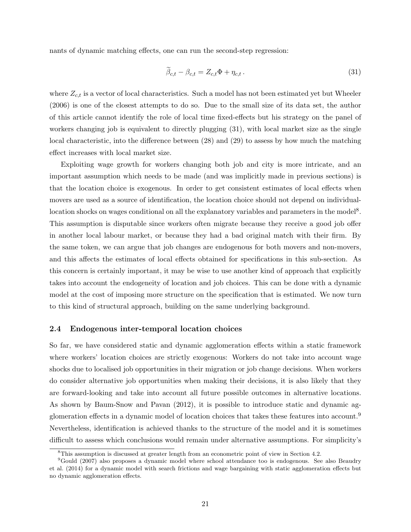nants of dynamic matching effects, one can run the second-step regression:

$$
\beta_{c,t} - \beta_{c,t} = Z_{c,t} \Phi + \eta_{c,t} \,. \tag{31}
$$

where  $Z_{c,t}$  is a vector of local characteristics. Such a model has not been estimated yet but Wheeler (2006) is one of the closest attempts to do so. Due to the small size of its data set, the author of this article cannot identify the role of local time fixed-effects but his strategy on the panel of workers changing job is equivalent to directly plugging (31), with local market size as the single local characteristic, into the difference between (28) and (29) to assess by how much the matching effect increases with local market size.

Exploiting wage growth for workers changing both job and city is more intricate, and an important assumption which needs to be made (and was implicitly made in previous sections) is that the location choice is exogenous. In order to get consistent estimates of local effects when movers are used as a source of identification, the location choice should not depend on individuallocation shocks on wages conditional on all the explanatory variables and parameters in the model<sup>8</sup>. This assumption is disputable since workers often migrate because they receive a good job offer in another local labour market, or because they had a bad original match with their firm. By the same token, we can argue that job changes are endogenous for both movers and non-movers, and this affects the estimates of local effects obtained for specifications in this sub-section. As this concern is certainly important, it may be wise to use another kind of approach that explicitly takes into account the endogeneity of location and job choices. This can be done with a dynamic model at the cost of imposing more structure on the specification that is estimated. We now turn to this kind of structural approach, building on the same underlying background.

#### 2.4 Endogenous inter-temporal location choices

So far, we have considered static and dynamic agglomeration effects within a static framework where workers' location choices are strictly exogenous: Workers do not take into account wage shocks due to localised job opportunities in their migration or job change decisions. When workers do consider alternative job opportunities when making their decisions, it is also likely that they are forward-looking and take into account all future possible outcomes in alternative locations. As shown by Baum-Snow and Pavan (2012), it is possible to introduce static and dynamic agglomeration effects in a dynamic model of location choices that takes these features into account.<sup>9</sup> Nevertheless, identification is achieved thanks to the structure of the model and it is sometimes difficult to assess which conclusions would remain under alternative assumptions. For simplicity's

<sup>&</sup>lt;sup>8</sup>This assumption is discussed at greater length from an econometric point of view in Section 4.2.

<sup>9</sup>Gould (2007) also proposes a dynamic model where school attendance too is endogenous. See also Beaudry et al. (2014) for a dynamic model with search frictions and wage bargaining with static agglomeration effects but no dynamic agglomeration effects.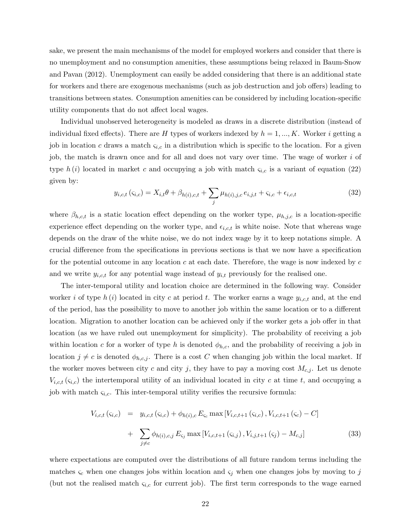sake, we present the main mechanisms of the model for employed workers and consider that there is no unemployment and no consumption amenities, these assumptions being relaxed in Baum-Snow and Pavan (2012). Unemployment can easily be added considering that there is an additional state for workers and there are exogenous mechanisms (such as job destruction and job offers) leading to transitions between states. Consumption amenities can be considered by including location-specific utility components that do not affect local wages.

Individual unobserved heterogeneity is modeled as draws in a discrete distribution (instead of individual fixed effects). There are H types of workers indexed by  $h = 1, ..., K$ . Worker i getting a job in location c draws a match  $\varsigma_{i,c}$  in a distribution which is specific to the location. For a given job, the match is drawn once and for all and does not vary over time. The wage of worker i of type  $h(i)$  located in market c and occupying a job with match  $\varsigma_{i,c}$  is a variant of equation (22) given by:

$$
y_{i,c,t} (s_{i,c}) = X_{i,t} \theta + \beta_{h(i),c,t} + \sum_{j} \mu_{h(i),j,c} e_{i,j,t} + s_{i,c} + \epsilon_{i,c,t}
$$
 (32)

where  $\beta_{h,c,t}$  is a static location effect depending on the worker type,  $\mu_{h,j,c}$  is a location-specific experience effect depending on the worker type, and  $\epsilon_{i,c,t}$  is white noise. Note that whereas wage depends on the draw of the white noise, we do not index wage by it to keep notations simple. A crucial difference from the specifications in previous sections is that we now have a specification for the potential outcome in any location  $c$  at each date. Therefore, the wage is now indexed by  $c$ and we write  $y_{i,c,t}$  for any potential wage instead of  $y_{i,t}$  previously for the realised one.

The inter-temporal utility and location choice are determined in the following way. Consider worker i of type  $h(i)$  located in city c at period t. The worker earns a wage  $y_{i,c,t}$  and, at the end of the period, has the possibility to move to another job within the same location or to a different location. Migration to another location can be achieved only if the worker gets a job offer in that location (as we have ruled out unemployment for simplicity). The probability of receiving a job within location c for a worker of type h is denoted  $\phi_{h,c}$ , and the probability of receiving a job in location  $j \neq c$  is denoted  $\phi_{h,c,j}$ . There is a cost C when changing job within the local market. If the worker moves between city c and city j, they have to pay a moving cost  $M_{c,j}$ . Let us denote  $V_{i,c,t}(\varsigma_{i,c})$  the intertemporal utility of an individual located in city c at time t, and occupying a job with match  $\zeta_{i,c}$ . This inter-temporal utility verifies the recursive formula:

$$
V_{i,c,t}(\varsigma_{i,c}) = y_{i,c,t}(\varsigma_{i,c}) + \phi_{h(i),c} E_{\varsigma_c} \max[V_{i,c,t+1}(\varsigma_{i,c}), V_{i,c,t+1}(\varsigma_c) - C]
$$
  
+ 
$$
\sum_{j \neq c} \phi_{h(i),c,j} E_{\varsigma_j} \max[V_{i,c,t+1}(\varsigma_{i,j}), V_{i,j,t+1}(\varsigma_j) - M_{c,j}]
$$
(33)

where expectations are computed over the distributions of all future random terms including the matches  $\varsigma_c$  when one changes jobs within location and  $\varsigma_j$  when one changes jobs by moving to j (but not the realised match  $\varsigma_{i,c}$  for current job). The first term corresponds to the wage earned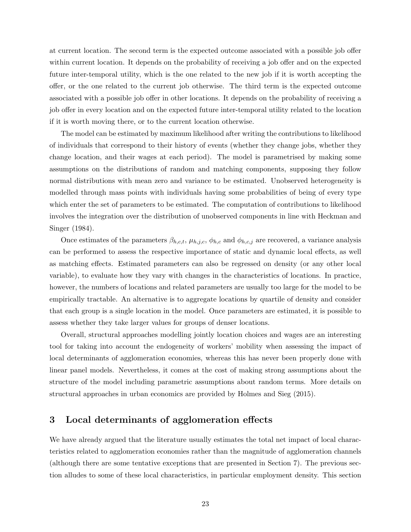at current location. The second term is the expected outcome associated with a possible job offer within current location. It depends on the probability of receiving a job offer and on the expected future inter-temporal utility, which is the one related to the new job if it is worth accepting the offer, or the one related to the current job otherwise. The third term is the expected outcome associated with a possible job offer in other locations. It depends on the probability of receiving a job offer in every location and on the expected future inter-temporal utility related to the location if it is worth moving there, or to the current location otherwise.

The model can be estimated by maximum likelihood after writing the contributions to likelihood of individuals that correspond to their history of events (whether they change jobs, whether they change location, and their wages at each period). The model is parametrised by making some assumptions on the distributions of random and matching components, supposing they follow normal distributions with mean zero and variance to be estimated. Unobserved heterogeneity is modelled through mass points with individuals having some probabilities of being of every type which enter the set of parameters to be estimated. The computation of contributions to likelihood involves the integration over the distribution of unobserved components in line with Heckman and Singer (1984).

Once estimates of the parameters  $\beta_{h,c,t}$ ,  $\mu_{h,j,c}$ ,  $\phi_{h,c}$  and  $\phi_{h,c,j}$  are recovered, a variance analysis can be performed to assess the respective importance of static and dynamic local effects, as well as matching effects. Estimated parameters can also be regressed on density (or any other local variable), to evaluate how they vary with changes in the characteristics of locations. In practice, however, the numbers of locations and related parameters are usually too large for the model to be empirically tractable. An alternative is to aggregate locations by quartile of density and consider that each group is a single location in the model. Once parameters are estimated, it is possible to assess whether they take larger values for groups of denser locations.

Overall, structural approaches modelling jointly location choices and wages are an interesting tool for taking into account the endogeneity of workers' mobility when assessing the impact of local determinants of agglomeration economies, whereas this has never been properly done with linear panel models. Nevertheless, it comes at the cost of making strong assumptions about the structure of the model including parametric assumptions about random terms. More details on structural approaches in urban economics are provided by Holmes and Sieg (2015).

## 3 Local determinants of agglomeration effects

We have already argued that the literature usually estimates the total net impact of local characteristics related to agglomeration economies rather than the magnitude of agglomeration channels (although there are some tentative exceptions that are presented in Section 7). The previous section alludes to some of these local characteristics, in particular employment density. This section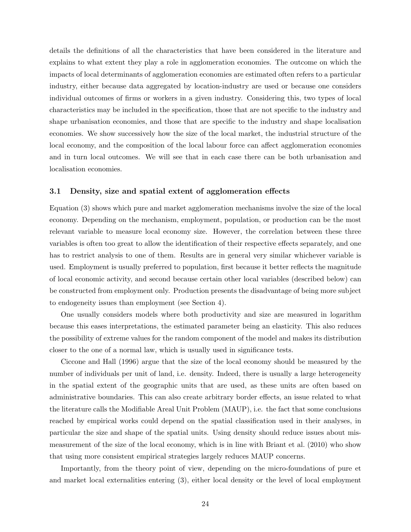details the definitions of all the characteristics that have been considered in the literature and explains to what extent they play a role in agglomeration economies. The outcome on which the impacts of local determinants of agglomeration economies are estimated often refers to a particular industry, either because data aggregated by location-industry are used or because one considers individual outcomes of firms or workers in a given industry. Considering this, two types of local characteristics may be included in the specification, those that are not specific to the industry and shape urbanisation economies, and those that are specific to the industry and shape localisation economies. We show successively how the size of the local market, the industrial structure of the local economy, and the composition of the local labour force can affect agglomeration economies and in turn local outcomes. We will see that in each case there can be both urbanisation and localisation economies.

#### 3.1 Density, size and spatial extent of agglomeration effects

Equation (3) shows which pure and market agglomeration mechanisms involve the size of the local economy. Depending on the mechanism, employment, population, or production can be the most relevant variable to measure local economy size. However, the correlation between these three variables is often too great to allow the identification of their respective effects separately, and one has to restrict analysis to one of them. Results are in general very similar whichever variable is used. Employment is usually preferred to population, first because it better reflects the magnitude of local economic activity, and second because certain other local variables (described below) can be constructed from employment only. Production presents the disadvantage of being more subject to endogeneity issues than employment (see Section 4).

One usually considers models where both productivity and size are measured in logarithm because this eases interpretations, the estimated parameter being an elasticity. This also reduces the possibility of extreme values for the random component of the model and makes its distribution closer to the one of a normal law, which is usually used in significance tests.

Ciccone and Hall (1996) argue that the size of the local economy should be measured by the number of individuals per unit of land, i.e. density. Indeed, there is usually a large heterogeneity in the spatial extent of the geographic units that are used, as these units are often based on administrative boundaries. This can also create arbitrary border effects, an issue related to what the literature calls the Modifiable Areal Unit Problem (MAUP), i.e. the fact that some conclusions reached by empirical works could depend on the spatial classification used in their analyses, in particular the size and shape of the spatial units. Using density should reduce issues about mismeasurement of the size of the local economy, which is in line with Briant et al. (2010) who show that using more consistent empirical strategies largely reduces MAUP concerns.

Importantly, from the theory point of view, depending on the micro-foundations of pure et and market local externalities entering (3), either local density or the level of local employment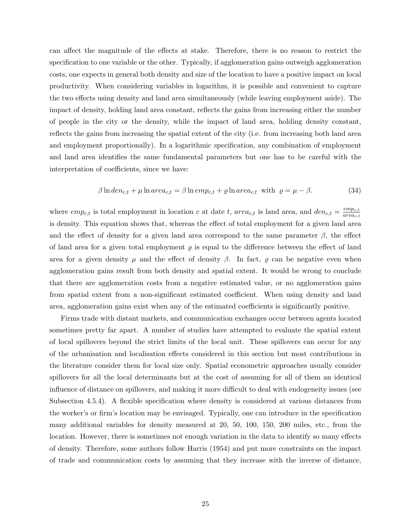can affect the magnitude of the effects at stake. Therefore, there is no reason to restrict the specification to one variable or the other. Typically, if agglomeration gains outweigh agglomeration costs, one expects in general both density and size of the location to have a positive impact on local productivity. When considering variables in logarithm, it is possible and convenient to capture the two effects using density and land area simultaneously (while leaving employment aside). The impact of density, holding land area constant, reflects the gains from increasing either the number of people in the city or the density, while the impact of land area, holding density constant, reflects the gains from increasing the spatial extent of the city (i.e. from increasing both land area and employment proportionally). In a logarithmic specification, any combination of employment and land area identifies the same fundamental parameters but one has to be careful with the interpretation of coefficients, since we have:

$$
\beta \ln den_{c,t} + \mu \ln area_{c,t} = \beta \ln emp_{c,t} + \varrho \ln area_{c,t} \text{ with } \varrho = \mu - \beta. \tag{34}
$$

where  $emp_{c,t}$  is total employment in location c at date t,  $area_{c,t}$  is land area, and  $den_{c,t} = \frac{emp_{c,t}}{area_{c,t}}$  $\overline{area_{c,t}}$ is density. This equation shows that, whereas the effect of total employment for a given land area and the effect of density for a given land area correspond to the same parameter  $\beta$ , the effect of land area for a given total employment  $\varrho$  is equal to the difference between the effect of land area for a given density  $\mu$  and the effect of density  $\beta$ . In fact,  $\rho$  can be negative even when agglomeration gains result from both density and spatial extent. It would be wrong to conclude that there are agglomeration costs from a negative estimated value, or no agglomeration gains from spatial extent from a non-significant estimated coefficient. When using density and land area, agglomeration gains exist when any of the estimated coefficients is significantly positive.

Firms trade with distant markets, and communication exchanges occur between agents located sometimes pretty far apart. A number of studies have attempted to evaluate the spatial extent of local spillovers beyond the strict limits of the local unit. These spillovers can occur for any of the urbanisation and localisation effects considered in this section but most contributions in the literature consider them for local size only. Spatial econometric approaches usually consider spillovers for all the local determinants but at the cost of assuming for all of them an identical influence of distance on spillovers, and making it more difficult to deal with endogeneity issues (see Subsection 4.5.4). A flexible specification where density is considered at various distances from the worker's or firm's location may be envisaged. Typically, one can introduce in the specification many additional variables for density measured at 20, 50, 100, 150, 200 miles, etc., from the location. However, there is sometimes not enough variation in the data to identify so many effects of density. Therefore, some authors follow Harris (1954) and put more constraints on the impact of trade and communication costs by assuming that they increase with the inverse of distance,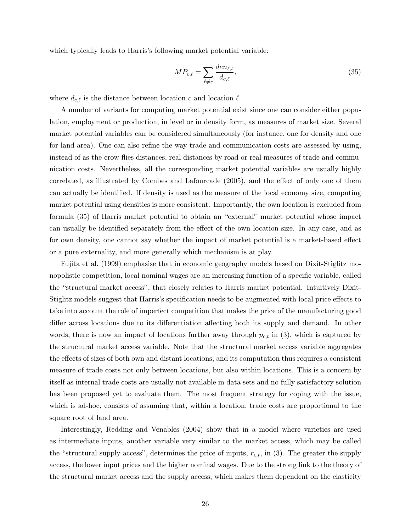which typically leads to Harris's following market potential variable:

$$
MP_{c,t} = \sum_{\ell \neq c} \frac{den_{\ell,t}}{d_{c,\ell}},\tag{35}
$$

where  $d_{c,\ell}$  is the distance between location c and location  $\ell$ .

A number of variants for computing market potential exist since one can consider either population, employment or production, in level or in density form, as measures of market size. Several market potential variables can be considered simultaneously (for instance, one for density and one for land area). One can also refine the way trade and communication costs are assessed by using, instead of as-the-crow-flies distances, real distances by road or real measures of trade and communication costs. Nevertheless, all the corresponding market potential variables are usually highly correlated, as illustrated by Combes and Lafourcade (2005), and the effect of only one of them can actually be identified. If density is used as the measure of the local economy size, computing market potential using densities is more consistent. Importantly, the own location is excluded from formula (35) of Harris market potential to obtain an "external" market potential whose impact can usually be identified separately from the effect of the own location size. In any case, and as for own density, one cannot say whether the impact of market potential is a market-based effect or a pure externality, and more generally which mechanism is at play.

Fujita et al. (1999) emphasise that in economic geography models based on Dixit-Stiglitz monopolistic competition, local nominal wages are an increasing function of a specific variable, called the "structural market access", that closely relates to Harris market potential. Intuitively Dixit-Stiglitz models suggest that Harris's specification needs to be augmented with local price effects to take into account the role of imperfect competition that makes the price of the manufacturing good differ across locations due to its differentiation affecting both its supply and demand. In other words, there is now an impact of locations further away through  $p_{c,t}$  in (3), which is captured by the structural market access variable. Note that the structural market access variable aggregates the effects of sizes of both own and distant locations, and its computation thus requires a consistent measure of trade costs not only between locations, but also within locations. This is a concern by itself as internal trade costs are usually not available in data sets and no fully satisfactory solution has been proposed yet to evaluate them. The most frequent strategy for coping with the issue, which is ad-hoc, consists of assuming that, within a location, trade costs are proportional to the square root of land area.

Interestingly, Redding and Venables (2004) show that in a model where varieties are used as intermediate inputs, another variable very similar to the market access, which may be called the "structural supply access", determines the price of inputs,  $r_{c,t}$ , in (3). The greater the supply access, the lower input prices and the higher nominal wages. Due to the strong link to the theory of the structural market access and the supply access, which makes them dependent on the elasticity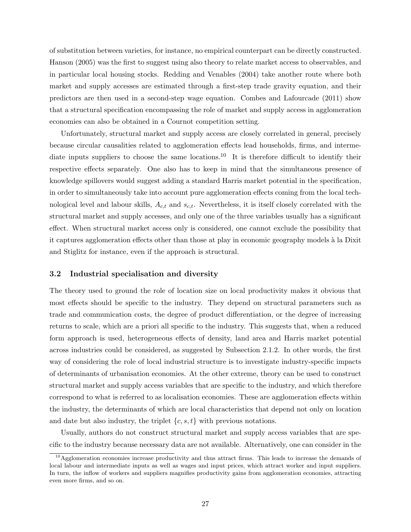of substitution between varieties, for instance, no empirical counterpart can be directly constructed. Hanson (2005) was the first to suggest using also theory to relate market access to observables, and in particular local housing stocks. Redding and Venables (2004) take another route where both market and supply accesses are estimated through a first-step trade gravity equation, and their predictors are then used in a second-step wage equation. Combes and Lafourcade (2011) show that a structural specification encompassing the role of market and supply access in agglomeration economies can also be obtained in a Cournot competition setting.

Unfortunately, structural market and supply access are closely correlated in general, precisely because circular causalities related to agglomeration effects lead households, firms, and intermediate inputs suppliers to choose the same locations.<sup>10</sup> It is therefore difficult to identify their respective effects separately. One also has to keep in mind that the simultaneous presence of knowledge spillovers would suggest adding a standard Harris market potential in the specification, in order to simultaneously take into account pure agglomeration effects coming from the local technological level and labour skills,  $A_{c,t}$  and  $s_{c,t}$ . Nevertheless, it is itself closely correlated with the structural market and supply accesses, and only one of the three variables usually has a significant effect. When structural market access only is considered, one cannot exclude the possibility that it captures agglomeration effects other than those at play in economic geography models à la Dixit and Stiglitz for instance, even if the approach is structural.

#### 3.2 Industrial specialisation and diversity

The theory used to ground the role of location size on local productivity makes it obvious that most effects should be specific to the industry. They depend on structural parameters such as trade and communication costs, the degree of product differentiation, or the degree of increasing returns to scale, which are a priori all specific to the industry. This suggests that, when a reduced form approach is used, heterogeneous effects of density, land area and Harris market potential across industries could be considered, as suggested by Subsection 2.1.2. In other words, the first way of considering the role of local industrial structure is to investigate industry-specific impacts of determinants of urbanisation economies. At the other extreme, theory can be used to construct structural market and supply access variables that are specific to the industry, and which therefore correspond to what is referred to as localisation economies. These are agglomeration effects within the industry, the determinants of which are local characteristics that depend not only on location and date but also industry, the triplet  $\{c, s, t\}$  with previous notations.

Usually, authors do not construct structural market and supply access variables that are specific to the industry because necessary data are not available. Alternatively, one can consider in the

<sup>&</sup>lt;sup>10</sup>Agglomeration economies increase productivity and thus attract firms. This leads to increase the demands of local labour and intermediate inputs as well as wages and input prices, which attract worker and input suppliers. In turn, the inflow of workers and suppliers magnifies productivity gains from agglomeration economies, attracting even more firms, and so on.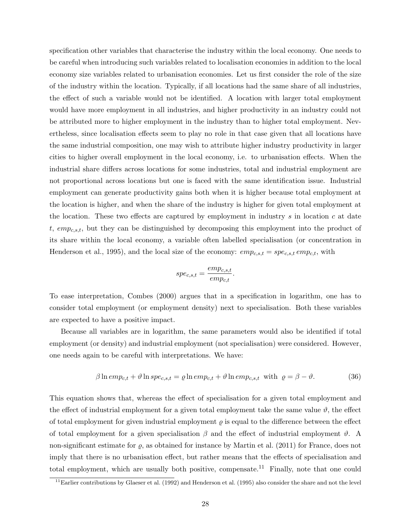specification other variables that characterise the industry within the local economy. One needs to be careful when introducing such variables related to localisation economies in addition to the local economy size variables related to urbanisation economies. Let us first consider the role of the size of the industry within the location. Typically, if all locations had the same share of all industries, the effect of such a variable would not be identified. A location with larger total employment would have more employment in all industries, and higher productivity in an industry could not be attributed more to higher employment in the industry than to higher total employment. Nevertheless, since localisation effects seem to play no role in that case given that all locations have the same industrial composition, one may wish to attribute higher industry productivity in larger cities to higher overall employment in the local economy, i.e. to urbanisation effects. When the industrial share differs across locations for some industries, total and industrial employment are not proportional across locations but one is faced with the same identification issue. Industrial employment can generate productivity gains both when it is higher because total employment at the location is higher, and when the share of the industry is higher for given total employment at the location. These two effects are captured by employment in industry  $s$  in location  $c$  at date  $t, emp_{c,s,t}$ , but they can be distinguished by decomposing this employment into the product of its share within the local economy, a variable often labelled specialisation (or concentration in Henderson et al., 1995), and the local size of the economy:  $emp_{c,s,t} = spe_{c,s,t}emp_{c,t}$ , with

$$
spe_{c,s,t} = \frac{emp_{c,s,t}}{emp_{c,t}}.
$$

To ease interpretation, Combes (2000) argues that in a specification in logarithm, one has to consider total employment (or employment density) next to specialisation. Both these variables are expected to have a positive impact.

Because all variables are in logarithm, the same parameters would also be identified if total employment (or density) and industrial employment (not specialisation) were considered. However, one needs again to be careful with interpretations. We have:

$$
\beta \ln emp_{c,t} + \vartheta \ln spe_{c,s,t} = \varrho \ln emp_{c,t} + \vartheta \ln emp_{c,s,t} \text{ with } \varrho = \beta - \vartheta. \tag{36}
$$

This equation shows that, whereas the effect of specialisation for a given total employment and the effect of industrial employment for a given total employment take the same value  $\vartheta$ , the effect of total employment for given industrial employment  $\rho$  is equal to the difference between the effect of total employment for a given specialisation  $\beta$  and the effect of industrial employment  $\vartheta$ . A non-significant estimate for  $\rho$ , as obtained for instance by Martin et al. (2011) for France, does not imply that there is no urbanisation effect, but rather means that the effects of specialisation and total employment, which are usually both positive, compensate.<sup>11</sup> Finally, note that one could

 $11$ Earlier contributions by Glaeser et al. (1992) and Henderson et al. (1995) also consider the share and not the level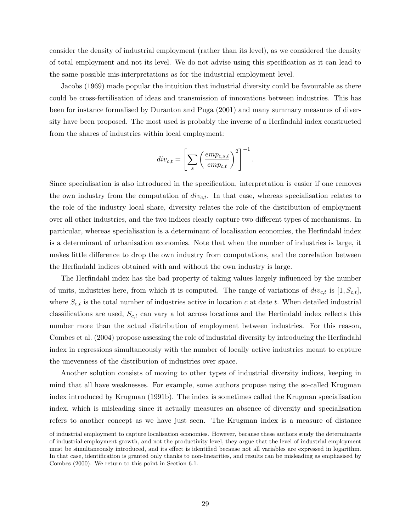consider the density of industrial employment (rather than its level), as we considered the density of total employment and not its level. We do not advise using this specification as it can lead to the same possible mis-interpretations as for the industrial employment level.

Jacobs (1969) made popular the intuition that industrial diversity could be favourable as there could be cross-fertilisation of ideas and transmission of innovations between industries. This has been for instance formalised by Duranton and Puga (2001) and many summary measures of diversity have been proposed. The most used is probably the inverse of a Herfindahl index constructed from the shares of industries within local employment:

$$
div_{c,t} = \left[\sum_{s} \left(\frac{emp_{c,s,t}}{emp_{c,t}}\right)^2\right]^{-1}
$$

.

Since specialisation is also introduced in the specification, interpretation is easier if one removes the own industry from the computation of  $div_{c,t}$ . In that case, whereas specialisation relates to the role of the industry local share, diversity relates the role of the distribution of employment over all other industries, and the two indices clearly capture two different types of mechanisms. In particular, whereas specialisation is a determinant of localisation economies, the Herfindahl index is a determinant of urbanisation economies. Note that when the number of industries is large, it makes little difference to drop the own industry from computations, and the correlation between the Herfindahl indices obtained with and without the own industry is large.

The Herfindahl index has the bad property of taking values largely influenced by the number of units, industries here, from which it is computed. The range of variations of  $div_{c,t}$  is  $[1, S_{c,t}]$ , where  $S_{c,t}$  is the total number of industries active in location c at date t. When detailed industrial classifications are used,  $S_{c,t}$  can vary a lot across locations and the Herfindahl index reflects this number more than the actual distribution of employment between industries. For this reason, Combes et al. (2004) propose assessing the role of industrial diversity by introducing the Herfindahl index in regressions simultaneously with the number of locally active industries meant to capture the unevenness of the distribution of industries over space.

Another solution consists of moving to other types of industrial diversity indices, keeping in mind that all have weaknesses. For example, some authors propose using the so-called Krugman index introduced by Krugman (1991b). The index is sometimes called the Krugman specialisation index, which is misleading since it actually measures an absence of diversity and specialisation refers to another concept as we have just seen. The Krugman index is a measure of distance

of industrial employment to capture localisation economies. However, because these authors study the determinants of industrial employment growth, and not the productivity level, they argue that the level of industrial employment must be simultaneously introduced, and its effect is identified because not all variables are expressed in logarithm. In that case, identification is granted only thanks to non-linearities, and results can be misleading as emphasised by Combes (2000). We return to this point in Section 6.1.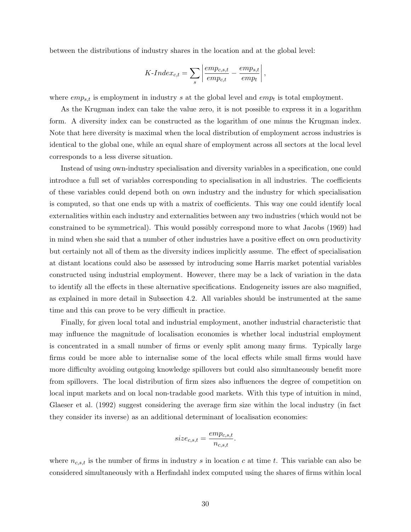between the distributions of industry shares in the location and at the global level:

$$
K\text{-}Index_{c,t} = \sum_{s} \left| \frac{emp_{c,s,t}}{emp_{c,t}} - \frac{emp_{s,t}}{emp_t} \right|,
$$

where  $emp_{s,t}$  is employment in industry s at the global level and  $emp_t$  is total employment.

As the Krugman index can take the value zero, it is not possible to express it in a logarithm form. A diversity index can be constructed as the logarithm of one minus the Krugman index. Note that here diversity is maximal when the local distribution of employment across industries is identical to the global one, while an equal share of employment across all sectors at the local level corresponds to a less diverse situation.

Instead of using own-industry specialisation and diversity variables in a specification, one could introduce a full set of variables corresponding to specialisation in all industries. The coefficients of these variables could depend both on own industry and the industry for which specialisation is computed, so that one ends up with a matrix of coefficients. This way one could identify local externalities within each industry and externalities between any two industries (which would not be constrained to be symmetrical). This would possibly correspond more to what Jacobs (1969) had in mind when she said that a number of other industries have a positive effect on own productivity but certainly not all of them as the diversity indices implicitly assume. The effect of specialisation at distant locations could also be assessed by introducing some Harris market potential variables constructed using industrial employment. However, there may be a lack of variation in the data to identify all the effects in these alternative specifications. Endogeneity issues are also magnified, as explained in more detail in Subsection 4.2. All variables should be instrumented at the same time and this can prove to be very difficult in practice.

Finally, for given local total and industrial employment, another industrial characteristic that may influence the magnitude of localisation economies is whether local industrial employment is concentrated in a small number of firms or evenly split among many firms. Typically large firms could be more able to internalise some of the local effects while small firms would have more difficulty avoiding outgoing knowledge spillovers but could also simultaneously benefit more from spillovers. The local distribution of firm sizes also influences the degree of competition on local input markets and on local non-tradable good markets. With this type of intuition in mind, Glaeser et al. (1992) suggest considering the average firm size within the local industry (in fact they consider its inverse) as an additional determinant of localisation economies:

$$
size_{c,s,t} = \frac{emp_{c,s,t}}{n_{c,s,t}}.
$$

where  $n_{c,s,t}$  is the number of firms in industry s in location c at time t. This variable can also be considered simultaneously with a Herfindahl index computed using the shares of firms within local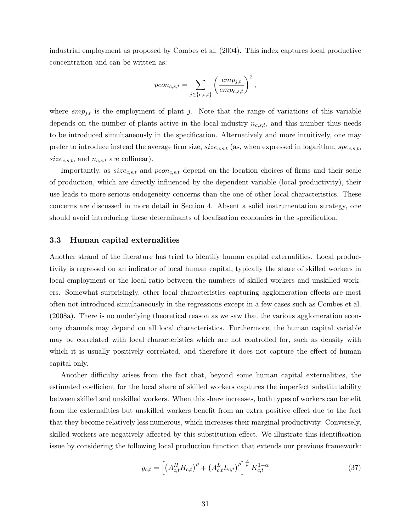industrial employment as proposed by Combes et al. (2004). This index captures local productive concentration and can be written as:

$$
pcon_{c,s,t} = \sum_{j \in \{c,s,t\}} \left(\frac{emp_{j,t}}{emp_{c,s,t}}\right)^2,
$$

where  $empi_{i,t}$  is the employment of plant j. Note that the range of variations of this variable depends on the number of plants active in the local industry  $n_{c,s,t}$ , and this number thus needs to be introduced simultaneously in the specification. Alternatively and more intuitively, one may prefer to introduce instead the average firm size,  $size_{c,s,t}$  (as, when expressed in logarithm,  $spec_{c,s,t}$ )  $size_{c,s,t}$ , and  $n_{c,s,t}$  are collinear).

Importantly, as  $size_{c,s,t}$  and  $pcon_{c,s,t}$  depend on the location choices of firms and their scale of production, which are directly influenced by the dependent variable (local productivity), their use leads to more serious endogeneity concerns than the one of other local characteristics. These concerns are discussed in more detail in Section 4. Absent a solid instrumentation strategy, one should avoid introducing these determinants of localisation economies in the specification.

#### 3.3 Human capital externalities

Another strand of the literature has tried to identify human capital externalities. Local productivity is regressed on an indicator of local human capital, typically the share of skilled workers in local employment or the local ratio between the numbers of skilled workers and unskilled workers. Somewhat surprisingly, other local characteristics capturing agglomeration effects are most often not introduced simultaneously in the regressions except in a few cases such as Combes et al. (2008a). There is no underlying theoretical reason as we saw that the various agglomeration economy channels may depend on all local characteristics. Furthermore, the human capital variable may be correlated with local characteristics which are not controlled for, such as density with which it is usually positively correlated, and therefore it does not capture the effect of human capital only.

Another difficulty arises from the fact that, beyond some human capital externalities, the estimated coefficient for the local share of skilled workers captures the imperfect substitutability between skilled and unskilled workers. When this share increases, both types of workers can benefit from the externalities but unskilled workers benefit from an extra positive effect due to the fact that they become relatively less numerous, which increases their marginal productivity. Conversely, skilled workers are negatively affected by this substitution effect. We illustrate this identification issue by considering the following local production function that extends our previous framework:

$$
y_{c,t} = \left[ \left( A_{c,t}^H H_{c,t} \right)^{\rho} + \left( A_{c,t}^L L_{c,t} \right)^{\rho} \right]^{\frac{\alpha}{\rho}} K_{c,t}^{1-\alpha} \tag{37}
$$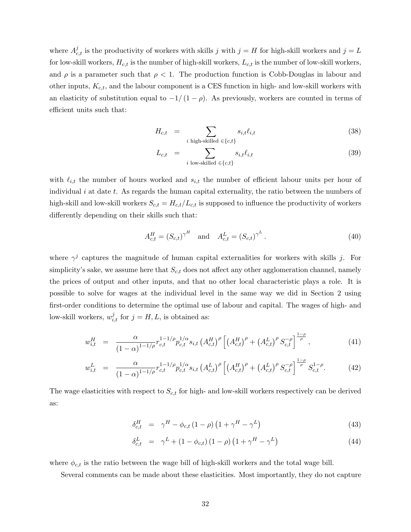where  $A_{c,t}^j$  is the productivity of workers with skills j with  $j = H$  for high-skill workers and  $j = L$ for low-skill workers,  $H_{c,t}$  is the number of high-skill workers,  $L_{c,t}$  is the number of low-skill workers, and  $\rho$  is a parameter such that  $\rho < 1$ . The production function is Cobb-Douglas in labour and other inputs,  $K_{c,t}$ , and the labour component is a CES function in high- and low-skill workers with an elasticity of substitution equal to  $-1/(1-\rho)$ . As previously, workers are counted in terms of efficient units such that:

$$
H_{c,t} = \sum_{i \text{ high-shellled } \in \{c,t\}} s_{i,t} \ell_{i,t}
$$
\n(38)

$$
L_{c,t} = \sum_{i \text{ low-skilled } \in \{c,t\}} s_{i,t} \ell_{i,t}
$$
\n(39)

with  $\ell_{i,t}$  the number of hours worked and  $s_{i,t}$  the number of efficient labour units per hour of individual  $i$  at date  $t$ . As regards the human capital externality, the ratio between the numbers of high-skill and low-skill workers  $S_{c,t} = H_{c,t}/L_{c,t}$  is supposed to influence the productivity of workers differently depending on their skills such that:

$$
A_{c,t}^H = (S_{c,t})^{\gamma^H} \text{ and } A_{c,t}^L = (S_{c,t})^{\gamma^L}.
$$
 (40)

where  $\gamma^j$  captures the magnitude of human capital externalities for workers with skills j. For simplicity's sake, we assume here that  $S_{c,t}$  does not affect any other agglomeration channel, namely the prices of output and other inputs, and that no other local characteristic plays a role. It is possible to solve for wages at the individual level in the same way we did in Section 2 using first-order conditions to determine the optimal use of labour and capital. The wages of high- and low-skill workers,  $w_{i,t}^j$  for  $j = H, L$ , is obtained as:

$$
w_{i,t}^H = \frac{\alpha}{(1-\alpha)^{1-1/\rho}} r_{c,t}^{1-1/\rho} p_{c,t}^{1/\alpha} s_{i,t} \left( A_{c,t}^H \right)^{\rho} \left[ \left( A_{c,t}^H \right)^{\rho} + \left( A_{c,t}^L \right)^{\rho} S_{c,t}^{-\rho} \right]^{\frac{1-\rho}{\rho}}, \tag{41}
$$

$$
w_{i,t}^L = \frac{\alpha}{(1-\alpha)^{1-1/\rho}} r_{c,t}^{1-1/\rho} p_{c,t}^{1/\alpha} s_{i,t} \left( A_{c,t}^L \right)^{\rho} \left[ \left( A_{c,t}^H \right)^{\rho} + \left( A_{c,t}^L \right)^{\rho} S_{c,t}^{-\rho} \right]^{\frac{1-\rho}{\rho}} S_{c,t}^{1-\rho}.
$$
 (42)

The wage elasticities with respect to  $S_{c,t}$  for high- and low-skill workers respectively can be derived as:

$$
\delta_{c,t}^H = \gamma^H - \phi_{c,t} \left( 1 - \rho \right) \left( 1 + \gamma^H - \gamma^L \right) \tag{43}
$$

$$
\delta_{c,t}^{L} = \gamma^{L} + (1 - \phi_{c,t})(1 - \rho)\left(1 + \gamma^{H} - \gamma^{L}\right)
$$
\n(44)

where  $\phi_{c,t}$  is the ratio between the wage bill of high-skill workers and the total wage bill.

Several comments can be made about these elasticities. Most importantly, they do not capture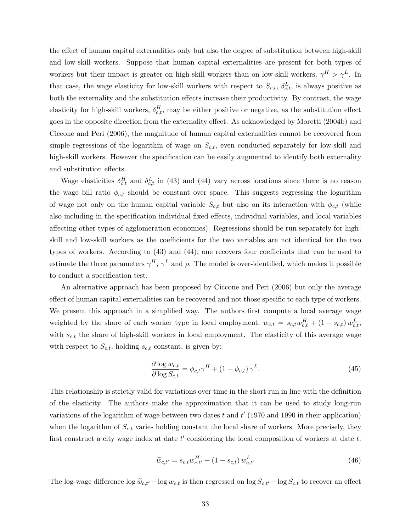the effect of human capital externalities only but also the degree of substitution between high-skill and low-skill workers. Suppose that human capital externalities are present for both types of workers but their impact is greater on high-skill workers than on low-skill workers,  $\gamma^H > \gamma^L$ . In that case, the wage elasticity for low-skill workers with respect to  $S_{c,t}$ ,  $\delta_{c,t}^L$ , is always positive as both the externality and the substitution effects increase their productivity. By contrast, the wage elasticity for high-skill workers,  $\delta_{c,t}^H$ , may be either positive or negative, as the substitution effect goes in the opposite direction from the externality effect. As acknowledged by Moretti (2004b) and Ciccone and Peri (2006), the magnitude of human capital externalities cannot be recovered from simple regressions of the logarithm of wage on  $S_{c,t}$ , even conducted separately for low-skill and high-skill workers. However the specification can be easily augmented to identify both externality and substitution effects.

Wage elasticities  $\delta_{c,t}^H$  and  $\delta_{c,t}^L$  in (43) and (44) vary across locations since there is no reason the wage bill ratio  $\phi_{c,t}$  should be constant over space. This suggests regressing the logarithm of wage not only on the human capital variable  $S_{c,t}$  but also on its interaction with  $\phi_{c,t}$  (while also including in the specification individual fixed effects, individual variables, and local variables affecting other types of agglomeration economies). Regressions should be run separately for highskill and low-skill workers as the coefficients for the two variables are not identical for the two types of workers. According to (43) and (44), one recovers four coefficients that can be used to estimate the three parameters  $\gamma^H$ ,  $\gamma^L$  and  $\rho$ . The model is over-identified, which makes it possible to conduct a specification test.

An alternative approach has been proposed by Ciccone and Peri (2006) but only the average effect of human capital externalities can be recovered and not those specific to each type of workers. We present this approach in a simplified way. The authors first compute a local average wage weighted by the share of each worker type in local employment,  $w_{c,t} = s_{c,t} w_{c,t}^H + (1 - s_{c,t}) w_{c,t}^L$ , with  $s_{c,t}$  the share of high-skill workers in local employment. The elasticity of this average wage with respect to  $S_{c,t}$ , holding  $s_{c,t}$  constant, is given by:

$$
\frac{\partial \log w_{c,t}}{\partial \log S_{c,t}} = \phi_{c,t} \gamma^H + (1 - \phi_{c,t}) \gamma^L.
$$
\n(45)

This relationship is strictly valid for variations over time in the short run in line with the definition of the elasticity. The authors make the approximation that it can be used to study long-run variations of the logarithm of wage between two dates  $t$  and  $t'$  (1970 and 1990 in their application) when the logarithm of  $S_{c,t}$  varies holding constant the local share of workers. More precisely, they first construct a city wage index at date  $t'$  considering the local composition of workers at date  $t$ :

$$
\widetilde{w}_{c,t'} = s_{c,t} w_{c,t'}^H + (1 - s_{c,t}) w_{c,t'}^L \tag{46}
$$

The log-wage difference log  $\widetilde{w}_{c,t'} - \log w_{c,t}$  is then regressed on log  $S_{c,t'} - \log S_{c,t}$  to recover an effect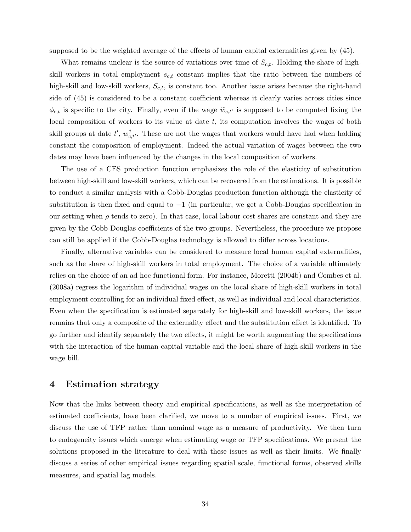supposed to be the weighted average of the effects of human capital externalities given by (45).

What remains unclear is the source of variations over time of  $S_{c,t}$ . Holding the share of highskill workers in total employment  $s_{c,t}$  constant implies that the ratio between the numbers of high-skill and low-skill workers,  $S_{c,t}$ , is constant too. Another issue arises because the right-hand side of (45) is considered to be a constant coefficient whereas it clearly varies across cities since  $\phi_{c,t}$  is specific to the city. Finally, even if the wage  $\widetilde{w}_{c,t'}$  is supposed to be computed fixing the local composition of workers to its value at date  $t$ , its computation involves the wages of both skill groups at date  $t'$ ,  $w_{c,t'}^j$ . These are not the wages that workers would have had when holding constant the composition of employment. Indeed the actual variation of wages between the two dates may have been influenced by the changes in the local composition of workers.

The use of a CES production function emphasizes the role of the elasticity of substitution between high-skill and low-skill workers, which can be recovered from the estimations. It is possible to conduct a similar analysis with a Cobb-Douglas production function although the elasticity of substitution is then fixed and equal to  $-1$  (in particular, we get a Cobb-Douglas specification in our setting when  $\rho$  tends to zero). In that case, local labour cost shares are constant and they are given by the Cobb-Douglas coefficients of the two groups. Nevertheless, the procedure we propose can still be applied if the Cobb-Douglas technology is allowed to differ across locations.

Finally, alternative variables can be considered to measure local human capital externalities, such as the share of high-skill workers in total employment. The choice of a variable ultimately relies on the choice of an ad hoc functional form. For instance, Moretti (2004b) and Combes et al. (2008a) regress the logarithm of individual wages on the local share of high-skill workers in total employment controlling for an individual fixed effect, as well as individual and local characteristics. Even when the specification is estimated separately for high-skill and low-skill workers, the issue remains that only a composite of the externality effect and the substitution effect is identified. To go further and identify separately the two effects, it might be worth augmenting the specifications with the interaction of the human capital variable and the local share of high-skill workers in the wage bill.

# 4 Estimation strategy

Now that the links between theory and empirical specifications, as well as the interpretation of estimated coefficients, have been clarified, we move to a number of empirical issues. First, we discuss the use of TFP rather than nominal wage as a measure of productivity. We then turn to endogeneity issues which emerge when estimating wage or TFP specifications. We present the solutions proposed in the literature to deal with these issues as well as their limits. We finally discuss a series of other empirical issues regarding spatial scale, functional forms, observed skills measures, and spatial lag models.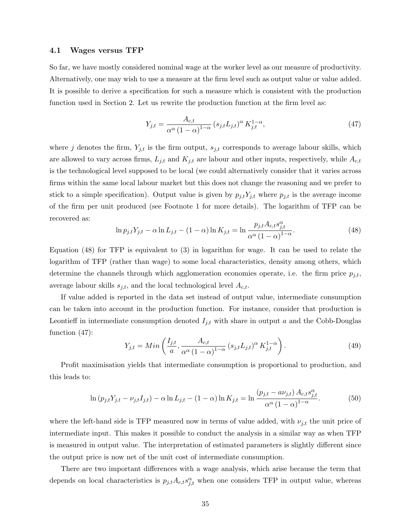#### 4.1 Wages versus TFP

So far, we have mostly considered nominal wage at the worker level as our measure of productivity. Alternatively, one may wish to use a measure at the firm level such as output value or value added. It is possible to derive a specification for such a measure which is consistent with the production function used in Section 2. Let us rewrite the production function at the firm level as:

$$
Y_{j,t} = \frac{A_{c,t}}{\alpha^{\alpha} (1 - \alpha)^{1 - \alpha}} (s_{j,t} L_{j,t})^{\alpha} K_{j,t}^{1 - \alpha},
$$
\n(47)

where j denotes the firm,  $Y_{j,t}$  is the firm output,  $s_{j,t}$  corresponds to average labour skills, which are allowed to vary across firms,  $L_{j,t}$  and  $K_{j,t}$  are labour and other inputs, respectively, while  $A_{c,t}$ is the technological level supposed to be local (we could alternatively consider that it varies across firms within the same local labour market but this does not change the reasoning and we prefer to stick to a simple specification). Output value is given by  $p_{j,t}Y_{j,t}$  where  $p_{j,t}$  is the average income of the firm per unit produced (see Footnote 1 for more details). The logarithm of TFP can be recovered as:

$$
\ln p_{j,t} Y_{j,t} - \alpha \ln L_{j,t} - (1 - \alpha) \ln K_{j,t} = \ln \frac{p_{j,t} A_{c,t} s_{j,t}^{\alpha}}{\alpha^{\alpha} (1 - \alpha)^{1 - \alpha}}.
$$
\n(48)

Equation (48) for TFP is equivalent to (3) in logarithm for wage. It can be used to relate the logarithm of TFP (rather than wage) to some local characteristics, density among others, which determine the channels through which agglomeration economies operate, i.e. the firm price  $p_{j,t}$ , average labour skills  $s_{j,t}$ , and the local technological level  $A_{c,t}$ .

If value added is reported in the data set instead of output value, intermediate consumption can be taken into account in the production function. For instance, consider that production is Leontieff in intermediate consumption denoted  $I_{j,t}$  with share in output a and the Cobb-Douglas function (47):

$$
Y_{j,t} = Min\left(\frac{I_{j,t}}{a}, \frac{A_{c,t}}{\alpha^{\alpha} (1-\alpha)^{1-\alpha}} (s_{j,t} L_{j,t})^{\alpha} K_{j,t}^{1-\alpha}\right).
$$
\n(49)

Profit maximisation yields that intermediate consumption is proportional to production, and this leads to:

$$
\ln (p_{j,t} Y_{j,t} - \nu_{j,t} I_{j,t}) - \alpha \ln L_{j,t} - (1 - \alpha) \ln K_{j,t} = \ln \frac{(p_{j,t} - a\nu_{j,t}) A_{c,t} s_{j,t}^{\alpha}}{\alpha^{\alpha} (1 - \alpha)^{1 - \alpha}}.
$$
 (50)

where the left-hand side is TFP measured now in terms of value added, with  $\nu_{i,t}$  the unit price of intermediate input. This makes it possible to conduct the analysis in a similar way as when TFP is measured in output value. The interpretation of estimated parameters is slightly different since the output price is now net of the unit cost of intermediate consumption.

There are two important differences with a wage analysis, which arise because the term that depends on local characteristics is  $p_{j,t} A_{c,t} s_{j,t}^{\alpha}$  when one considers TFP in output value, whereas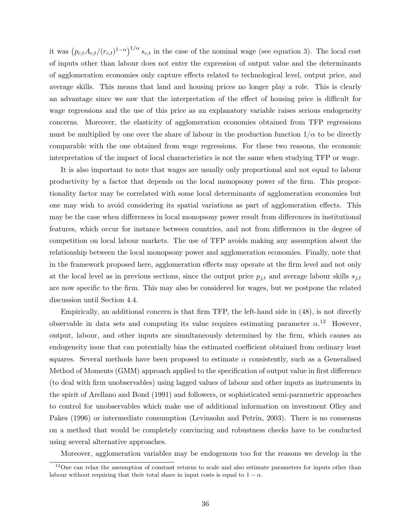it was  $(p_{c,t}A_{c,t}/(r_{c,t})^{1-\alpha})^{1/\alpha} s_{c,t}$  in the case of the nominal wage (see equation 3). The local cost of inputs other than labour does not enter the expression of output value and the determinants of agglomeration economies only capture effects related to technological level, output price, and average skills. This means that land and housing prices no longer play a role. This is clearly an advantage since we saw that the interpretation of the effect of housing price is difficult for wage regressions and the use of this price as an explanatory variable raises serious endogeneity concerns. Moreover, the elasticity of agglomeration economies obtained from TFP regressions must be multiplied by one over the share of labour in the production function  $1/\alpha$  to be directly comparable with the one obtained from wage regressions. For these two reasons, the economic interpretation of the impact of local characteristics is not the same when studying TFP or wage.

It is also important to note that wages are usually only proportional and not equal to labour productivity by a factor that depends on the local monopsony power of the firm. This proportionality factor may be correlated with some local determinants of agglomeration economies but one may wish to avoid considering its spatial variations as part of agglomeration effects. This may be the case when differences in local monopsony power result from differences in institutional features, which occur for instance between countries, and not from differences in the degree of competition on local labour markets. The use of TFP avoids making any assumption about the relationship between the local monopsony power and agglomeration economies. Finally, note that in the framework proposed here, agglomeration effects may operate at the firm level and not only at the local level as in previous sections, since the output price  $p_{j,t}$  and average labour skills  $s_{j,t}$ are now specific to the firm. This may also be considered for wages, but we postpone the related discussion until Section 4.4.

Empirically, an additional concern is that firm TFP, the left-hand side in (48), is not directly observable in data sets and computing its value requires estimating parameter  $\alpha$ .<sup>12</sup> However, output, labour, and other inputs are simultaneously determined by the firm, which causes an endogeneity issue that can potentially bias the estimated coefficient obtained from ordinary least squares. Several methods have been proposed to estimate  $\alpha$  consistently, such as a Generalised Method of Moments (GMM) approach applied to the specification of output value in first difference (to deal with firm unobservables) using lagged values of labour and other inputs as instruments in the spirit of Arellano and Bond (1991) and followers, or sophisticated semi-parametric approaches to control for unobservables which make use of additional information on investment Olley and Pakes (1996) or intermediate consumption (Levinsohn and Petrin, 2003). There is no consensus on a method that would be completely convincing and robustness checks have to be conducted using several alternative approaches.

Moreover, agglomeration variables may be endogenous too for the reasons we develop in the

<sup>&</sup>lt;sup>12</sup>One can relax the assumption of constant returns to scale and also estimate parameters for inputs other than labour without requiring that their total share in input costs is equal to  $1 - \alpha$ .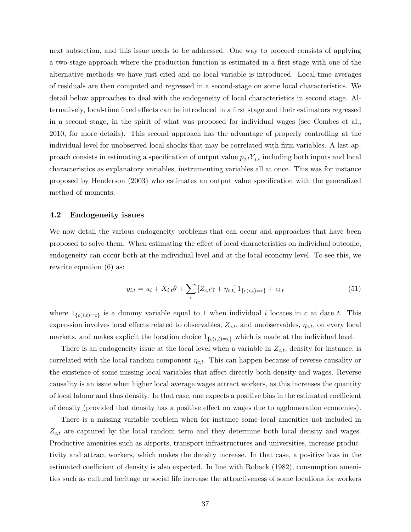next subsection, and this issue needs to be addressed. One way to proceed consists of applying a two-stage approach where the production function is estimated in a first stage with one of the alternative methods we have just cited and no local variable is introduced. Local-time averages of residuals are then computed and regressed in a second-stage on some local characteristics. We detail below approaches to deal with the endogeneity of local characteristics in second stage. Alternatively, local-time fixed effects can be introduced in a first stage and their estimators regressed in a second stage, in the spirit of what was proposed for individual wages (see Combes et al., 2010, for more details). This second approach has the advantage of properly controlling at the individual level for unobserved local shocks that may be correlated with firm variables. A last approach consists in estimating a specification of output value  $p_{j,t}Y_{j,t}$  including both inputs and local characteristics as explanatory variables, instrumenting variables all at once. This was for instance proposed by Henderson (2003) who estimates an output value specification with the generalized method of moments.

# 4.2 Endogeneity issues

We now detail the various endogeneity problems that can occur and approaches that have been proposed to solve them. When estimating the effect of local characteristics on individual outcome, endogeneity can occur both at the individual level and at the local economy level. To see this, we rewrite equation (6) as:

$$
y_{i,t} = u_i + X_{i,t}\theta + \sum_c [Z_{c,t}\gamma + \eta_{c,t}] \, 1_{\{c(i,t) = c\}} + \epsilon_{i,t} \tag{51}
$$

where  $1_{\{c(i,t)=c\}}$  is a dummy variable equal to 1 when individual i locates in c at date t. This expression involves local effects related to observables,  $Z_{c,t}$ , and unobservables,  $\eta_{c,t}$ , on every local markets, and makes explicit the location choice  $1_{\{c(i,t)=c\}}$  which is made at the individual level.

There is an endogeneity issue at the local level when a variable in  $Z_{c,t}$ , density for instance, is correlated with the local random component  $\eta_{c,t}$ . This can happen because of reverse causality or the existence of some missing local variables that affect directly both density and wages. Reverse causality is an issue when higher local average wages attract workers, as this increases the quantity of local labour and thus density. In that case, one expects a positive bias in the estimated coefficient of density (provided that density has a positive effect on wages due to agglomeration economies).

There is a missing variable problem when for instance some local amenities not included in  $Z_{c,t}$  are captured by the local random term and they determine both local density and wages. Productive amenities such as airports, transport infrastructures and universities, increase productivity and attract workers, which makes the density increase. In that case, a positive bias in the estimated coefficient of density is also expected. In line with Roback (1982), consumption amenities such as cultural heritage or social life increase the attractiveness of some locations for workers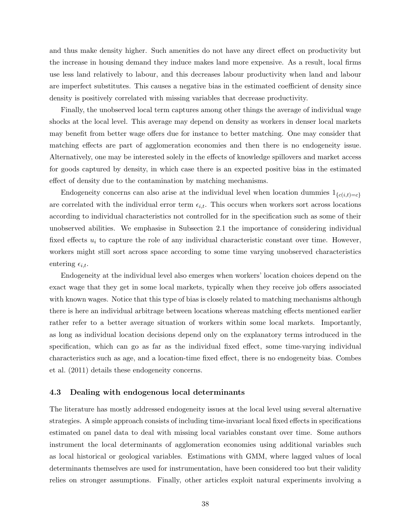and thus make density higher. Such amenities do not have any direct effect on productivity but the increase in housing demand they induce makes land more expensive. As a result, local firms use less land relatively to labour, and this decreases labour productivity when land and labour are imperfect substitutes. This causes a negative bias in the estimated coefficient of density since density is positively correlated with missing variables that decrease productivity.

Finally, the unobserved local term captures among other things the average of individual wage shocks at the local level. This average may depend on density as workers in denser local markets may benefit from better wage offers due for instance to better matching. One may consider that matching effects are part of agglomeration economies and then there is no endogeneity issue. Alternatively, one may be interested solely in the effects of knowledge spillovers and market access for goods captured by density, in which case there is an expected positive bias in the estimated effect of density due to the contamination by matching mechanisms.

Endogeneity concerns can also arise at the individual level when location dummies  $1_{\{c(i,t)=c\}}$ are correlated with the individual error term  $\epsilon_{i,t}$ . This occurs when workers sort across locations according to individual characteristics not controlled for in the specification such as some of their unobserved abilities. We emphasise in Subsection 2.1 the importance of considering individual fixed effects  $u_i$  to capture the role of any individual characteristic constant over time. However, workers might still sort across space according to some time varying unobserved characteristics entering  $\epsilon_{i,t}$ .

Endogeneity at the individual level also emerges when workers' location choices depend on the exact wage that they get in some local markets, typically when they receive job offers associated with known wages. Notice that this type of bias is closely related to matching mechanisms although there is here an individual arbitrage between locations whereas matching effects mentioned earlier rather refer to a better average situation of workers within some local markets. Importantly, as long as individual location decisions depend only on the explanatory terms introduced in the specification, which can go as far as the individual fixed effect, some time-varying individual characteristics such as age, and a location-time fixed effect, there is no endogeneity bias. Combes et al. (2011) details these endogeneity concerns.

# 4.3 Dealing with endogenous local determinants

The literature has mostly addressed endogeneity issues at the local level using several alternative strategies. A simple approach consists of including time-invariant local fixed effects in specifications estimated on panel data to deal with missing local variables constant over time. Some authors instrument the local determinants of agglomeration economies using additional variables such as local historical or geological variables. Estimations with GMM, where lagged values of local determinants themselves are used for instrumentation, have been considered too but their validity relies on stronger assumptions. Finally, other articles exploit natural experiments involving a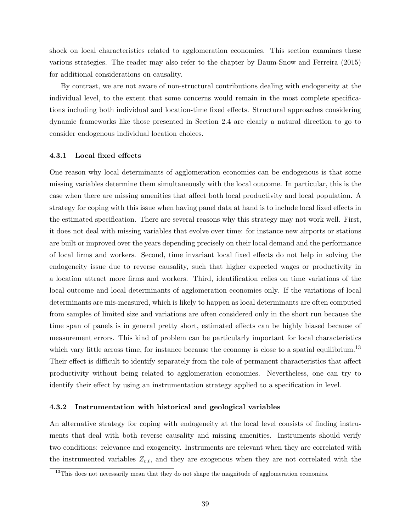shock on local characteristics related to agglomeration economies. This section examines these various strategies. The reader may also refer to the chapter by Baum-Snow and Ferreira (2015) for additional considerations on causality.

By contrast, we are not aware of non-structural contributions dealing with endogeneity at the individual level, to the extent that some concerns would remain in the most complete specifications including both individual and location-time fixed effects. Structural approaches considering dynamic frameworks like those presented in Section 2.4 are clearly a natural direction to go to consider endogenous individual location choices.

#### 4.3.1 Local fixed effects

One reason why local determinants of agglomeration economies can be endogenous is that some missing variables determine them simultaneously with the local outcome. In particular, this is the case when there are missing amenities that affect both local productivity and local population. A strategy for coping with this issue when having panel data at hand is to include local fixed effects in the estimated specification. There are several reasons why this strategy may not work well. First, it does not deal with missing variables that evolve over time: for instance new airports or stations are built or improved over the years depending precisely on their local demand and the performance of local firms and workers. Second, time invariant local fixed effects do not help in solving the endogeneity issue due to reverse causality, such that higher expected wages or productivity in a location attract more firms and workers. Third, identification relies on time variations of the local outcome and local determinants of agglomeration economies only. If the variations of local determinants are mis-measured, which is likely to happen as local determinants are often computed from samples of limited size and variations are often considered only in the short run because the time span of panels is in general pretty short, estimated effects can be highly biased because of measurement errors. This kind of problem can be particularly important for local characteristics which vary little across time, for instance because the economy is close to a spatial equilibrium.<sup>13</sup> Their effect is difficult to identify separately from the role of permanent characteristics that affect productivity without being related to agglomeration economies. Nevertheless, one can try to identify their effect by using an instrumentation strategy applied to a specification in level.

#### 4.3.2 Instrumentation with historical and geological variables

An alternative strategy for coping with endogeneity at the local level consists of finding instruments that deal with both reverse causality and missing amenities. Instruments should verify two conditions: relevance and exogeneity. Instruments are relevant when they are correlated with the instrumented variables  $Z_{c,t}$ , and they are exogenous when they are not correlated with the

<sup>&</sup>lt;sup>13</sup>This does not necessarily mean that they do not shape the magnitude of agglomeration economies.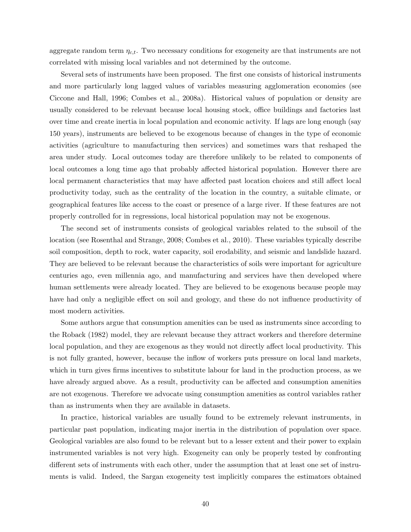aggregate random term  $\eta_{c,t}$ . Two necessary conditions for exogeneity are that instruments are not correlated with missing local variables and not determined by the outcome.

Several sets of instruments have been proposed. The first one consists of historical instruments and more particularly long lagged values of variables measuring agglomeration economies (see Ciccone and Hall, 1996; Combes et al., 2008a). Historical values of population or density are usually considered to be relevant because local housing stock, office buildings and factories last over time and create inertia in local population and economic activity. If lags are long enough (say 150 years), instruments are believed to be exogenous because of changes in the type of economic activities (agriculture to manufacturing then services) and sometimes wars that reshaped the area under study. Local outcomes today are therefore unlikely to be related to components of local outcomes a long time ago that probably affected historical population. However there are local permanent characteristics that may have affected past location choices and still affect local productivity today, such as the centrality of the location in the country, a suitable climate, or geographical features like access to the coast or presence of a large river. If these features are not properly controlled for in regressions, local historical population may not be exogenous.

The second set of instruments consists of geological variables related to the subsoil of the location (see Rosenthal and Strange, 2008; Combes et al., 2010). These variables typically describe soil composition, depth to rock, water capacity, soil erodability, and seismic and landslide hazard. They are believed to be relevant because the characteristics of soils were important for agriculture centuries ago, even millennia ago, and manufacturing and services have then developed where human settlements were already located. They are believed to be exogenous because people may have had only a negligible effect on soil and geology, and these do not influence productivity of most modern activities.

Some authors argue that consumption amenities can be used as instruments since according to the Roback (1982) model, they are relevant because they attract workers and therefore determine local population, and they are exogenous as they would not directly affect local productivity. This is not fully granted, however, because the inflow of workers puts pressure on local land markets, which in turn gives firms incentives to substitute labour for land in the production process, as we have already argued above. As a result, productivity can be affected and consumption amenities are not exogenous. Therefore we advocate using consumption amenities as control variables rather than as instruments when they are available in datasets.

In practice, historical variables are usually found to be extremely relevant instruments, in particular past population, indicating major inertia in the distribution of population over space. Geological variables are also found to be relevant but to a lesser extent and their power to explain instrumented variables is not very high. Exogeneity can only be properly tested by confronting different sets of instruments with each other, under the assumption that at least one set of instruments is valid. Indeed, the Sargan exogeneity test implicitly compares the estimators obtained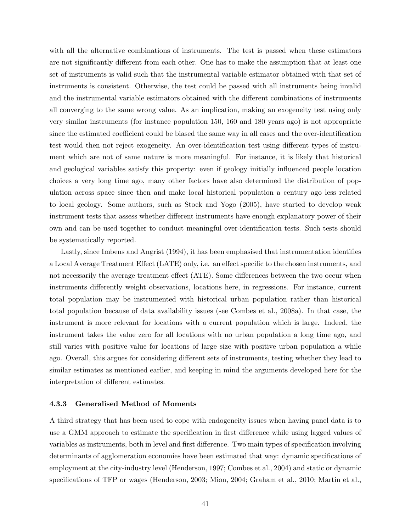with all the alternative combinations of instruments. The test is passed when these estimators are not significantly different from each other. One has to make the assumption that at least one set of instruments is valid such that the instrumental variable estimator obtained with that set of instruments is consistent. Otherwise, the test could be passed with all instruments being invalid and the instrumental variable estimators obtained with the different combinations of instruments all converging to the same wrong value. As an implication, making an exogeneity test using only very similar instruments (for instance population 150, 160 and 180 years ago) is not appropriate since the estimated coefficient could be biased the same way in all cases and the over-identification test would then not reject exogeneity. An over-identification test using different types of instrument which are not of same nature is more meaningful. For instance, it is likely that historical and geological variables satisfy this property: even if geology initially influenced people location choices a very long time ago, many other factors have also determined the distribution of population across space since then and make local historical population a century ago less related to local geology. Some authors, such as Stock and Yogo (2005), have started to develop weak instrument tests that assess whether different instruments have enough explanatory power of their own and can be used together to conduct meaningful over-identification tests. Such tests should be systematically reported.

Lastly, since Imbens and Angrist (1994), it has been emphasised that instrumentation identifies a Local Average Treatment Effect (LATE) only, i.e. an effect specific to the chosen instruments, and not necessarily the average treatment effect (ATE). Some differences between the two occur when instruments differently weight observations, locations here, in regressions. For instance, current total population may be instrumented with historical urban population rather than historical total population because of data availability issues (see Combes et al., 2008a). In that case, the instrument is more relevant for locations with a current population which is large. Indeed, the instrument takes the value zero for all locations with no urban population a long time ago, and still varies with positive value for locations of large size with positive urban population a while ago. Overall, this argues for considering different sets of instruments, testing whether they lead to similar estimates as mentioned earlier, and keeping in mind the arguments developed here for the interpretation of different estimates.

#### 4.3.3 Generalised Method of Moments

A third strategy that has been used to cope with endogeneity issues when having panel data is to use a GMM approach to estimate the specification in first difference while using lagged values of variables as instruments, both in level and first difference. Two main types of specification involving determinants of agglomeration economies have been estimated that way: dynamic specifications of employment at the city-industry level (Henderson, 1997; Combes et al., 2004) and static or dynamic specifications of TFP or wages (Henderson, 2003; Mion, 2004; Graham et al., 2010; Martin et al.,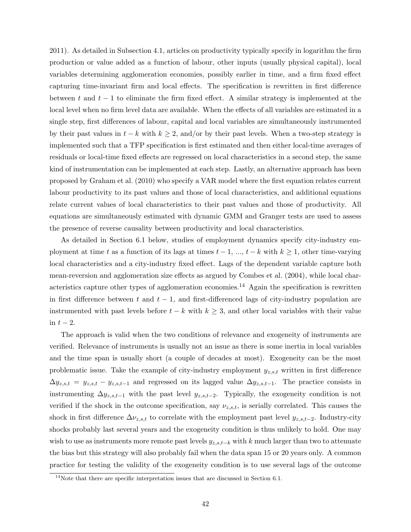2011). As detailed in Subsection 4.1, articles on productivity typically specify in logarithm the firm production or value added as a function of labour, other inputs (usually physical capital), local variables determining agglomeration economies, possibly earlier in time, and a firm fixed effect capturing time-invariant firm and local effects. The specification is rewritten in first difference between t and  $t-1$  to eliminate the firm fixed effect. A similar strategy is implemented at the local level when no firm level data are available. When the effects of all variables are estimated in a single step, first differences of labour, capital and local variables are simultaneously instrumented by their past values in  $t - k$  with  $k \geq 2$ , and/or by their past levels. When a two-step strategy is implemented such that a TFP specification is first estimated and then either local-time averages of residuals or local-time fixed effects are regressed on local characteristics in a second step, the same kind of instrumentation can be implemented at each step. Lastly, an alternative approach has been proposed by Graham et al. (2010) who specify a VAR model where the first equation relates current labour productivity to its past values and those of local characteristics, and additional equations relate current values of local characteristics to their past values and those of productivity. All equations are simultaneously estimated with dynamic GMM and Granger tests are used to assess the presence of reverse causality between productivity and local characteristics.

As detailed in Section 6.1 below, studies of employment dynamics specify city-industry employment at time t as a function of its lags at times  $t - 1, ..., t - k$  with  $k \geq 1$ , other time-varying local characteristics and a city-industry fixed effect. Lags of the dependent variable capture both mean-reversion and agglomeration size effects as argued by Combes et al. (2004), while local characteristics capture other types of agglomeration economies.<sup>14</sup> Again the specification is rewritten in first difference between t and  $t - 1$ , and first-differenced lags of city-industry population are instrumented with past levels before  $t - k$  with  $k \geq 3$ , and other local variables with their value in  $t-2$ .

The approach is valid when the two conditions of relevance and exogeneity of instruments are verified. Relevance of instruments is usually not an issue as there is some inertia in local variables and the time span is usually short (a couple of decades at most). Exogeneity can be the most problematic issue. Take the example of city-industry employment  $y_{z,s,t}$  written in first difference  $\Delta y_{z,s,t} = y_{z,s,t} - y_{z,s,t-1}$  and regressed on its lagged value  $\Delta y_{z,s,t-1}$ . The practice consists in instrumenting  $\Delta y_{z,s,t-1}$  with the past level  $y_{z,s,t-2}$ . Typically, the exogeneity condition is not verified if the shock in the outcome specification, say  $\nu_{z,s,t}$ , is serially correlated. This causes the shock in first difference  $\Delta \nu_{z,s,t}$  to correlate with the employment past level  $y_{z,s,t-2}$ . Industry-city shocks probably last several years and the exogeneity condition is thus unlikely to hold. One may wish to use as instruments more remote past levels  $y_{z,s,t-k}$  with k much larger than two to attenuate the bias but this strategy will also probably fail when the data span 15 or 20 years only. A common practice for testing the validity of the exogeneity condition is to use several lags of the outcome

<sup>&</sup>lt;sup>14</sup>Note that there are specific interpretation issues that are discussed in Section 6.1.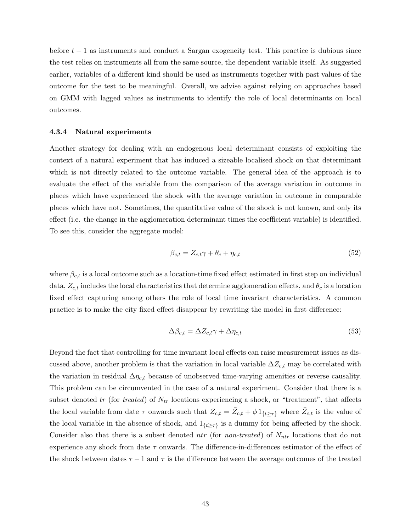before  $t-1$  as instruments and conduct a Sargan exogeneity test. This practice is dubious since the test relies on instruments all from the same source, the dependent variable itself. As suggested earlier, variables of a different kind should be used as instruments together with past values of the outcome for the test to be meaningful. Overall, we advise against relying on approaches based on GMM with lagged values as instruments to identify the role of local determinants on local outcomes.

#### 4.3.4 Natural experiments

Another strategy for dealing with an endogenous local determinant consists of exploiting the context of a natural experiment that has induced a sizeable localised shock on that determinant which is not directly related to the outcome variable. The general idea of the approach is to evaluate the effect of the variable from the comparison of the average variation in outcome in places which have experienced the shock with the average variation in outcome in comparable places which have not. Sometimes, the quantitative value of the shock is not known, and only its effect (i.e. the change in the agglomeration determinant times the coefficient variable) is identified. To see this, consider the aggregate model:

$$
\beta_{c,t} = Z_{c,t}\gamma + \theta_c + \eta_{c,t} \tag{52}
$$

where  $\beta_{c,t}$  is a local outcome such as a location-time fixed effect estimated in first step on individual data,  $Z_{c,t}$  includes the local characteristics that determine agglomeration effects, and  $\theta_c$  is a location fixed effect capturing among others the role of local time invariant characteristics. A common practice is to make the city fixed effect disappear by rewriting the model in first difference:

$$
\Delta \beta_{c,t} = \Delta Z_{c,t} \gamma + \Delta \eta_{c,t} \tag{53}
$$

Beyond the fact that controlling for time invariant local effects can raise measurement issues as discussed above, another problem is that the variation in local variable  $\Delta Z_{c,t}$  may be correlated with the variation in residual  $\Delta \eta_{c,t}$  because of unobserved time-varying amenities or reverse causality. This problem can be circumvented in the case of a natural experiment. Consider that there is a subset denoted tr (for treated) of  $N_{tr}$  locations experiencing a shock, or "treatment", that affects the local variable from date  $\tau$  onwards such that  $Z_{c,t} = \bar{Z}_{c,t} + \phi 1_{\{t \geq \tau\}}$  where  $\bar{Z}_{c,t}$  is the value of the local variable in the absence of shock, and  $1_{\{t\geq \tau\}}$  is a dummy for being affected by the shock. Consider also that there is a subset denoted ntr (for non-treated) of  $N_{ntr}$  locations that do not experience any shock from date  $\tau$  onwards. The difference-in-differences estimator of the effect of the shock between dates  $\tau - 1$  and  $\tau$  is the difference between the average outcomes of the treated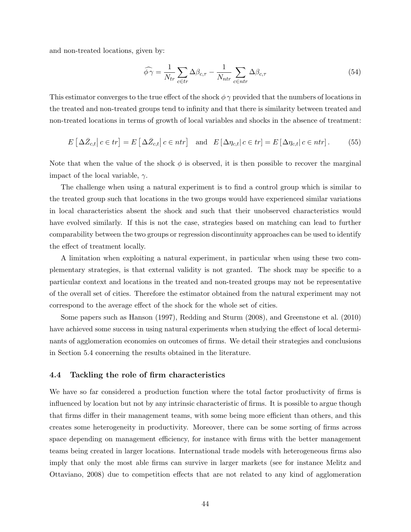and non-treated locations, given by:

$$
\widehat{\phi\gamma} = \frac{1}{N_{tr}} \sum_{c \in tr} \Delta \beta_{c,\tau} - \frac{1}{N_{ntr}} \sum_{c \in ntr} \Delta \beta_{c,\tau}
$$
\n(54)

This estimator converges to the true effect of the shock  $\phi \gamma$  provided that the numbers of locations in the treated and non-treated groups tend to infinity and that there is similarity between treated and non-treated locations in terms of growth of local variables and shocks in the absence of treatment:

$$
E\left[\Delta \bar{Z}_{c,t} \middle| c \in tr\right] = E\left[\Delta \bar{Z}_{c,t} \middle| c \in ntr\right] \quad \text{and} \quad E\left[\Delta \eta_{c,t} \middle| c \in tr\right] = E\left[\Delta \eta_{c,t} \middle| c \in ntr\right]. \tag{55}
$$

Note that when the value of the shock  $\phi$  is observed, it is then possible to recover the marginal impact of the local variable,  $\gamma$ .

The challenge when using a natural experiment is to find a control group which is similar to the treated group such that locations in the two groups would have experienced similar variations in local characteristics absent the shock and such that their unobserved characteristics would have evolved similarly. If this is not the case, strategies based on matching can lead to further comparability between the two groups or regression discontinuity approaches can be used to identify the effect of treatment locally.

A limitation when exploiting a natural experiment, in particular when using these two complementary strategies, is that external validity is not granted. The shock may be specific to a particular context and locations in the treated and non-treated groups may not be representative of the overall set of cities. Therefore the estimator obtained from the natural experiment may not correspond to the average effect of the shock for the whole set of cities.

Some papers such as Hanson (1997), Redding and Sturm (2008), and Greenstone et al. (2010) have achieved some success in using natural experiments when studying the effect of local determinants of agglomeration economies on outcomes of firms. We detail their strategies and conclusions in Section 5.4 concerning the results obtained in the literature.

# 4.4 Tackling the role of firm characteristics

We have so far considered a production function where the total factor productivity of firms is influenced by location but not by any intrinsic characteristic of firms. It is possible to argue though that firms differ in their management teams, with some being more efficient than others, and this creates some heterogeneity in productivity. Moreover, there can be some sorting of firms across space depending on management efficiency, for instance with firms with the better management teams being created in larger locations. International trade models with heterogeneous firms also imply that only the most able firms can survive in larger markets (see for instance Melitz and Ottaviano, 2008) due to competition effects that are not related to any kind of agglomeration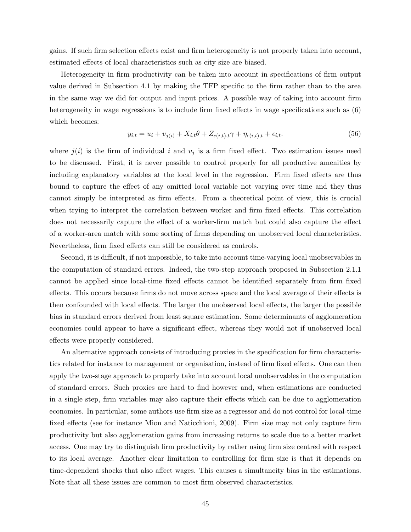gains. If such firm selection effects exist and firm heterogeneity is not properly taken into account, estimated effects of local characteristics such as city size are biased.

Heterogeneity in firm productivity can be taken into account in specifications of firm output value derived in Subsection 4.1 by making the TFP specific to the firm rather than to the area in the same way we did for output and input prices. A possible way of taking into account firm heterogeneity in wage regressions is to include firm fixed effects in wage specifications such as (6) which becomes:

$$
y_{i,t} = u_i + v_{j(i)} + X_{i,t}\theta + Z_{c(i,t),t}\gamma + \eta_{c(i,t),t} + \epsilon_{i,t}.\tag{56}
$$

where  $j(i)$  is the firm of individual i and  $v_j$  is a firm fixed effect. Two estimation issues need to be discussed. First, it is never possible to control properly for all productive amenities by including explanatory variables at the local level in the regression. Firm fixed effects are thus bound to capture the effect of any omitted local variable not varying over time and they thus cannot simply be interpreted as firm effects. From a theoretical point of view, this is crucial when trying to interpret the correlation between worker and firm fixed effects. This correlation does not necessarily capture the effect of a worker-firm match but could also capture the effect of a worker-area match with some sorting of firms depending on unobserved local characteristics. Nevertheless, firm fixed effects can still be considered as controls.

Second, it is difficult, if not impossible, to take into account time-varying local unobservables in the computation of standard errors. Indeed, the two-step approach proposed in Subsection 2.1.1 cannot be applied since local-time fixed effects cannot be identified separately from firm fixed effects. This occurs because firms do not move across space and the local average of their effects is then confounded with local effects. The larger the unobserved local effects, the larger the possible bias in standard errors derived from least square estimation. Some determinants of agglomeration economies could appear to have a significant effect, whereas they would not if unobserved local effects were properly considered.

An alternative approach consists of introducing proxies in the specification for firm characteristics related for instance to management or organisation, instead of firm fixed effects. One can then apply the two-stage approach to properly take into account local unobservables in the computation of standard errors. Such proxies are hard to find however and, when estimations are conducted in a single step, firm variables may also capture their effects which can be due to agglomeration economies. In particular, some authors use firm size as a regressor and do not control for local-time fixed effects (see for instance Mion and Naticchioni, 2009). Firm size may not only capture firm productivity but also agglomeration gains from increasing returns to scale due to a better market access. One may try to distinguish firm productivity by rather using firm size centred with respect to its local average. Another clear limitation to controlling for firm size is that it depends on time-dependent shocks that also affect wages. This causes a simultaneity bias in the estimations. Note that all these issues are common to most firm observed characteristics.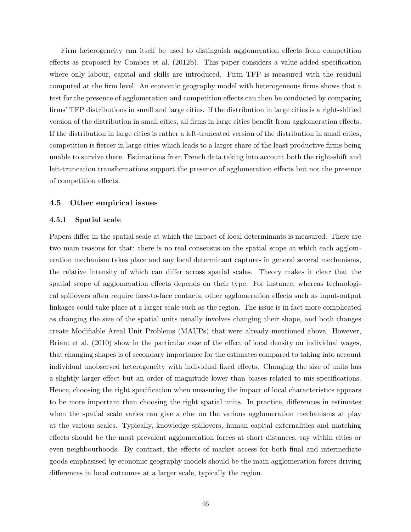Firm heterogeneity can itself be used to distinguish agglomeration effects from competition effects as proposed by Combes et al. (2012b). This paper considers a value-added specification where only labour, capital and skills are introduced. Firm TFP is measured with the residual computed at the firm level. An economic geography model with heterogeneous firms shows that a test for the presence of agglomeration and competition effects can then be conducted by comparing firms' TFP distributions in small and large cities. If the distribution in large cities is a right-shifted version of the distribution in small cities, all firms in large cities benefit from agglomeration effects. If the distribution in large cities is rather a left-truncated version of the distribution in small cities, competition is fiercer in large cities which leads to a larger share of the least productive firms being unable to survive there. Estimations from French data taking into account both the right-shift and left-truncation transformations support the presence of agglomeration effects but not the presence of competition effects.

# 4.5 Other empirical issues

### 4.5.1 Spatial scale

Papers differ in the spatial scale at which the impact of local determinants is measured. There are two main reasons for that: there is no real consensus on the spatial scope at which each agglomeration mechanism takes place and any local determinant captures in general several mechanisms, the relative intensity of which can differ across spatial scales. Theory makes it clear that the spatial scope of agglomeration effects depends on their type. For instance, whereas technological spillovers often require face-to-face contacts, other agglomeration effects such as input-output linkages could take place at a larger scale such as the region. The issue is in fact more complicated as changing the size of the spatial units usually involves changing their shape, and both changes create Modifiable Areal Unit Problems (MAUPs) that were already mentioned above. However, Briant et al. (2010) show in the particular case of the effect of local density on individual wages, that changing shapes is of secondary importance for the estimates compared to taking into account individual unobserved heterogeneity with individual fixed effects. Changing the size of units has a slightly larger effect but an order of magnitude lower than biases related to mis-specifications. Hence, choosing the right specification when measuring the impact of local characteristics appears to be more important than choosing the right spatial units. In practice, differences in estimates when the spatial scale varies can give a clue on the various agglomeration mechanisms at play at the various scales. Typically, knowledge spillovers, human capital externalities and matching effects should be the most prevalent agglomeration forces at short distances, say within cities or even neighbourhoods. By contrast, the effects of market access for both final and intermediate goods emphasised by economic geography models should be the main agglomeration forces driving differences in local outcomes at a larger scale, typically the region.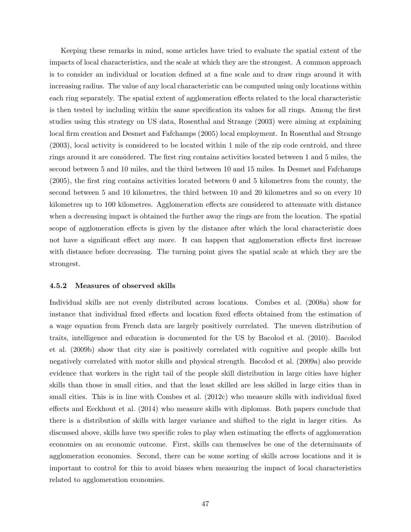Keeping these remarks in mind, some articles have tried to evaluate the spatial extent of the impacts of local characteristics, and the scale at which they are the strongest. A common approach is to consider an individual or location defined at a fine scale and to draw rings around it with increasing radius. The value of any local characteristic can be computed using only locations within each ring separately. The spatial extent of agglomeration effects related to the local characteristic is then tested by including within the same specification its values for all rings. Among the first studies using this strategy on US data, Rosenthal and Strange (2003) were aiming at explaining local firm creation and Desmet and Fafchamps (2005) local employment. In Rosenthal and Strange (2003), local activity is considered to be located within 1 mile of the zip code centroid, and three rings around it are considered. The first ring contains activities located between 1 and 5 miles, the second between 5 and 10 miles, and the third between 10 and 15 miles. In Desmet and Fafchamps (2005), the first ring contains activities located between 0 and 5 kilometres from the county, the second between 5 and 10 kilometres, the third between 10 and 20 kilometres and so on every 10 kilometres up to 100 kilometres. Agglomeration effects are considered to attenuate with distance when a decreasing impact is obtained the further away the rings are from the location. The spatial scope of agglomeration effects is given by the distance after which the local characteristic does not have a significant effect any more. It can happen that agglomeration effects first increase with distance before decreasing. The turning point gives the spatial scale at which they are the strongest.

#### 4.5.2 Measures of observed skills

Individual skills are not evenly distributed across locations. Combes et al. (2008a) show for instance that individual fixed effects and location fixed effects obtained from the estimation of a wage equation from French data are largely positively correlated. The uneven distribution of traits, intelligence and education is documented for the US by Bacolod et al. (2010). Bacolod et al. (2009b) show that city size is positively correlated with cognitive and people skills but negatively correlated with motor skills and physical strength. Bacolod et al. (2009a) also provide evidence that workers in the right tail of the people skill distribution in large cities have higher skills than those in small cities, and that the least skilled are less skilled in large cities than in small cities. This is in line with Combes et al. (2012c) who measure skills with individual fixed effects and Eeckhout et al. (2014) who measure skills with diplomas. Both papers conclude that there is a distribution of skills with larger variance and shifted to the right in larger cities. As discussed above, skills have two specific roles to play when estimating the effects of agglomeration economies on an economic outcome. First, skills can themselves be one of the determinants of agglomeration economies. Second, there can be some sorting of skills across locations and it is important to control for this to avoid biases when measuring the impact of local characteristics related to agglomeration economies.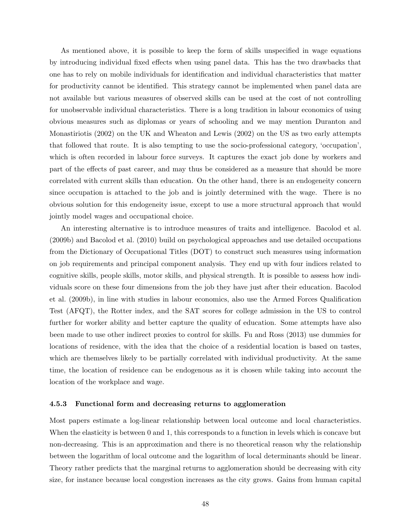As mentioned above, it is possible to keep the form of skills unspecified in wage equations by introducing individual fixed effects when using panel data. This has the two drawbacks that one has to rely on mobile individuals for identification and individual characteristics that matter for productivity cannot be identified. This strategy cannot be implemented when panel data are not available but various measures of observed skills can be used at the cost of not controlling for unobservable individual characteristics. There is a long tradition in labour economics of using obvious measures such as diplomas or years of schooling and we may mention Duranton and Monastiriotis (2002) on the UK and Wheaton and Lewis (2002) on the US as two early attempts that followed that route. It is also tempting to use the socio-professional category, 'occupation', which is often recorded in labour force surveys. It captures the exact job done by workers and part of the effects of past career, and may thus be considered as a measure that should be more correlated with current skills than education. On the other hand, there is an endogeneity concern since occupation is attached to the job and is jointly determined with the wage. There is no obvious solution for this endogeneity issue, except to use a more structural approach that would jointly model wages and occupational choice.

An interesting alternative is to introduce measures of traits and intelligence. Bacolod et al. (2009b) and Bacolod et al. (2010) build on psychological approaches and use detailed occupations from the Dictionary of Occupational Titles (DOT) to construct such measures using information on job requirements and principal component analysis. They end up with four indices related to cognitive skills, people skills, motor skills, and physical strength. It is possible to assess how individuals score on these four dimensions from the job they have just after their education. Bacolod et al. (2009b), in line with studies in labour economics, also use the Armed Forces Qualification Test (AFQT), the Rotter index, and the SAT scores for college admission in the US to control further for worker ability and better capture the quality of education. Some attempts have also been made to use other indirect proxies to control for skills. Fu and Ross (2013) use dummies for locations of residence, with the idea that the choice of a residential location is based on tastes, which are themselves likely to be partially correlated with individual productivity. At the same time, the location of residence can be endogenous as it is chosen while taking into account the location of the workplace and wage.

# 4.5.3 Functional form and decreasing returns to agglomeration

Most papers estimate a log-linear relationship between local outcome and local characteristics. When the elasticity is between 0 and 1, this corresponds to a function in levels which is concave but non-decreasing. This is an approximation and there is no theoretical reason why the relationship between the logarithm of local outcome and the logarithm of local determinants should be linear. Theory rather predicts that the marginal returns to agglomeration should be decreasing with city size, for instance because local congestion increases as the city grows. Gains from human capital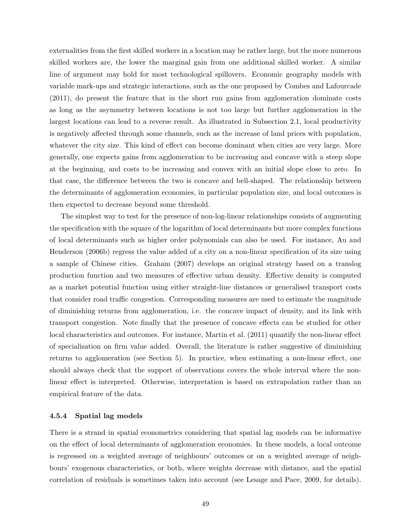externalities from the first skilled workers in a location may be rather large, but the more numerous skilled workers are, the lower the marginal gain from one additional skilled worker. A similar line of argument may hold for most technological spillovers. Economic geography models with variable mark-ups and strategic interactions, such as the one proposed by Combes and Lafourcade (2011), do present the feature that in the short run gains from agglomeration dominate costs as long as the asymmetry between locations is not too large but further agglomeration in the largest locations can lead to a reverse result. As illustrated in Subsection 2.1, local productivity is negatively affected through some channels, such as the increase of land prices with population, whatever the city size. This kind of effect can become dominant when cities are very large. More generally, one expects gains from agglomeration to be increasing and concave with a steep slope at the beginning, and costs to be increasing and convex with an initial slope close to zero. In that case, the difference between the two is concave and bell-shaped. The relationship between the determinants of agglomeration economies, in particular population size, and local outcomes is then expected to decrease beyond some threshold.

The simplest way to test for the presence of non-log-linear relationships consists of augmenting the specification with the square of the logarithm of local determinants but more complex functions of local determinants such as higher order polynomials can also be used. For instance, Au and Henderson (2006b) regress the value added of a city on a non-linear specification of its size using a sample of Chinese cities. Graham (2007) develops an original strategy based on a translog production function and two measures of effective urban density. Effective density is computed as a market potential function using either straight-line distances or generalised transport costs that consider road traffic congestion. Corresponding measures are used to estimate the magnitude of diminishing returns from agglomeration, i.e. the concave impact of density, and its link with transport congestion. Note finally that the presence of concave effects can be studied for other local characteristics and outcomes. For instance, Martin et al. (2011) quantify the non-linear effect of specialisation on firm value added. Overall, the literature is rather suggestive of diminishing returns to agglomeration (see Section 5). In practice, when estimating a non-linear effect, one should always check that the support of observations covers the whole interval where the nonlinear effect is interpreted. Otherwise, interpretation is based on extrapolation rather than an empirical feature of the data.

#### 4.5.4 Spatial lag models

There is a strand in spatial econometrics considering that spatial lag models can be informative on the effect of local determinants of agglomeration economies. In these models, a local outcome is regressed on a weighted average of neighbours' outcomes or on a weighted average of neighbours' exogenous characteristics, or both, where weights decrease with distance, and the spatial correlation of residuals is sometimes taken into account (see Lesage and Pace, 2009, for details).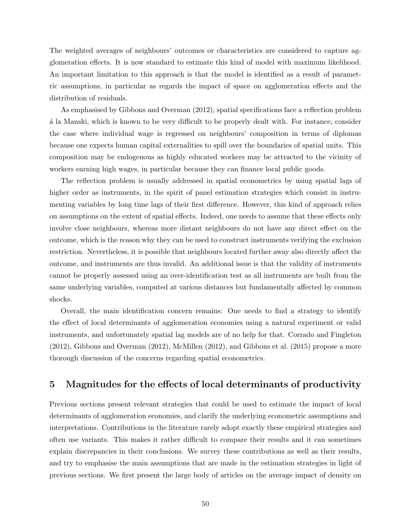The weighted averages of neighbours' outcomes or characteristics are considered to capture agglomeration effects. It is now standard to estimate this kind of model with maximum likelihood. An important limitation to this approach is that the model is identified as a result of parametric assumptions, in particular as regards the impact of space on agglomeration effects and the distribution of residuals.

As emphasised by Gibbons and Overman (2012), spatial specifications face a reflection problem ´a la Manski, which is known to be very difficult to be properly dealt with. For instance, consider the case where individual wage is regressed on neighbours' composition in terms of diplomas because one expects human capital externalities to spill over the boundaries of spatial units. This composition may be endogenous as highly educated workers may be attracted to the vicinity of workers earning high wages, in particular because they can finance local public goods.

The reflection problem is usually addressed in spatial econometrics by using spatial lags of higher order as instruments, in the spirit of panel estimation strategies which consist in instrumenting variables by long time lags of their first difference. However, this kind of approach relies on assumptions on the extent of spatial effects. Indeed, one needs to assume that these effects only involve close neighbours, whereas more distant neighbours do not have any direct effect on the outcome, which is the reason why they can be used to construct instruments verifying the exclusion restriction. Nevertheless, it is possible that neighbours located further away also directly affect the outcome, and instruments are thus invalid. An additional issue is that the validity of instruments cannot be properly assessed using an over-identification test as all instruments are built from the same underlying variables, computed at various distances but fundamentally affected by common shocks.

Overall, the main identification concern remains: One needs to find a strategy to identify the effect of local determinants of agglomeration economies using a natural experiment or valid instruments, and unfortunately spatial lag models are of no help for that. Corrado and Fingleton (2012), Gibbons and Overman (2012), McMillen (2012), and Gibbons et al. (2015) propose a more thorough discussion of the concerns regarding spatial econometrics.

# 5 Magnitudes for the effects of local determinants of productivity

Previous sections present relevant strategies that could be used to estimate the impact of local determinants of agglomeration economies, and clarify the underlying econometric assumptions and interpretations. Contributions in the literature rarely adopt exactly these empirical strategies and often use variants. This makes it rather difficult to compare their results and it can sometimes explain discrepancies in their conclusions. We survey these contributions as well as their results, and try to emphasise the main assumptions that are made in the estimation strategies in light of previous sections. We first present the large body of articles on the average impact of density on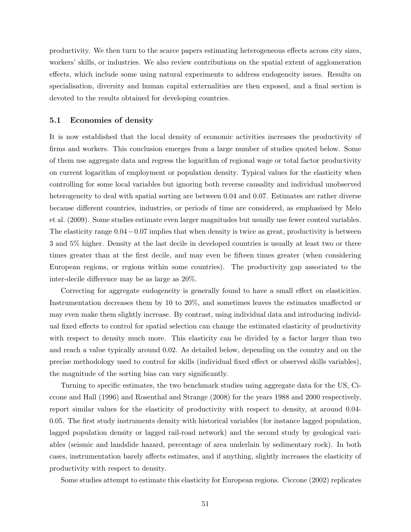productivity. We then turn to the scarce papers estimating heterogeneous effects across city sizes, workers' skills, or industries. We also review contributions on the spatial extent of agglomeration effects, which include some using natural experiments to address endogeneity issues. Results on specialisation, diversity and human capital externalities are then exposed, and a final section is devoted to the results obtained for developing countries.

# 5.1 Economies of density

It is now established that the local density of economic activities increases the productivity of firms and workers. This conclusion emerges from a large number of studies quoted below. Some of them use aggregate data and regress the logarithm of regional wage or total factor productivity on current logarithm of employment or population density. Typical values for the elasticity when controlling for some local variables but ignoring both reverse causality and individual unobserved heterogeneity to deal with spatial sorting are between 0.04 and 0.07. Estimates are rather diverse because different countries, industries, or periods of time are considered, as emphasised by Melo et al. (2009). Some studies estimate even larger magnitudes but usually use fewer control variables. The elasticity range 0.04−0.07 implies that when density is twice as great, productivity is between 3 and 5% higher. Density at the last decile in developed countries is usually at least two or three times greater than at the first decile, and may even be fifteen times greater (when considering European regions, or regions within some countries). The productivity gap associated to the inter-decile difference may be as large as 20%.

Correcting for aggregate endogeneity is generally found to have a small effect on elasticities. Instrumentation decreases them by 10 to 20%, and sometimes leaves the estimates unaffected or may even make them slightly increase. By contrast, using individual data and introducing individual fixed effects to control for spatial selection can change the estimated elasticity of productivity with respect to density much more. This elasticity can be divided by a factor larger than two and reach a value typically around 0.02. As detailed below, depending on the country and on the precise methodology used to control for skills (individual fixed effect or observed skills variables), the magnitude of the sorting bias can vary significantly.

Turning to specific estimates, the two benchmark studies using aggregate data for the US, Ciccone and Hall (1996) and Rosenthal and Strange (2008) for the years 1988 and 2000 respectively, report similar values for the elasticity of productivity with respect to density, at around 0.04- 0.05. The first study instruments density with historical variables (for instance lagged population, lagged population density or lagged rail-road network) and the second study by geological variables (seismic and landslide hazard, percentage of area underlain by sedimentary rock). In both cases, instrumentation barely affects estimates, and if anything, slightly increases the elasticity of productivity with respect to density.

Some studies attempt to estimate this elasticity for European regions. Ciccone (2002) replicates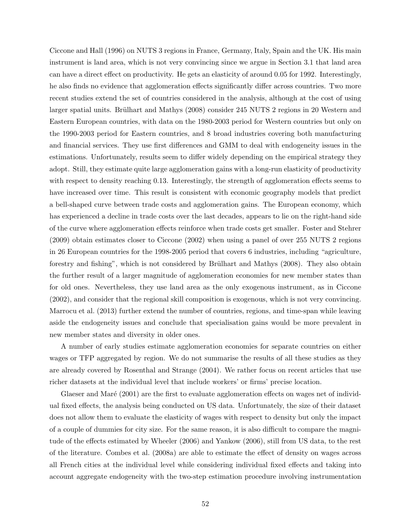Ciccone and Hall (1996) on NUTS 3 regions in France, Germany, Italy, Spain and the UK. His main instrument is land area, which is not very convincing since we argue in Section 3.1 that land area can have a direct effect on productivity. He gets an elasticity of around 0.05 for 1992. Interestingly, he also finds no evidence that agglomeration effects significantly differ across countries. Two more recent studies extend the set of countries considered in the analysis, although at the cost of using larger spatial units. Brülhart and Mathys (2008) consider 245 NUTS 2 regions in 20 Western and Eastern European countries, with data on the 1980-2003 period for Western countries but only on the 1990-2003 period for Eastern countries, and 8 broad industries covering both manufacturing and financial services. They use first differences and GMM to deal with endogeneity issues in the estimations. Unfortunately, results seem to differ widely depending on the empirical strategy they adopt. Still, they estimate quite large agglomeration gains with a long-run elasticity of productivity with respect to density reaching 0.13. Interestingly, the strength of agglomeration effects seems to have increased over time. This result is consistent with economic geography models that predict a bell-shaped curve between trade costs and agglomeration gains. The European economy, which has experienced a decline in trade costs over the last decades, appears to lie on the right-hand side of the curve where agglomeration effects reinforce when trade costs get smaller. Foster and Stehrer (2009) obtain estimates closer to Ciccone (2002) when using a panel of over 255 NUTS 2 regions in 26 European countries for the 1998-2005 period that covers 6 industries, including "agriculture, forestry and fishing", which is not considered by Brülhart and Mathys (2008). They also obtain the further result of a larger magnitude of agglomeration economies for new member states than for old ones. Nevertheless, they use land area as the only exogenous instrument, as in Ciccone (2002), and consider that the regional skill composition is exogenous, which is not very convincing. Marrocu et al. (2013) further extend the number of countries, regions, and time-span while leaving aside the endogeneity issues and conclude that specialisation gains would be more prevalent in new member states and diversity in older ones.

A number of early studies estimate agglomeration economies for separate countries on either wages or TFP aggregated by region. We do not summarise the results of all these studies as they are already covered by Rosenthal and Strange (2004). We rather focus on recent articles that use richer datasets at the individual level that include workers' or firms' precise location.

Glaeser and Maré  $(2001)$  are the first to evaluate agglomeration effects on wages net of individual fixed effects, the analysis being conducted on US data. Unfortunately, the size of their dataset does not allow them to evaluate the elasticity of wages with respect to density but only the impact of a couple of dummies for city size. For the same reason, it is also difficult to compare the magnitude of the effects estimated by Wheeler (2006) and Yankow (2006), still from US data, to the rest of the literature. Combes et al. (2008a) are able to estimate the effect of density on wages across all French cities at the individual level while considering individual fixed effects and taking into account aggregate endogeneity with the two-step estimation procedure involving instrumentation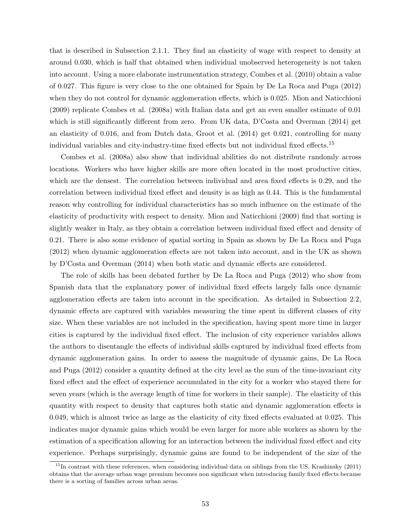that is described in Subsection 2.1.1. They find an elasticity of wage with respect to density at around 0.030, which is half that obtained when individual unobserved heterogeneity is not taken into account. Using a more elaborate instrumentation strategy, Combes et al. (2010) obtain a value of 0.027. This figure is very close to the one obtained for Spain by De La Roca and Puga (2012) when they do not control for dynamic agglomeration effects, which is 0.025. Mion and Naticchioni (2009) replicate Combes et al. (2008a) with Italian data and get an even smaller estimate of 0.01 which is still significantly different from zero. From UK data, D'Costa and Overman (2014) get an elasticity of 0.016, and from Dutch data, Groot et al. (2014) get 0.021, controlling for many individual variables and city-industry-time fixed effects but not individual fixed effects.<sup>15</sup>

Combes et al. (2008a) also show that individual abilities do not distribute randomly across locations. Workers who have higher skills are more often located in the most productive cities, which are the densest. The correlation between individual and area fixed effects is 0.29, and the correlation between individual fixed effect and density is as high as 0.44. This is the fundamental reason why controlling for individual characteristics has so much influence on the estimate of the elasticity of productivity with respect to density. Mion and Naticchioni (2009) find that sorting is slightly weaker in Italy, as they obtain a correlation between individual fixed effect and density of 0.21. There is also some evidence of spatial sorting in Spain as shown by De La Roca and Puga (2012) when dynamic agglomeration effects are not taken into account, and in the UK as shown by D'Costa and Overman (2014) when both static and dynamic effects are considered.

The role of skills has been debated further by De La Roca and Puga (2012) who show from Spanish data that the explanatory power of individual fixed effects largely falls once dynamic agglomeration effects are taken into account in the specification. As detailed in Subsection 2.2, dynamic effects are captured with variables measuring the time spent in different classes of city size. When these variables are not included in the specification, having spent more time in larger cities is captured by the individual fixed effect. The inclusion of city experience variables allows the authors to disentangle the effects of individual skills captured by individual fixed effects from dynamic agglomeration gains. In order to assess the magnitude of dynamic gains, De La Roca and Puga (2012) consider a quantity defined at the city level as the sum of the time-invariant city fixed effect and the effect of experience accumulated in the city for a worker who stayed there for seven years (which is the average length of time for workers in their sample). The elasticity of this quantity with respect to density that captures both static and dynamic agglomeration effects is 0.049, which is almost twice as large as the elasticity of city fixed effects evaluated at 0.025. This indicates major dynamic gains which would be even larger for more able workers as shown by the estimation of a specification allowing for an interaction between the individual fixed effect and city experience. Perhaps surprisingly, dynamic gains are found to be independent of the size of the

<sup>&</sup>lt;sup>15</sup>In contrast with these references, when considering individual data on siblings from the US, Krashinsky (2011) obtains that the average urban wage premium becomes non significant when introducing family fixed effects because there is a sorting of families across urban areas.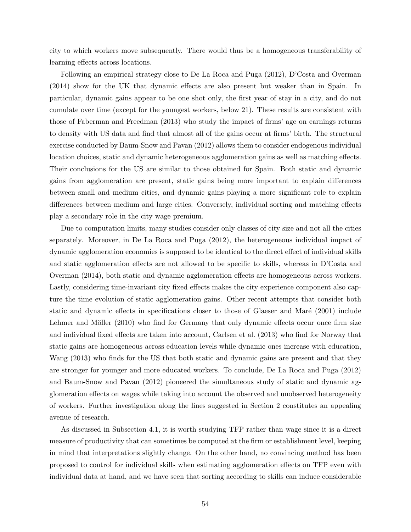city to which workers move subsequently. There would thus be a homogeneous transferability of learning effects across locations.

Following an empirical strategy close to De La Roca and Puga (2012), D'Costa and Overman (2014) show for the UK that dynamic effects are also present but weaker than in Spain. In particular, dynamic gains appear to be one shot only, the first year of stay in a city, and do not cumulate over time (except for the youngest workers, below 21). These results are consistent with those of Faberman and Freedman (2013) who study the impact of firms' age on earnings returns to density with US data and find that almost all of the gains occur at firms' birth. The structural exercise conducted by Baum-Snow and Pavan (2012) allows them to consider endogenous individual location choices, static and dynamic heterogeneous agglomeration gains as well as matching effects. Their conclusions for the US are similar to those obtained for Spain. Both static and dynamic gains from agglomeration are present, static gains being more important to explain differences between small and medium cities, and dynamic gains playing a more significant role to explain differences between medium and large cities. Conversely, individual sorting and matching effects play a secondary role in the city wage premium.

Due to computation limits, many studies consider only classes of city size and not all the cities separately. Moreover, in De La Roca and Puga (2012), the heterogeneous individual impact of dynamic agglomeration economies is supposed to be identical to the direct effect of individual skills and static agglomeration effects are not allowed to be specific to skills, whereas in D'Costa and Overman (2014), both static and dynamic agglomeration effects are homogeneous across workers. Lastly, considering time-invariant city fixed effects makes the city experience component also capture the time evolution of static agglomeration gains. Other recent attempts that consider both static and dynamic effects in specifications closer to those of Glaeser and Maré (2001) include Lehmer and Möller  $(2010)$  who find for Germany that only dynamic effects occur once firm size and individual fixed effects are taken into account, Carlsen et al. (2013) who find for Norway that static gains are homogeneous across education levels while dynamic ones increase with education, Wang (2013) who finds for the US that both static and dynamic gains are present and that they are stronger for younger and more educated workers. To conclude, De La Roca and Puga (2012) and Baum-Snow and Pavan (2012) pioneered the simultaneous study of static and dynamic agglomeration effects on wages while taking into account the observed and unobserved heterogeneity of workers. Further investigation along the lines suggested in Section 2 constitutes an appealing avenue of research.

As discussed in Subsection 4.1, it is worth studying TFP rather than wage since it is a direct measure of productivity that can sometimes be computed at the firm or establishment level, keeping in mind that interpretations slightly change. On the other hand, no convincing method has been proposed to control for individual skills when estimating agglomeration effects on TFP even with individual data at hand, and we have seen that sorting according to skills can induce considerable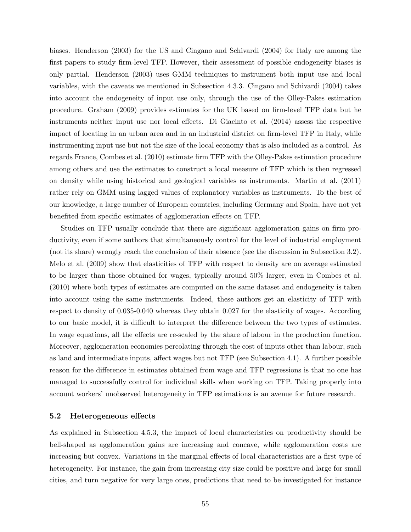biases. Henderson (2003) for the US and Cingano and Schivardi (2004) for Italy are among the first papers to study firm-level TFP. However, their assessment of possible endogeneity biases is only partial. Henderson (2003) uses GMM techniques to instrument both input use and local variables, with the caveats we mentioned in Subsection 4.3.3. Cingano and Schivardi (2004) takes into account the endogeneity of input use only, through the use of the Olley-Pakes estimation procedure. Graham (2009) provides estimates for the UK based on firm-level TFP data but he instruments neither input use nor local effects. Di Giacinto et al. (2014) assess the respective impact of locating in an urban area and in an industrial district on firm-level TFP in Italy, while instrumenting input use but not the size of the local economy that is also included as a control. As regards France, Combes et al. (2010) estimate firm TFP with the Olley-Pakes estimation procedure among others and use the estimates to construct a local measure of TFP which is then regressed on density while using historical and geological variables as instruments. Martin et al. (2011) rather rely on GMM using lagged values of explanatory variables as instruments. To the best of our knowledge, a large number of European countries, including Germany and Spain, have not yet benefited from specific estimates of agglomeration effects on TFP.

Studies on TFP usually conclude that there are significant agglomeration gains on firm productivity, even if some authors that simultaneously control for the level of industrial employment (not its share) wrongly reach the conclusion of their absence (see the discussion in Subsection 3.2). Melo et al. (2009) show that elasticities of TFP with respect to density are on average estimated to be larger than those obtained for wages, typically around 50% larger, even in Combes et al. (2010) where both types of estimates are computed on the same dataset and endogeneity is taken into account using the same instruments. Indeed, these authors get an elasticity of TFP with respect to density of 0.035-0.040 whereas they obtain 0.027 for the elasticity of wages. According to our basic model, it is difficult to interpret the difference between the two types of estimates. In wage equations, all the effects are re-scaled by the share of labour in the production function. Moreover, agglomeration economies percolating through the cost of inputs other than labour, such as land and intermediate inputs, affect wages but not TFP (see Subsection 4.1). A further possible reason for the difference in estimates obtained from wage and TFP regressions is that no one has managed to successfully control for individual skills when working on TFP. Taking properly into account workers' unobserved heterogeneity in TFP estimations is an avenue for future research.

# 5.2 Heterogeneous effects

As explained in Subsection 4.5.3, the impact of local characteristics on productivity should be bell-shaped as agglomeration gains are increasing and concave, while agglomeration costs are increasing but convex. Variations in the marginal effects of local characteristics are a first type of heterogeneity. For instance, the gain from increasing city size could be positive and large for small cities, and turn negative for very large ones, predictions that need to be investigated for instance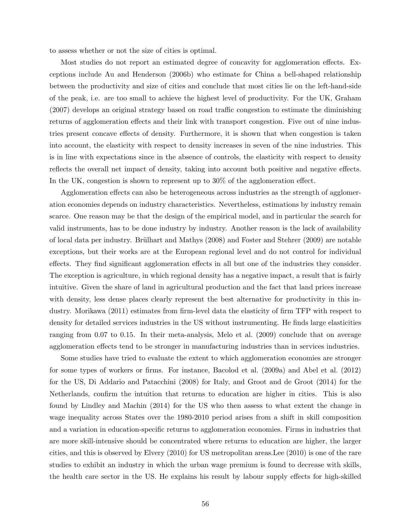to assess whether or not the size of cities is optimal.

Most studies do not report an estimated degree of concavity for agglomeration effects. Exceptions include Au and Henderson (2006b) who estimate for China a bell-shaped relationship between the productivity and size of cities and conclude that most cities lie on the left-hand-side of the peak, i.e. are too small to achieve the highest level of productivity. For the UK, Graham (2007) develops an original strategy based on road traffic congestion to estimate the diminishing returns of agglomeration effects and their link with transport congestion. Five out of nine industries present concave effects of density. Furthermore, it is shown that when congestion is taken into account, the elasticity with respect to density increases in seven of the nine industries. This is in line with expectations since in the absence of controls, the elasticity with respect to density reflects the overall net impact of density, taking into account both positive and negative effects. In the UK, congestion is shown to represent up to 30% of the agglomeration effect.

Agglomeration effects can also be heterogeneous across industries as the strength of agglomeration economies depends on industry characteristics. Nevertheless, estimations by industry remain scarce. One reason may be that the design of the empirical model, and in particular the search for valid instruments, has to be done industry by industry. Another reason is the lack of availability of local data per industry. Brülhart and Mathys (2008) and Foster and Stehrer (2009) are notable exceptions, but their works are at the European regional level and do not control for individual effects. They find significant agglomeration effects in all but one of the industries they consider. The exception is agriculture, in which regional density has a negative impact, a result that is fairly intuitive. Given the share of land in agricultural production and the fact that land prices increase with density, less dense places clearly represent the best alternative for productivity in this industry. Morikawa (2011) estimates from firm-level data the elasticity of firm TFP with respect to density for detailed services industries in the US without instrumenting. He finds large elasticities ranging from 0.07 to 0.15. In their meta-analysis, Melo et al. (2009) conclude that on average agglomeration effects tend to be stronger in manufacturing industries than in services industries.

Some studies have tried to evaluate the extent to which agglomeration economies are stronger for some types of workers or firms. For instance, Bacolod et al. (2009a) and Abel et al. (2012) for the US, Di Addario and Patacchini (2008) for Italy, and Groot and de Groot (2014) for the Netherlands, confirm the intuition that returns to education are higher in cities. This is also found by Lindley and Machin (2014) for the US who then assess to what extent the change in wage inequality across States over the 1980-2010 period arises from a shift in skill composition and a variation in education-specific returns to agglomeration economies. Firms in industries that are more skill-intensive should be concentrated where returns to education are higher, the larger cities, and this is observed by Elvery (2010) for US metropolitan areas.Lee (2010) is one of the rare studies to exhibit an industry in which the urban wage premium is found to decrease with skills, the health care sector in the US. He explains his result by labour supply effects for high-skilled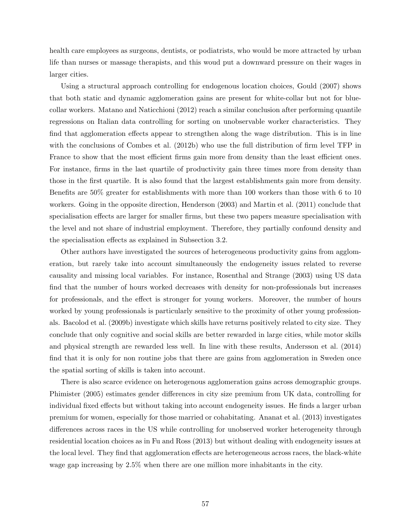health care employees as surgeons, dentists, or podiatrists, who would be more attracted by urban life than nurses or massage therapists, and this woud put a downward pressure on their wages in larger cities.

Using a structural approach controlling for endogenous location choices, Gould (2007) shows that both static and dynamic agglomeration gains are present for white-collar but not for bluecollar workers. Matano and Naticchioni (2012) reach a similar conclusion after performing quantile regressions on Italian data controlling for sorting on unobservable worker characteristics. They find that agglomeration effects appear to strengthen along the wage distribution. This is in line with the conclusions of Combes et al. (2012b) who use the full distribution of firm level TFP in France to show that the most efficient firms gain more from density than the least efficient ones. For instance, firms in the last quartile of productivity gain three times more from density than those in the first quartile. It is also found that the largest establishments gain more from density. Benefits are 50% greater for establishments with more than 100 workers than those with 6 to 10 workers. Going in the opposite direction, Henderson (2003) and Martin et al. (2011) conclude that specialisation effects are larger for smaller firms, but these two papers measure specialisation with the level and not share of industrial employment. Therefore, they partially confound density and the specialisation effects as explained in Subsection 3.2.

Other authors have investigated the sources of heterogeneous productivity gains from agglomeration, but rarely take into account simultaneously the endogeneity issues related to reverse causality and missing local variables. For instance, Rosenthal and Strange (2003) using US data find that the number of hours worked decreases with density for non-professionals but increases for professionals, and the effect is stronger for young workers. Moreover, the number of hours worked by young professionals is particularly sensitive to the proximity of other young professionals. Bacolod et al. (2009b) investigate which skills have returns positively related to city size. They conclude that only cognitive and social skills are better rewarded in large cities, while motor skills and physical strength are rewarded less well. In line with these results, Andersson et al. (2014) find that it is only for non routine jobs that there are gains from agglomeration in Sweden once the spatial sorting of skills is taken into account.

There is also scarce evidence on heterogenous agglomeration gains across demographic groups. Phimister (2005) estimates gender differences in city size premium from UK data, controlling for individual fixed effects but without taking into account endogeneity issues. He finds a larger urban premium for women, especially for those married or cohabitating. Ananat et al. (2013) investigates differences across races in the US while controlling for unobserved worker heterogeneity through residential location choices as in Fu and Ross (2013) but without dealing with endogeneity issues at the local level. They find that agglomeration effects are heterogeneous across races, the black-white wage gap increasing by 2.5% when there are one million more inhabitants in the city.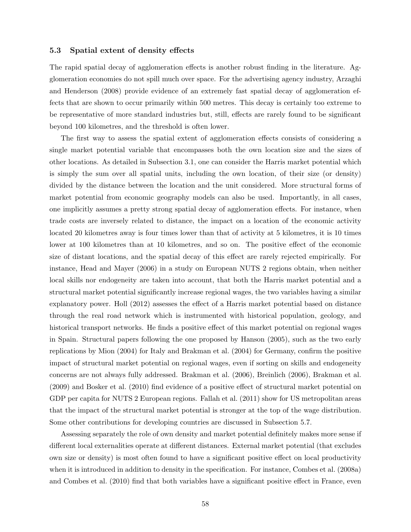# 5.3 Spatial extent of density effects

The rapid spatial decay of agglomeration effects is another robust finding in the literature. Agglomeration economies do not spill much over space. For the advertising agency industry, Arzaghi and Henderson (2008) provide evidence of an extremely fast spatial decay of agglomeration effects that are shown to occur primarily within 500 metres. This decay is certainly too extreme to be representative of more standard industries but, still, effects are rarely found to be significant beyond 100 kilometres, and the threshold is often lower.

The first way to assess the spatial extent of agglomeration effects consists of considering a single market potential variable that encompasses both the own location size and the sizes of other locations. As detailed in Subsection 3.1, one can consider the Harris market potential which is simply the sum over all spatial units, including the own location, of their size (or density) divided by the distance between the location and the unit considered. More structural forms of market potential from economic geography models can also be used. Importantly, in all cases, one implicitly assumes a pretty strong spatial decay of agglomeration effects. For instance, when trade costs are inversely related to distance, the impact on a location of the economic activity located 20 kilometres away is four times lower than that of activity at 5 kilometres, it is 10 times lower at 100 kilometres than at 10 kilometres, and so on. The positive effect of the economic size of distant locations, and the spatial decay of this effect are rarely rejected empirically. For instance, Head and Mayer (2006) in a study on European NUTS 2 regions obtain, when neither local skills nor endogeneity are taken into account, that both the Harris market potential and a structural market potential significantly increase regional wages, the two variables having a similar explanatory power. Holl (2012) assesses the effect of a Harris market potential based on distance through the real road network which is instrumented with historical population, geology, and historical transport networks. He finds a positive effect of this market potential on regional wages in Spain. Structural papers following the one proposed by Hanson (2005), such as the two early replications by Mion (2004) for Italy and Brakman et al. (2004) for Germany, confirm the positive impact of structural market potential on regional wages, even if sorting on skills and endogeneity concerns are not always fully addressed. Brakman et al. (2006), Breinlich (2006), Brakman et al. (2009) and Bosker et al. (2010) find evidence of a positive effect of structural market potential on GDP per capita for NUTS 2 European regions. Fallah et al. (2011) show for US metropolitan areas that the impact of the structural market potential is stronger at the top of the wage distribution. Some other contributions for developing countries are discussed in Subsection 5.7.

Assessing separately the role of own density and market potential definitely makes more sense if different local externalities operate at different distances. External market potential (that excludes own size or density) is most often found to have a significant positive effect on local productivity when it is introduced in addition to density in the specification. For instance, Combes et al. (2008a) and Combes et al. (2010) find that both variables have a significant positive effect in France, even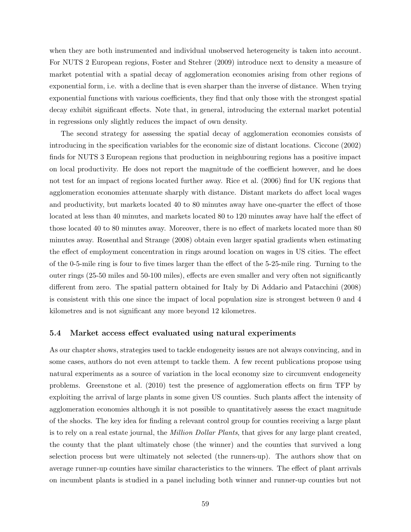when they are both instrumented and individual unobserved heterogeneity is taken into account. For NUTS 2 European regions, Foster and Stehrer (2009) introduce next to density a measure of market potential with a spatial decay of agglomeration economies arising from other regions of exponential form, i.e. with a decline that is even sharper than the inverse of distance. When trying exponential functions with various coefficients, they find that only those with the strongest spatial decay exhibit significant effects. Note that, in general, introducing the external market potential in regressions only slightly reduces the impact of own density.

The second strategy for assessing the spatial decay of agglomeration economies consists of introducing in the specification variables for the economic size of distant locations. Ciccone (2002) finds for NUTS 3 European regions that production in neighbouring regions has a positive impact on local productivity. He does not report the magnitude of the coefficient however, and he does not test for an impact of regions located further away. Rice et al. (2006) find for UK regions that agglomeration economies attenuate sharply with distance. Distant markets do affect local wages and productivity, but markets located 40 to 80 minutes away have one-quarter the effect of those located at less than 40 minutes, and markets located 80 to 120 minutes away have half the effect of those located 40 to 80 minutes away. Moreover, there is no effect of markets located more than 80 minutes away. Rosenthal and Strange (2008) obtain even larger spatial gradients when estimating the effect of employment concentration in rings around location on wages in US cities. The effect of the 0-5-mile ring is four to five times larger than the effect of the 5-25-mile ring. Turning to the outer rings (25-50 miles and 50-100 miles), effects are even smaller and very often not significantly different from zero. The spatial pattern obtained for Italy by Di Addario and Patacchini (2008) is consistent with this one since the impact of local population size is strongest between 0 and 4 kilometres and is not significant any more beyond 12 kilometres.

# 5.4 Market access effect evaluated using natural experiments

As our chapter shows, strategies used to tackle endogeneity issues are not always convincing, and in some cases, authors do not even attempt to tackle them. A few recent publications propose using natural experiments as a source of variation in the local economy size to circumvent endogeneity problems. Greenstone et al. (2010) test the presence of agglomeration effects on firm TFP by exploiting the arrival of large plants in some given US counties. Such plants affect the intensity of agglomeration economies although it is not possible to quantitatively assess the exact magnitude of the shocks. The key idea for finding a relevant control group for counties receiving a large plant is to rely on a real estate journal, the *Million Dollar Plants*, that gives for any large plant created, the county that the plant ultimately chose (the winner) and the counties that survived a long selection process but were ultimately not selected (the runners-up). The authors show that on average runner-up counties have similar characteristics to the winners. The effect of plant arrivals on incumbent plants is studied in a panel including both winner and runner-up counties but not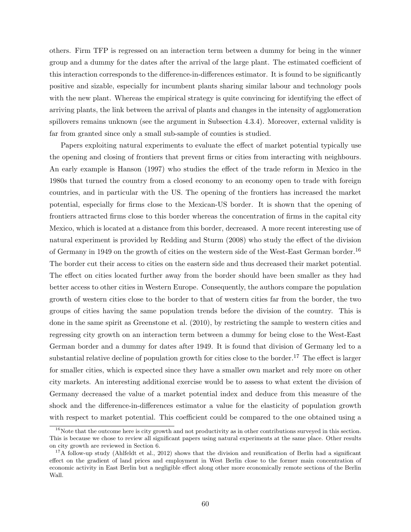others. Firm TFP is regressed on an interaction term between a dummy for being in the winner group and a dummy for the dates after the arrival of the large plant. The estimated coefficient of this interaction corresponds to the difference-in-differences estimator. It is found to be significantly positive and sizable, especially for incumbent plants sharing similar labour and technology pools with the new plant. Whereas the empirical strategy is quite convincing for identifying the effect of arriving plants, the link between the arrival of plants and changes in the intensity of agglomeration spillovers remains unknown (see the argument in Subsection 4.3.4). Moreover, external validity is far from granted since only a small sub-sample of counties is studied.

Papers exploiting natural experiments to evaluate the effect of market potential typically use the opening and closing of frontiers that prevent firms or cities from interacting with neighbours. An early example is Hanson (1997) who studies the effect of the trade reform in Mexico in the 1980s that turned the country from a closed economy to an economy open to trade with foreign countries, and in particular with the US. The opening of the frontiers has increased the market potential, especially for firms close to the Mexican-US border. It is shown that the opening of frontiers attracted firms close to this border whereas the concentration of firms in the capital city Mexico, which is located at a distance from this border, decreased. A more recent interesting use of natural experiment is provided by Redding and Sturm (2008) who study the effect of the division of Germany in 1949 on the growth of cities on the western side of the West-East German border.<sup>16</sup> The border cut their access to cities on the eastern side and thus decreased their market potential. The effect on cities located further away from the border should have been smaller as they had better access to other cities in Western Europe. Consequently, the authors compare the population growth of western cities close to the border to that of western cities far from the border, the two groups of cities having the same population trends before the division of the country. This is done in the same spirit as Greenstone et al. (2010), by restricting the sample to western cities and regressing city growth on an interaction term between a dummy for being close to the West-East German border and a dummy for dates after 1949. It is found that division of Germany led to a substantial relative decline of population growth for cities close to the border.<sup>17</sup> The effect is larger for smaller cities, which is expected since they have a smaller own market and rely more on other city markets. An interesting additional exercise would be to assess to what extent the division of Germany decreased the value of a market potential index and deduce from this measure of the shock and the difference-in-differences estimator a value for the elasticity of population growth with respect to market potential. This coefficient could be compared to the one obtained using a

 $16$ Note that the outcome here is city growth and not productivity as in other contributions surveyed in this section. This is because we chose to review all significant papers using natural experiments at the same place. Other results on city growth are reviewed in Section 6.

 $17A$  follow-up study (Ahlfeldt et al., 2012) shows that the division and reunification of Berlin had a significant effect on the gradient of land prices and employment in West Berlin close to the former main concentration of economic activity in East Berlin but a negligible effect along other more economically remote sections of the Berlin Wall.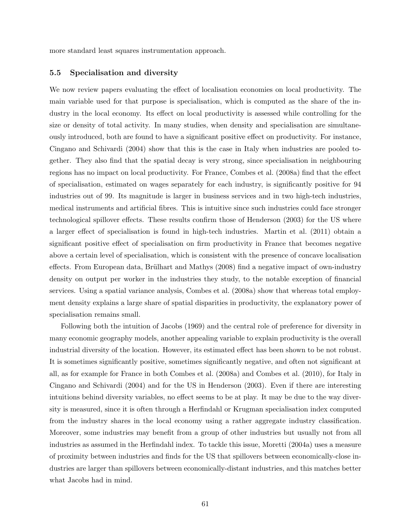more standard least squares instrumentation approach.

# 5.5 Specialisation and diversity

We now review papers evaluating the effect of localisation economies on local productivity. The main variable used for that purpose is specialisation, which is computed as the share of the industry in the local economy. Its effect on local productivity is assessed while controlling for the size or density of total activity. In many studies, when density and specialisation are simultaneously introduced, both are found to have a significant positive effect on productivity. For instance, Cingano and Schivardi (2004) show that this is the case in Italy when industries are pooled together. They also find that the spatial decay is very strong, since specialisation in neighbouring regions has no impact on local productivity. For France, Combes et al. (2008a) find that the effect of specialisation, estimated on wages separately for each industry, is significantly positive for 94 industries out of 99. Its magnitude is larger in business services and in two high-tech industries, medical instruments and artificial fibres. This is intuitive since such industries could face stronger technological spillover effects. These results confirm those of Henderson (2003) for the US where a larger effect of specialisation is found in high-tech industries. Martin et al. (2011) obtain a significant positive effect of specialisation on firm productivity in France that becomes negative above a certain level of specialisation, which is consistent with the presence of concave localisation effects. From European data, Brülhart and Mathys (2008) find a negative impact of own-industry density on output per worker in the industries they study, to the notable exception of financial services. Using a spatial variance analysis, Combes et al. (2008a) show that whereas total employment density explains a large share of spatial disparities in productivity, the explanatory power of specialisation remains small.

Following both the intuition of Jacobs (1969) and the central role of preference for diversity in many economic geography models, another appealing variable to explain productivity is the overall industrial diversity of the location. However, its estimated effect has been shown to be not robust. It is sometimes significantly positive, sometimes significantly negative, and often not significant at all, as for example for France in both Combes et al. (2008a) and Combes et al. (2010), for Italy in Cingano and Schivardi (2004) and for the US in Henderson (2003). Even if there are interesting intuitions behind diversity variables, no effect seems to be at play. It may be due to the way diversity is measured, since it is often through a Herfindahl or Krugman specialisation index computed from the industry shares in the local economy using a rather aggregate industry classification. Moreover, some industries may benefit from a group of other industries but usually not from all industries as assumed in the Herfindahl index. To tackle this issue, Moretti (2004a) uses a measure of proximity between industries and finds for the US that spillovers between economically-close industries are larger than spillovers between economically-distant industries, and this matches better what Jacobs had in mind.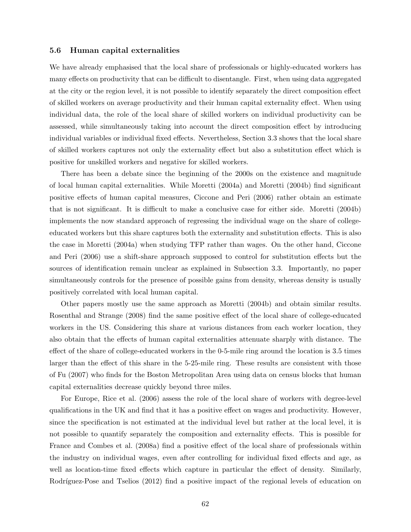# 5.6 Human capital externalities

We have already emphasised that the local share of professionals or highly-educated workers has many effects on productivity that can be difficult to disentangle. First, when using data aggregated at the city or the region level, it is not possible to identify separately the direct composition effect of skilled workers on average productivity and their human capital externality effect. When using individual data, the role of the local share of skilled workers on individual productivity can be assessed, while simultaneously taking into account the direct composition effect by introducing individual variables or individual fixed effects. Nevertheless, Section 3.3 shows that the local share of skilled workers captures not only the externality effect but also a substitution effect which is positive for unskilled workers and negative for skilled workers.

There has been a debate since the beginning of the 2000s on the existence and magnitude of local human capital externalities. While Moretti (2004a) and Moretti (2004b) find significant positive effects of human capital measures, Ciccone and Peri (2006) rather obtain an estimate that is not significant. It is difficult to make a conclusive case for either side. Moretti (2004b) implements the now standard approach of regressing the individual wage on the share of collegeeducated workers but this share captures both the externality and substitution effects. This is also the case in Moretti (2004a) when studying TFP rather than wages. On the other hand, Ciccone and Peri (2006) use a shift-share approach supposed to control for substitution effects but the sources of identification remain unclear as explained in Subsection 3.3. Importantly, no paper simultaneously controls for the presence of possible gains from density, whereas density is usually positively correlated with local human capital.

Other papers mostly use the same approach as Moretti (2004b) and obtain similar results. Rosenthal and Strange (2008) find the same positive effect of the local share of college-educated workers in the US. Considering this share at various distances from each worker location, they also obtain that the effects of human capital externalities attenuate sharply with distance. The effect of the share of college-educated workers in the 0-5-mile ring around the location is 3.5 times larger than the effect of this share in the 5-25-mile ring. These results are consistent with those of Fu (2007) who finds for the Boston Metropolitan Area using data on census blocks that human capital externalities decrease quickly beyond three miles.

For Europe, Rice et al. (2006) assess the role of the local share of workers with degree-level qualifications in the UK and find that it has a positive effect on wages and productivity. However, since the specification is not estimated at the individual level but rather at the local level, it is not possible to quantify separately the composition and externality effects. This is possible for France and Combes et al. (2008a) find a positive effect of the local share of professionals within the industry on individual wages, even after controlling for individual fixed effects and age, as well as location-time fixed effects which capture in particular the effect of density. Similarly, Rodríguez-Pose and Tselios (2012) find a positive impact of the regional levels of education on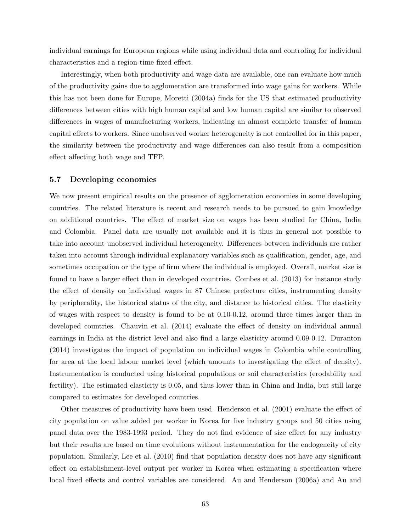individual earnings for European regions while using individual data and controling for individual characteristics and a region-time fixed effect.

Interestingly, when both productivity and wage data are available, one can evaluate how much of the productivity gains due to agglomeration are transformed into wage gains for workers. While this has not been done for Europe, Moretti (2004a) finds for the US that estimated productivity differences between cities with high human capital and low human capital are similar to observed differences in wages of manufacturing workers, indicating an almost complete transfer of human capital effects to workers. Since unobserved worker heterogeneity is not controlled for in this paper, the similarity between the productivity and wage differences can also result from a composition effect affecting both wage and TFP.

# 5.7 Developing economies

We now present empirical results on the presence of agglomeration economies in some developing countries. The related literature is recent and research needs to be pursued to gain knowledge on additional countries. The effect of market size on wages has been studied for China, India and Colombia. Panel data are usually not available and it is thus in general not possible to take into account unobserved individual heterogeneity. Differences between individuals are rather taken into account through individual explanatory variables such as qualification, gender, age, and sometimes occupation or the type of firm where the individual is employed. Overall, market size is found to have a larger effect than in developed countries. Combes et al. (2013) for instance study the effect of density on individual wages in 87 Chinese prefecture cities, instrumenting density by peripherality, the historical status of the city, and distance to historical cities. The elasticity of wages with respect to density is found to be at 0.10-0.12, around three times larger than in developed countries. Chauvin et al. (2014) evaluate the effect of density on individual annual earnings in India at the district level and also find a large elasticity around 0.09-0.12. Duranton (2014) investigates the impact of population on individual wages in Colombia while controlling for area at the local labour market level (which amounts to investigating the effect of density). Instrumentation is conducted using historical populations or soil characteristics (erodability and fertility). The estimated elasticity is 0.05, and thus lower than in China and India, but still large compared to estimates for developed countries.

Other measures of productivity have been used. Henderson et al. (2001) evaluate the effect of city population on value added per worker in Korea for five industry groups and 50 cities using panel data over the 1983-1993 period. They do not find evidence of size effect for any industry but their results are based on time evolutions without instrumentation for the endogeneity of city population. Similarly, Lee et al. (2010) find that population density does not have any significant effect on establishment-level output per worker in Korea when estimating a specification where local fixed effects and control variables are considered. Au and Henderson (2006a) and Au and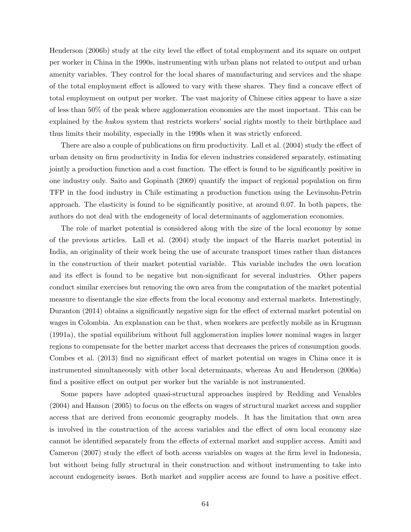Henderson (2006b) study at the city level the effect of total employment and its square on output per worker in China in the 1990s, instrumenting with urban plans not related to output and urban amenity variables. They control for the local shares of manufacturing and services and the shape of the total employment effect is allowed to vary with these shares. They find a concave effect of total employment on output per worker. The vast majority of Chinese cities appear to have a size of less than 50% of the peak where agglomeration economies are the most important. This can be explained by the hukou system that restricts workers' social rights mostly to their birthplace and thus limits their mobility, especially in the 1990s when it was strictly enforced.

There are also a couple of publications on firm productivity. Lall et al. (2004) study the effect of urban density on firm productivity in India for eleven industries considered separately, estimating jointly a production function and a cost function. The effect is found to be significantly positive in one industry only. Saito and Gopinath (2009) quantify the impact of regional population on firm TFP in the food industry in Chile estimating a production function using the Levinsohn-Petrin approach. The elasticity is found to be significantly positive, at around 0.07. In both papers, the authors do not deal with the endogeneity of local determinants of agglomeration economies.

The role of market potential is considered along with the size of the local economy by some of the previous articles. Lall et al. (2004) study the impact of the Harris market potential in India, an originality of their work being the use of accurate transport times rather than distances in the construction of their market potential variable. This variable includes the own location and its effect is found to be negative but non-significant for several industries. Other papers conduct similar exercises but removing the own area from the computation of the market potential measure to disentangle the size effects from the local economy and external markets. Interestingly, Duranton (2014) obtains a significantly negative sign for the effect of external market potential on wages in Colombia. An explanation can be that, when workers are perfectly mobile as in Krugman (1991a), the spatial equilibrium without full agglomeration implies lower nominal wages in larger regions to compensate for the better market access that decreases the prices of consumption goods. Combes et al. (2013) find no significant effect of market potential on wages in China once it is instrumented simultaneously with other local determinants, whereas Au and Henderson (2006a) find a positive effect on output per worker but the variable is not instrumented.

Some papers have adopted quasi-structural approaches inspired by Redding and Venables (2004) and Hanson (2005) to focus on the effects on wages of structural market access and supplier access that are derived from economic geography models. It has the limitation that own area is involved in the construction of the access variables and the effect of own local economy size cannot be identified separately from the effects of external market and supplier access. Amiti and Cameron (2007) study the effect of both access variables on wages at the firm level in Indonesia, but without being fully structural in their construction and without instrumenting to take into account endogeneity issues. Both market and supplier access are found to have a positive effect.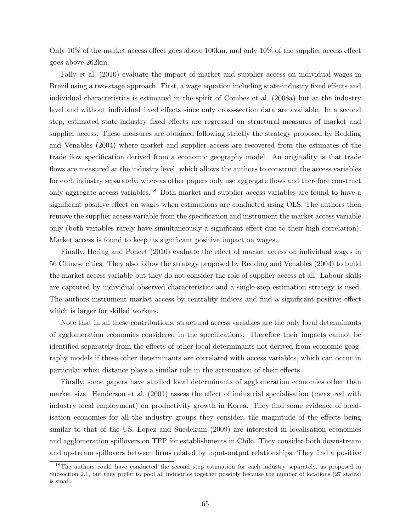Only 10% of the market access effect goes above 100km, and only 10% of the supplier access effect goes above 262km.

Fally et al. (2010) evaluate the impact of market and supplier access on individual wages in Brazil using a two-stage approach. First, a wage equation including state-industry fixed effects and individual characteristics is estimated in the spirit of Combes et al. (2008a) but at the industry level and without individual fixed effects since only cross-section data are available. In a second step, estimated state-industry fixed effects are regressed on structural measures of market and supplier access. These measures are obtained following strictly the strategy proposed by Redding and Venables (2004) where market and supplier access are recovered from the estimates of the trade flow specification derived from a economic geography model. An originality is that trade flows are measured at the industry level, which allows the authors to construct the access variables for each industry separately, whereas other papers only use aggregate flows and therefore construct only aggregate access variables.<sup>18</sup> Both market and supplier access variables are found to have a significant positive effect on wages when estimations are conducted using OLS. The authors then remove the supplier access variable from the specification and instrument the market access variable only (both variables rarely have simultaneously a significant effect due to their high correlation). Market access is found to keep its significant positive impact on wages.

Finally, Hering and Poncet (2010) evaluate the effect of market access on individual wages in 56 Chinese cities. They also follow the strategy proposed by Redding and Venables (2004) to build the market access variable but they do not consider the role of supplier access at all. Labour skills are captured by individual observed characteristics and a single-step estimation strategy is used. The authors instrument market access by centrality indices and find a significant positive effect which is larger for skilled workers.

Note that in all these contributions, structural access variables are the only local determinants of agglomeration economies considered in the specifications. Therefore their impacts cannot be identified separately from the effects of other local determinants not derived from economic geography models if these other determinants are correlated with access variables, which can occur in particular when distance plays a similar role in the attenuation of their effects.

Finally, some papers have studied local determinants of agglomeration economies other than market size. Henderson et al. (2001) assess the effect of industrial specialisation (measured with industry local employment) on productivity growth in Korea. They find some evidence of localisation economies for all the industry groups they consider, the magnitude of the effects being similar to that of the US. Lopez and Suedekum (2009) are interested in localisation economies and agglomeration spillovers on TFP for establishments in Chile. They consider both downstream and upstream spillovers between firms related by input-output relationships. They find a positive

<sup>&</sup>lt;sup>18</sup>The authors could have conducted the second step estimation for each industry separately, as proposed in Subsection 2.1, but they prefer to pool all industries together possibly because the number of locations (27 states) is small.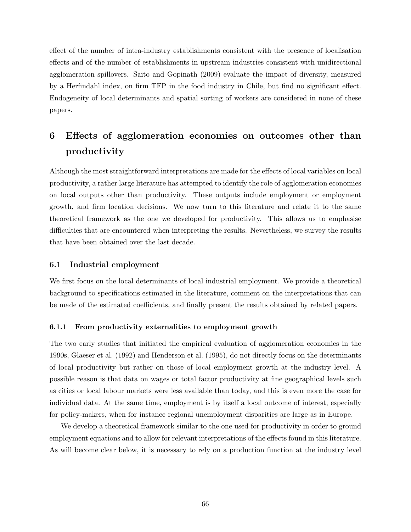effect of the number of intra-industry establishments consistent with the presence of localisation effects and of the number of establishments in upstream industries consistent with unidirectional agglomeration spillovers. Saito and Gopinath (2009) evaluate the impact of diversity, measured by a Herfindahl index, on firm TFP in the food industry in Chile, but find no significant effect. Endogeneity of local determinants and spatial sorting of workers are considered in none of these papers.

# 6 Effects of agglomeration economies on outcomes other than productivity

Although the most straightforward interpretations are made for the effects of local variables on local productivity, a rather large literature has attempted to identify the role of agglomeration economies on local outputs other than productivity. These outputs include employment or employment growth, and firm location decisions. We now turn to this literature and relate it to the same theoretical framework as the one we developed for productivity. This allows us to emphasise difficulties that are encountered when interpreting the results. Nevertheless, we survey the results that have been obtained over the last decade.

# 6.1 Industrial employment

We first focus on the local determinants of local industrial employment. We provide a theoretical background to specifications estimated in the literature, comment on the interpretations that can be made of the estimated coefficients, and finally present the results obtained by related papers.

### 6.1.1 From productivity externalities to employment growth

The two early studies that initiated the empirical evaluation of agglomeration economies in the 1990s, Glaeser et al. (1992) and Henderson et al. (1995), do not directly focus on the determinants of local productivity but rather on those of local employment growth at the industry level. A possible reason is that data on wages or total factor productivity at fine geographical levels such as cities or local labour markets were less available than today, and this is even more the case for individual data. At the same time, employment is by itself a local outcome of interest, especially for policy-makers, when for instance regional unemployment disparities are large as in Europe.

We develop a theoretical framework similar to the one used for productivity in order to ground employment equations and to allow for relevant interpretations of the effects found in this literature. As will become clear below, it is necessary to rely on a production function at the industry level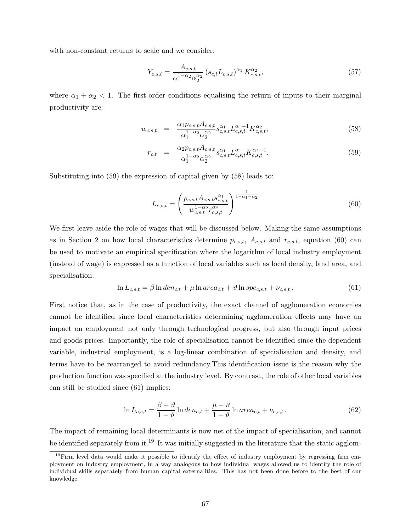with non-constant returns to scale and we consider:

$$
Y_{c,s,t} = \frac{A_{c,s,t}}{\alpha_1^{1-\alpha_2} \alpha_2^{\alpha_2}} \left( s_{c,t} L_{c,s,t} \right)^{\alpha_1} K_{c,s,t}^{\alpha_2},\tag{57}
$$

where  $\alpha_1 + \alpha_2 < 1$ . The first-order conditions equalising the return of inputs to their marginal productivity are:

$$
w_{c,s,t} = \frac{\alpha_1 p_{c,s,t} A_{c,s,t}}{\alpha_1^{1-\alpha_2} \alpha_2^{\alpha_2}} s_{c,s,t}^{\alpha_1} L_{c,s,t}^{\alpha_1-1} K_{c,s,t}^{\alpha_2},
$$
\n
$$
(58)
$$

$$
r_{c,t} = \frac{\alpha_2 p_{c,s,t} A_{c,s,t}}{\alpha_1^{1-\alpha_2} \alpha_2^{\alpha_2}} s_{c,s,t}^{\alpha_1} L_{c,s,t}^{\alpha_1} K_{c,s,t}^{\alpha_2 - 1}.
$$
 (59)

Substituting into (59) the expression of capital given by (58) leads to:

$$
L_{c,s,t} = \left(\frac{p_{c,s,t}A_{c,s,t}s_{c,s,t}^{\alpha_1}}{w_{c,s,t}^{1-\alpha_2}r_{c,s,t}^{\alpha_2}}\right)^{\frac{1}{1-\alpha_1-\alpha_2}}
$$
(60)

We first leave aside the role of wages that will be discussed below. Making the same assumptions as in Section 2 on how local characteristics determine  $p_{c,s,t}$ ,  $A_{c,s,t}$  and  $r_{c,s,t}$ , equation (60) can be used to motivate an empirical specification where the logarithm of local industry employment (instead of wage) is expressed as a function of local variables such as local density, land area, and specialisation:

$$
\ln L_{c,s,t} = \beta \ln den_{c,t} + \mu \ln area_{c,t} + \vartheta \ln spe_{c,s,t} + \nu_{c,s,t}.
$$
\n(61)

First notice that, as in the case of productivity, the exact channel of agglomeration economies cannot be identified since local characteristics determining agglomeration effects may have an impact on employment not only through technological progress, but also through input prices and goods prices. Importantly, the role of specialisation cannot be identified since the dependent variable, industrial employment, is a log-linear combination of specialisation and density, and terms have to be rearranged to avoid redundancy.This identification issue is the reason why the production function was specified at the industry level. By contrast, the role of other local variables can still be studied since (61) implies:

$$
\ln L_{c,s,t} = \frac{\beta - \vartheta}{1 - \vartheta} \ln den_{c,t} + \frac{\mu - \vartheta}{1 - \vartheta} \ln area_{c,t} + \nu_{c,s,t}.
$$
\n(62)

The impact of remaining local determinants is now net of the impact of specialisation, and cannot be identified separately from it.<sup>19</sup> It was initially suggested in the literature that the static agglom-

<sup>&</sup>lt;sup>19</sup>Firm level data would make it possible to identify the effect of industry employment by regressing firm employment on industry employment, in a way analogous to how individual wages allowed us to identify the role of individual skills separately from human capital externalities. This has not been done before to the best of our knowledge.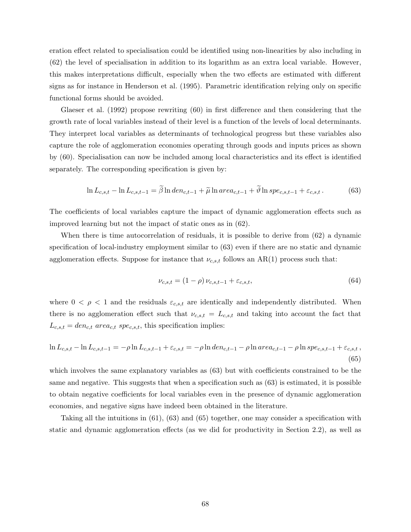eration effect related to specialisation could be identified using non-linearities by also including in (62) the level of specialisation in addition to its logarithm as an extra local variable. However, this makes interpretations difficult, especially when the two effects are estimated with different signs as for instance in Henderson et al. (1995). Parametric identification relying only on specific functional forms should be avoided.

Glaeser et al. (1992) propose rewriting (60) in first difference and then considering that the growth rate of local variables instead of their level is a function of the levels of local determinants. They interpret local variables as determinants of technological progress but these variables also capture the role of agglomeration economies operating through goods and inputs prices as shown by (60). Specialisation can now be included among local characteristics and its effect is identified separately. The corresponding specification is given by:

$$
\ln L_{c,s,t} - \ln L_{c,s,t-1} = \tilde{\beta} \ln den_{c,t-1} + \tilde{\mu} \ln area_{c,t-1} + \tilde{\vartheta} \ln spe_{c,s,t-1} + \varepsilon_{c,s,t}.
$$
 (63)

The coefficients of local variables capture the impact of dynamic agglomeration effects such as improved learning but not the impact of static ones as in (62).

When there is time autocorrelation of residuals, it is possible to derive from  $(62)$  a dynamic specification of local-industry employment similar to (63) even if there are no static and dynamic agglomeration effects. Suppose for instance that  $\nu_{c,s,t}$  follows an AR(1) process such that:

$$
\nu_{c,s,t} = (1 - \rho) \nu_{c,s,t-1} + \varepsilon_{c,s,t},\tag{64}
$$

where  $0 < \rho < 1$  and the residuals  $\varepsilon_{c,s,t}$  are identically and independently distributed. When there is no agglomeration effect such that  $\nu_{c,s,t} = L_{c,s,t}$  and taking into account the fact that  $L_{c,s,t} = den_{c,t} \, area_{c,t} \, spe_{c,s,t}$ , this specification implies:

$$
\ln L_{c,s,t} - \ln L_{c,s,t-1} = -\rho \ln L_{c,s,t-1} + \varepsilon_{c,s,t} = -\rho \ln den_{c,t-1} - \rho \ln area_{c,t-1} - \rho \ln spec_{c,s,t-1} + \varepsilon_{c,s,t},
$$
\n(65)

which involves the same explanatory variables as (63) but with coefficients constrained to be the same and negative. This suggests that when a specification such as (63) is estimated, it is possible to obtain negative coefficients for local variables even in the presence of dynamic agglomeration economies, and negative signs have indeed been obtained in the literature.

Taking all the intuitions in (61), (63) and (65) together, one may consider a specification with static and dynamic agglomeration effects (as we did for productivity in Section 2.2), as well as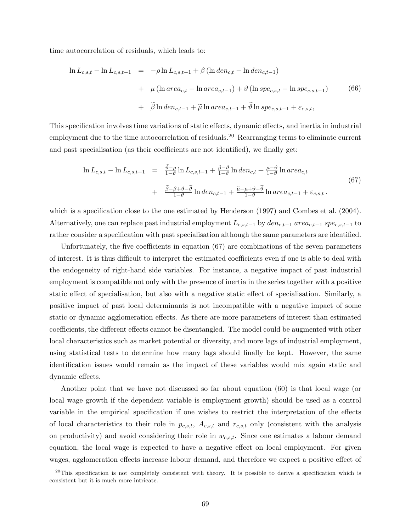time autocorrelation of residuals, which leads to:

$$
\ln L_{c,s,t} - \ln L_{c,s,t-1} = -\rho \ln L_{c,s,t-1} + \beta (\ln den_{c,t} - \ln den_{c,t-1})
$$
  
+  $\mu (\ln area_{c,t} - \ln area_{c,t-1}) + \vartheta (\ln spe_{c,s,t} - \ln spe_{c,s,t-1})$  (66)  
+  $\tilde{\beta} \ln den_{c,t-1} + \tilde{\mu} \ln area_{c,t-1} + \tilde{\vartheta} \ln spe_{c,s,t-1} + \varepsilon_{c,s,t},$ 

This specification involves time variations of static effects, dynamic effects, and inertia in industrial employment due to the time autocorrelation of residuals.<sup>20</sup> Rearranging terms to eliminate current and past specialisation (as their coefficients are not identified), we finally get:

$$
\ln L_{c,s,t} - \ln L_{c,s,t-1} = \frac{\tilde{\theta} - \rho}{1 - \vartheta} \ln L_{c,s,t-1} + \frac{\beta - \vartheta}{1 - \vartheta} \ln den_{c,t} + \frac{\mu - \vartheta}{1 - \vartheta} \ln area_{c,t} + \frac{\tilde{\beta} - \beta + \vartheta - \tilde{\vartheta}}{1 - \vartheta} \ln den_{c,t-1} + \frac{\tilde{\mu} - \mu + \vartheta - \tilde{\vartheta}}{1 - \vartheta} \ln area_{c,t-1} + \varepsilon_{c,s,t}.
$$
\n(67)

which is a specification close to the one estimated by Henderson (1997) and Combes et al. (2004). Alternatively, one can replace past industrial employment  $L_{c,s,t-1}$  by  $den_{c,t-1}$  are  $a_{c,t-1}$  spe $c_{c,s,t-1}$  to rather consider a specification with past specialisation although the same parameters are identified.

Unfortunately, the five coefficients in equation (67) are combinations of the seven parameters of interest. It is thus difficult to interpret the estimated coefficients even if one is able to deal with the endogeneity of right-hand side variables. For instance, a negative impact of past industrial employment is compatible not only with the presence of inertia in the series together with a positive static effect of specialisation, but also with a negative static effect of specialisation. Similarly, a positive impact of past local determinants is not incompatible with a negative impact of some static or dynamic agglomeration effects. As there are more parameters of interest than estimated coefficients, the different effects cannot be disentangled. The model could be augmented with other local characteristics such as market potential or diversity, and more lags of industrial employment, using statistical tests to determine how many lags should finally be kept. However, the same identification issues would remain as the impact of these variables would mix again static and dynamic effects.

Another point that we have not discussed so far about equation (60) is that local wage (or local wage growth if the dependent variable is employment growth) should be used as a control variable in the empirical specification if one wishes to restrict the interpretation of the effects of local characteristics to their role in  $p_{c,s,t}$ ,  $A_{c,s,t}$  and  $r_{c,s,t}$  only (consistent with the analysis on productivity) and avoid considering their role in  $w_{c,s,t}$ . Since one estimates a labour demand equation, the local wage is expected to have a negative effect on local employment. For given wages, agglomeration effects increase labour demand, and therefore we expect a positive effect of

 $^{20}$ This specification is not completely consistent with theory. It is possible to derive a specification which is consistent but it is much more intricate.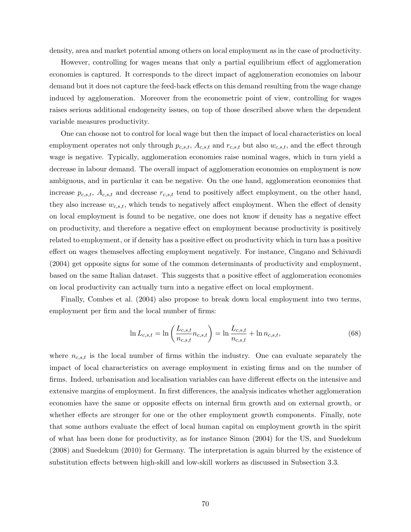density, area and market potential among others on local employment as in the case of productivity.

However, controlling for wages means that only a partial equilibrium effect of agglomeration economies is captured. It corresponds to the direct impact of agglomeration economies on labour demand but it does not capture the feed-back effects on this demand resulting from the wage change induced by agglomeration. Moreover from the econometric point of view, controlling for wages raises serious additional endogeneity issues, on top of those described above when the dependent variable measures productivity.

One can choose not to control for local wage but then the impact of local characteristics on local employment operates not only through  $p_{c,s,t}$ ,  $A_{c,s,t}$  and  $r_{c,s,t}$  but also  $w_{c,s,t}$ , and the effect through wage is negative. Typically, agglomeration economies raise nominal wages, which in turn yield a decrease in labour demand. The overall impact of agglomeration economies on employment is now ambiguous, and in particular it can be negative. On the one hand, agglomeration economies that increase  $p_{c,s,t}$ ,  $A_{c,s,t}$  and decrease  $r_{c,s,t}$  tend to positively affect employment, on the other hand, they also increase  $w_{c,s,t}$ , which tends to negatively affect employment. When the effect of density on local employment is found to be negative, one does not know if density has a negative effect on productivity, and therefore a negative effect on employment because productivity is positively related to employment, or if density has a positive effect on productivity which in turn has a positive effect on wages themselves affecting employment negatively. For instance, Cingano and Schivardi (2004) get opposite signs for some of the common determinants of productivity and employment, based on the same Italian dataset. This suggests that a positive effect of agglomeration economies on local productivity can actually turn into a negative effect on local employment.

Finally, Combes et al. (2004) also propose to break down local employment into two terms, employment per firm and the local number of firms:

$$
\ln L_{c,s,t} = \ln \left( \frac{L_{c,s,t}}{n_{c,s,t}} n_{c,s,t} \right) = \ln \frac{L_{c,s,t}}{n_{c,s,t}} + \ln n_{c,s,t},\tag{68}
$$

where  $n_{c,s,t}$  is the local number of firms within the industry. One can evaluate separately the impact of local characteristics on average employment in existing firms and on the number of firms. Indeed, urbanisation and localisation variables can have different effects on the intensive and extensive margins of employment. In first differences, the analysis indicates whether agglomeration economies have the same or opposite effects on internal firm growth and on external growth, or whether effects are stronger for one or the other employment growth components. Finally, note that some authors evaluate the effect of local human capital on employment growth in the spirit of what has been done for productivity, as for instance Simon (2004) for the US, and Suedekum (2008) and Suedekum (2010) for Germany. The interpretation is again blurred by the existence of substitution effects between high-skill and low-skill workers as discussed in Subsection 3.3.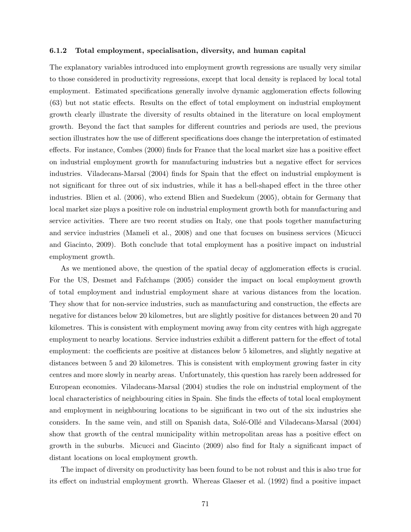### 6.1.2 Total employment, specialisation, diversity, and human capital

The explanatory variables introduced into employment growth regressions are usually very similar to those considered in productivity regressions, except that local density is replaced by local total employment. Estimated specifications generally involve dynamic agglomeration effects following (63) but not static effects. Results on the effect of total employment on industrial employment growth clearly illustrate the diversity of results obtained in the literature on local employment growth. Beyond the fact that samples for different countries and periods are used, the previous section illustrates how the use of different specifications does change the interpretation of estimated effects. For instance, Combes (2000) finds for France that the local market size has a positive effect on industrial employment growth for manufacturing industries but a negative effect for services industries. Viladecans-Marsal (2004) finds for Spain that the effect on industrial employment is not significant for three out of six industries, while it has a bell-shaped effect in the three other industries. Blien et al. (2006), who extend Blien and Suedekum (2005), obtain for Germany that local market size plays a positive role on industrial employment growth both for manufacturing and service activities. There are two recent studies on Italy, one that pools together manufacturing and service industries (Mameli et al., 2008) and one that focuses on business services (Micucci and Giacinto, 2009). Both conclude that total employment has a positive impact on industrial employment growth.

As we mentioned above, the question of the spatial decay of agglomeration effects is crucial. For the US, Desmet and Fafchamps (2005) consider the impact on local employment growth of total employment and industrial employment share at various distances from the location. They show that for non-service industries, such as manufacturing and construction, the effects are negative for distances below 20 kilometres, but are slightly positive for distances between 20 and 70 kilometres. This is consistent with employment moving away from city centres with high aggregate employment to nearby locations. Service industries exhibit a different pattern for the effect of total employment: the coefficients are positive at distances below 5 kilometres, and slightly negative at distances between 5 and 20 kilometres. This is consistent with employment growing faster in city centres and more slowly in nearby areas. Unfortunately, this question has rarely been addressed for European economies. Viladecans-Marsal (2004) studies the role on industrial employment of the local characteristics of neighbouring cities in Spain. She finds the effects of total local employment and employment in neighbouring locations to be significant in two out of the six industries she considers. In the same vein, and still on Spanish data, Solé-Ollé and Viladecans-Marsal (2004) show that growth of the central municipality within metropolitan areas has a positive effect on growth in the suburbs. Micucci and Giacinto (2009) also find for Italy a significant impact of distant locations on local employment growth.

The impact of diversity on productivity has been found to be not robust and this is also true for its effect on industrial employment growth. Whereas Glaeser et al. (1992) find a positive impact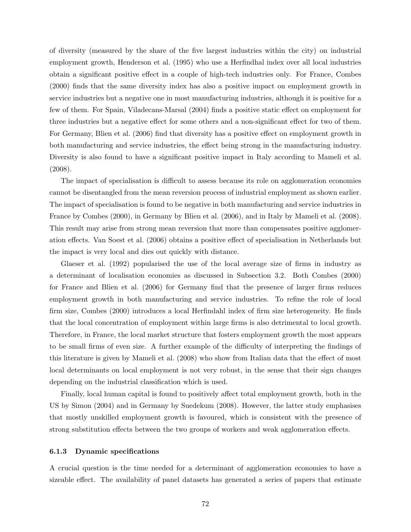of diversity (measured by the share of the five largest industries within the city) on industrial employment growth, Henderson et al. (1995) who use a Herfindhal index over all local industries obtain a significant positive effect in a couple of high-tech industries only. For France, Combes (2000) finds that the same diversity index has also a positive impact on employment growth in service industries but a negative one in most manufacturing industries, although it is positive for a few of them. For Spain, Viladecans-Marsal (2004) finds a positive static effect on employment for three industries but a negative effect for some others and a non-significant effect for two of them. For Germany, Blien et al. (2006) find that diversity has a positive effect on employment growth in both manufacturing and service industries, the effect being strong in the manufacturing industry. Diversity is also found to have a significant positive impact in Italy according to Mameli et al. (2008).

The impact of specialisation is difficult to assess because its role on agglomeration economies cannot be disentangled from the mean reversion process of industrial employment as shown earlier. The impact of specialisation is found to be negative in both manufacturing and service industries in France by Combes (2000), in Germany by Blien et al. (2006), and in Italy by Mameli et al. (2008). This result may arise from strong mean reversion that more than compensates positive agglomeration effects. Van Soest et al. (2006) obtains a positive effect of specialisation in Netherlands but the impact is very local and dies out quickly with distance.

Glaeser et al. (1992) popularised the use of the local average size of firms in industry as a determinant of localisation economies as discussed in Subsection 3.2. Both Combes (2000) for France and Blien et al. (2006) for Germany find that the presence of larger firms reduces employment growth in both manufacturing and service industries. To refine the role of local firm size, Combes (2000) introduces a local Herfindahl index of firm size heterogeneity. He finds that the local concentration of employment within large firms is also detrimental to local growth. Therefore, in France, the local market structure that fosters employment growth the most appears to be small firms of even size. A further example of the difficulty of interpreting the findings of this literature is given by Mameli et al. (2008) who show from Italian data that the effect of most local determinants on local employment is not very robust, in the sense that their sign changes depending on the industrial classification which is used.

Finally, local human capital is found to positively affect total employment growth, both in the US by Simon (2004) and in Germany by Suedekum (2008). However, the latter study emphasises that mostly unskilled employment growth is favoured, which is consistent with the presence of strong substitution effects between the two groups of workers and weak agglomeration effects.

### 6.1.3 Dynamic specifications

A crucial question is the time needed for a determinant of agglomeration economies to have a sizeable effect. The availability of panel datasets has generated a series of papers that estimate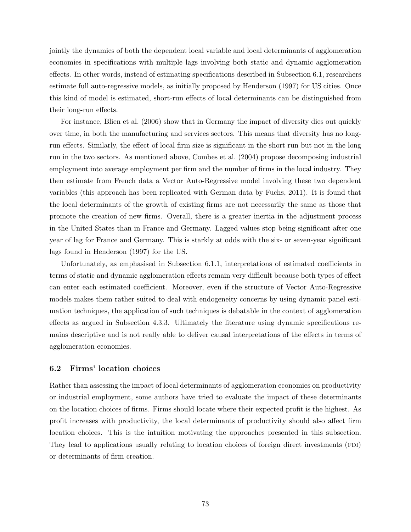jointly the dynamics of both the dependent local variable and local determinants of agglomeration economies in specifications with multiple lags involving both static and dynamic agglomeration effects. In other words, instead of estimating specifications described in Subsection 6.1, researchers estimate full auto-regressive models, as initially proposed by Henderson (1997) for US cities. Once this kind of model is estimated, short-run effects of local determinants can be distinguished from their long-run effects.

For instance, Blien et al. (2006) show that in Germany the impact of diversity dies out quickly over time, in both the manufacturing and services sectors. This means that diversity has no longrun effects. Similarly, the effect of local firm size is significant in the short run but not in the long run in the two sectors. As mentioned above, Combes et al. (2004) propose decomposing industrial employment into average employment per firm and the number of firms in the local industry. They then estimate from French data a Vector Auto-Regressive model involving these two dependent variables (this approach has been replicated with German data by Fuchs, 2011). It is found that the local determinants of the growth of existing firms are not necessarily the same as those that promote the creation of new firms. Overall, there is a greater inertia in the adjustment process in the United States than in France and Germany. Lagged values stop being significant after one year of lag for France and Germany. This is starkly at odds with the six- or seven-year significant lags found in Henderson (1997) for the US.

Unfortunately, as emphasised in Subsection 6.1.1, interpretations of estimated coefficients in terms of static and dynamic agglomeration effects remain very difficult because both types of effect can enter each estimated coefficient. Moreover, even if the structure of Vector Auto-Regressive models makes them rather suited to deal with endogeneity concerns by using dynamic panel estimation techniques, the application of such techniques is debatable in the context of agglomeration effects as argued in Subsection 4.3.3. Ultimately the literature using dynamic specifications remains descriptive and is not really able to deliver causal interpretations of the effects in terms of agglomeration economies.

## 6.2 Firms' location choices

Rather than assessing the impact of local determinants of agglomeration economies on productivity or industrial employment, some authors have tried to evaluate the impact of these determinants on the location choices of firms. Firms should locate where their expected profit is the highest. As profit increases with productivity, the local determinants of productivity should also affect firm location choices. This is the intuition motivating the approaches presented in this subsection. They lead to applications usually relating to location choices of foreign direct investments (FDI) or determinants of firm creation.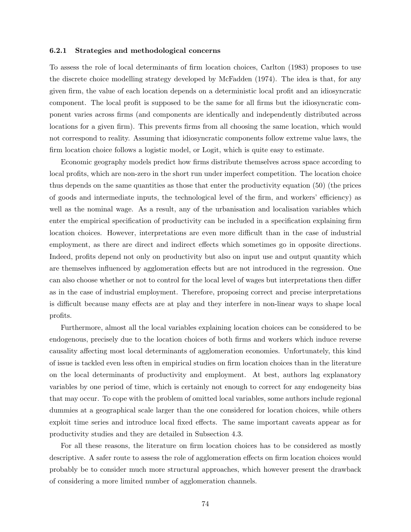### 6.2.1 Strategies and methodological concerns

To assess the role of local determinants of firm location choices, Carlton (1983) proposes to use the discrete choice modelling strategy developed by McFadden (1974). The idea is that, for any given firm, the value of each location depends on a deterministic local profit and an idiosyncratic component. The local profit is supposed to be the same for all firms but the idiosyncratic component varies across firms (and components are identically and independently distributed across locations for a given firm). This prevents firms from all choosing the same location, which would not correspond to reality. Assuming that idiosyncratic components follow extreme value laws, the firm location choice follows a logistic model, or Logit, which is quite easy to estimate.

Economic geography models predict how firms distribute themselves across space according to local profits, which are non-zero in the short run under imperfect competition. The location choice thus depends on the same quantities as those that enter the productivity equation (50) (the prices of goods and intermediate inputs, the technological level of the firm, and workers' efficiency) as well as the nominal wage. As a result, any of the urbanisation and localisation variables which enter the empirical specification of productivity can be included in a specification explaining firm location choices. However, interpretations are even more difficult than in the case of industrial employment, as there are direct and indirect effects which sometimes go in opposite directions. Indeed, profits depend not only on productivity but also on input use and output quantity which are themselves influenced by agglomeration effects but are not introduced in the regression. One can also choose whether or not to control for the local level of wages but interpretations then differ as in the case of industrial employment. Therefore, proposing correct and precise interpretations is difficult because many effects are at play and they interfere in non-linear ways to shape local profits.

Furthermore, almost all the local variables explaining location choices can be considered to be endogenous, precisely due to the location choices of both firms and workers which induce reverse causality affecting most local determinants of agglomeration economies. Unfortunately, this kind of issue is tackled even less often in empirical studies on firm location choices than in the literature on the local determinants of productivity and employment. At best, authors lag explanatory variables by one period of time, which is certainly not enough to correct for any endogeneity bias that may occur. To cope with the problem of omitted local variables, some authors include regional dummies at a geographical scale larger than the one considered for location choices, while others exploit time series and introduce local fixed effects. The same important caveats appear as for productivity studies and they are detailed in Subsection 4.3.

For all these reasons, the literature on firm location choices has to be considered as mostly descriptive. A safer route to assess the role of agglomeration effects on firm location choices would probably be to consider much more structural approaches, which however present the drawback of considering a more limited number of agglomeration channels.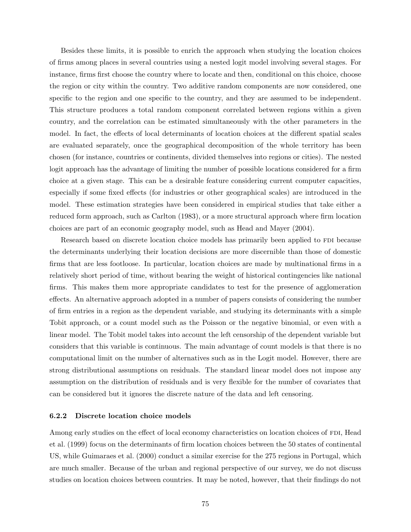Besides these limits, it is possible to enrich the approach when studying the location choices of firms among places in several countries using a nested logit model involving several stages. For instance, firms first choose the country where to locate and then, conditional on this choice, choose the region or city within the country. Two additive random components are now considered, one specific to the region and one specific to the country, and they are assumed to be independent. This structure produces a total random component correlated between regions within a given country, and the correlation can be estimated simultaneously with the other parameters in the model. In fact, the effects of local determinants of location choices at the different spatial scales are evaluated separately, once the geographical decomposition of the whole territory has been chosen (for instance, countries or continents, divided themselves into regions or cities). The nested logit approach has the advantage of limiting the number of possible locations considered for a firm choice at a given stage. This can be a desirable feature considering current computer capacities, especially if some fixed effects (for industries or other geographical scales) are introduced in the model. These estimation strategies have been considered in empirical studies that take either a reduced form approach, such as Carlton (1983), or a more structural approach where firm location choices are part of an economic geography model, such as Head and Mayer (2004).

Research based on discrete location choice models has primarily been applied to FDI because the determinants underlying their location decisions are more discernible than those of domestic firms that are less footloose. In particular, location choices are made by multinational firms in a relatively short period of time, without bearing the weight of historical contingencies like national firms. This makes them more appropriate candidates to test for the presence of agglomeration effects. An alternative approach adopted in a number of papers consists of considering the number of firm entries in a region as the dependent variable, and studying its determinants with a simple Tobit approach, or a count model such as the Poisson or the negative binomial, or even with a linear model. The Tobit model takes into account the left censorship of the dependent variable but considers that this variable is continuous. The main advantage of count models is that there is no computational limit on the number of alternatives such as in the Logit model. However, there are strong distributional assumptions on residuals. The standard linear model does not impose any assumption on the distribution of residuals and is very flexible for the number of covariates that can be considered but it ignores the discrete nature of the data and left censoring.

### 6.2.2 Discrete location choice models

Among early studies on the effect of local economy characteristics on location choices of FDI, Head et al. (1999) focus on the determinants of firm location choices between the 50 states of continental US, while Guimaraes et al. (2000) conduct a similar exercise for the 275 regions in Portugal, which are much smaller. Because of the urban and regional perspective of our survey, we do not discuss studies on location choices between countries. It may be noted, however, that their findings do not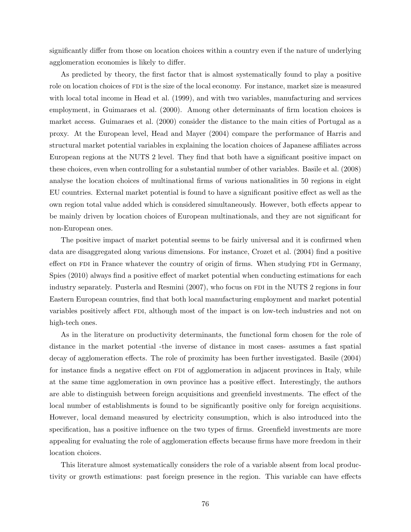significantly differ from those on location choices within a country even if the nature of underlying agglomeration economies is likely to differ.

As predicted by theory, the first factor that is almost systematically found to play a positive role on location choices of FDI is the size of the local economy. For instance, market size is measured with local total income in Head et al. (1999), and with two variables, manufacturing and services employment, in Guimaraes et al. (2000). Among other determinants of firm location choices is market access. Guimaraes et al. (2000) consider the distance to the main cities of Portugal as a proxy. At the European level, Head and Mayer (2004) compare the performance of Harris and structural market potential variables in explaining the location choices of Japanese affiliates across European regions at the NUTS 2 level. They find that both have a significant positive impact on these choices, even when controlling for a substantial number of other variables. Basile et al. (2008) analyse the location choices of multinational firms of various nationalities in 50 regions in eight EU countries. External market potential is found to have a significant positive effect as well as the own region total value added which is considered simultaneously. However, both effects appear to be mainly driven by location choices of European multinationals, and they are not significant for non-European ones.

The positive impact of market potential seems to be fairly universal and it is confirmed when data are disaggregated along various dimensions. For instance, Crozet et al. (2004) find a positive effect on FDI in France whatever the country of origin of firms. When studying FDI in Germany, Spies (2010) always find a positive effect of market potential when conducting estimations for each industry separately. Pusterla and Resmini (2007), who focus on FDI in the NUTS 2 regions in four Eastern European countries, find that both local manufacturing employment and market potential variables positively affect FDI, although most of the impact is on low-tech industries and not on high-tech ones.

As in the literature on productivity determinants, the functional form chosen for the role of distance in the market potential -the inverse of distance in most cases- assumes a fast spatial decay of agglomeration effects. The role of proximity has been further investigated. Basile (2004) for instance finds a negative effect on FDI of agglomeration in adjacent provinces in Italy, while at the same time agglomeration in own province has a positive effect. Interestingly, the authors are able to distinguish between foreign acquisitions and greenfield investments. The effect of the local number of establishments is found to be significantly positive only for foreign acquisitions. However, local demand measured by electricity consumption, which is also introduced into the specification, has a positive influence on the two types of firms. Greenfield investments are more appealing for evaluating the role of agglomeration effects because firms have more freedom in their location choices.

This literature almost systematically considers the role of a variable absent from local productivity or growth estimations: past foreign presence in the region. This variable can have effects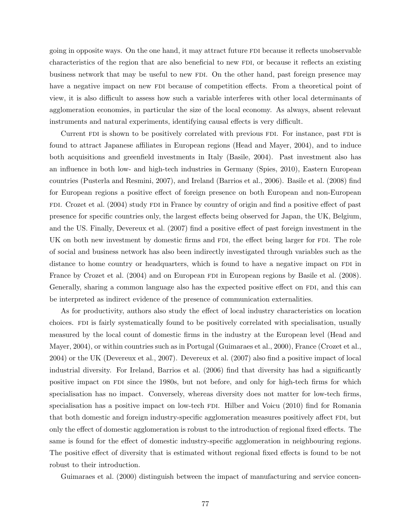going in opposite ways. On the one hand, it may attract future FDI because it reflects unobservable characteristics of the region that are also beneficial to new FDI, or because it reflects an existing business network that may be useful to new FDI. On the other hand, past foreign presence may have a negative impact on new FDI because of competition effects. From a theoretical point of view, it is also difficult to assess how such a variable interferes with other local determinants of agglomeration economies, in particular the size of the local economy. As always, absent relevant instruments and natural experiments, identifying causal effects is very difficult.

Current FDI is shown to be positively correlated with previous FDI. For instance, past FDI is found to attract Japanese affiliates in European regions (Head and Mayer, 2004), and to induce both acquisitions and greenfield investments in Italy (Basile, 2004). Past investment also has an influence in both low- and high-tech industries in Germany (Spies, 2010), Eastern European countries (Pusterla and Resmini, 2007), and Ireland (Barrios et al., 2006). Basile et al. (2008) find for European regions a positive effect of foreign presence on both European and non-European FDI. Crozet et al. (2004) study FDI in France by country of origin and find a positive effect of past presence for specific countries only, the largest effects being observed for Japan, the UK, Belgium, and the US. Finally, Devereux et al. (2007) find a positive effect of past foreign investment in the UK on both new investment by domestic firms and FDI, the effect being larger for FDI. The role of social and business network has also been indirectly investigated through variables such as the distance to home country or headquarters, which is found to have a negative impact on FDI in France by Crozet et al. (2004) and on European FDI in European regions by Basile et al. (2008). Generally, sharing a common language also has the expected positive effect on FDI, and this can be interpreted as indirect evidence of the presence of communication externalities.

As for productivity, authors also study the effect of local industry characteristics on location choices. FDI is fairly systematically found to be positively correlated with specialisation, usually measured by the local count of domestic firms in the industry at the European level (Head and Mayer, 2004), or within countries such as in Portugal (Guimaraes et al., 2000), France (Crozet et al., 2004) or the UK (Devereux et al., 2007). Devereux et al. (2007) also find a positive impact of local industrial diversity. For Ireland, Barrios et al. (2006) find that diversity has had a significantly positive impact on FDI since the 1980s, but not before, and only for high-tech firms for which specialisation has no impact. Conversely, whereas diversity does not matter for low-tech firms, specialisation has a positive impact on low-tech FDI. Hilber and Voicu (2010) find for Romania that both domestic and foreign industry-specific agglomeration measures positively affect FDI, but only the effect of domestic agglomeration is robust to the introduction of regional fixed effects. The same is found for the effect of domestic industry-specific agglomeration in neighbouring regions. The positive effect of diversity that is estimated without regional fixed effects is found to be not robust to their introduction.

Guimaraes et al. (2000) distinguish between the impact of manufacturing and service concen-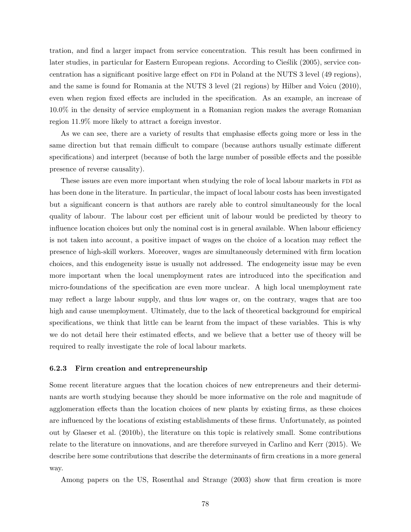tration, and find a larger impact from service concentration. This result has been confirmed in later studies, in particular for Eastern European regions. According to Ciestik (2005), service concentration has a significant positive large effect on FDI in Poland at the NUTS 3 level (49 regions), and the same is found for Romania at the NUTS 3 level (21 regions) by Hilber and Voicu (2010), even when region fixed effects are included in the specification. As an example, an increase of 10.0% in the density of service employment in a Romanian region makes the average Romanian region 11.9% more likely to attract a foreign investor.

As we can see, there are a variety of results that emphasise effects going more or less in the same direction but that remain difficult to compare (because authors usually estimate different specifications) and interpret (because of both the large number of possible effects and the possible presence of reverse causality).

These issues are even more important when studying the role of local labour markets in FDI as has been done in the literature. In particular, the impact of local labour costs has been investigated but a significant concern is that authors are rarely able to control simultaneously for the local quality of labour. The labour cost per efficient unit of labour would be predicted by theory to influence location choices but only the nominal cost is in general available. When labour efficiency is not taken into account, a positive impact of wages on the choice of a location may reflect the presence of high-skill workers. Moreover, wages are simultaneously determined with firm location choices, and this endogeneity issue is usually not addressed. The endogeneity issue may be even more important when the local unemployment rates are introduced into the specification and micro-foundations of the specification are even more unclear. A high local unemployment rate may reflect a large labour supply, and thus low wages or, on the contrary, wages that are too high and cause unemployment. Ultimately, due to the lack of theoretical background for empirical specifications, we think that little can be learnt from the impact of these variables. This is why we do not detail here their estimated effects, and we believe that a better use of theory will be required to really investigate the role of local labour markets.

### 6.2.3 Firm creation and entrepreneurship

Some recent literature argues that the location choices of new entrepreneurs and their determinants are worth studying because they should be more informative on the role and magnitude of agglomeration effects than the location choices of new plants by existing firms, as these choices are influenced by the locations of existing establishments of these firms. Unfortunately, as pointed out by Glaeser et al. (2010b), the literature on this topic is relatively small. Some contributions relate to the literature on innovations, and are therefore surveyed in Carlino and Kerr (2015). We describe here some contributions that describe the determinants of firm creations in a more general way.

Among papers on the US, Rosenthal and Strange (2003) show that firm creation is more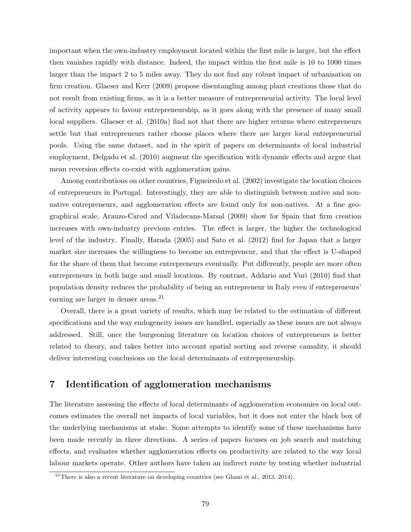important when the own-industry employment located within the first mile is larger, but the effect then vanishes rapidly with distance. Indeed, the impact within the first mile is 10 to 1000 times larger than the impact 2 to 5 miles away. They do not find any robust impact of urbanisation on firm creation. Glaeser and Kerr (2009) propose disentangling among plant creations those that do not result from existing firms, as it is a better measure of entrepreneurial activity. The local level of activity appears to favour entrepreneurship, as it goes along with the presence of many small local suppliers. Glaeser et al. (2010a) find not that there are higher returns where entrepreneurs settle but that entrepreneurs rather choose places where there are larger local entrepreneurial pools. Using the same dataset, and in the spirit of papers on determinants of local industrial employment, Delgado et al. (2010) augment the specification with dynamic effects and argue that mean reversion effects co-exist with agglomeration gains.

Among contributions on other countries, Figueiredo et al. (2002) investigate the location choices of entrepreneurs in Portugal. Interestingly, they are able to distinguish between native and nonnative entrepreneurs, and agglomeration effects are found only for non-natives. At a fine geographical scale, Arauzo-Carod and Viladecans-Marsal (2009) show for Spain that firm creation increases with own-industry previous entries. The effect is larger, the higher the technological level of the industry. Finally, Harada (2005) and Sato et al. (2012) find for Japan that a larger market size increases the willingness to become an entrepreneur, and that the effect is U-shaped for the share of them that become entrepreneurs eventually. Put differently, people are more often entrepreneurs in both large and small locations. By contrast, Addario and Vuri (2010) find that population density reduces the probability of being an entrepreneur in Italy even if entrepreneurs' earning are larger in denser areas.<sup>21</sup>

Overall, there is a great variety of results, which may be related to the estimation of different specifications and the way endogeneity issues are handled, especially as these issues are not always addressed. Still, once the burgeoning literature on location choices of entrepreneurs is better related to theory, and takes better into account spatial sorting and reverse causality, it should deliver interesting conclusions on the local determinants of entrepreneurship.

# 7 Identification of agglomeration mechanisms

The literature assessing the effects of local determinants of agglomeration economies on local outcomes estimates the overall net impacts of local variables, but it does not enter the black box of the underlying mechanisms at stake. Some attempts to identify some of these mechanisms have been made recently in three directions. A series of papers focuses on job search and matching effects, and evaluates whether agglomeration effects on productivity are related to the way local labour markets operate. Other authors have taken an indirect route by testing whether industrial

 $21$ There is also a recent literature on developing countries (see Ghani et al., 2013, 2014).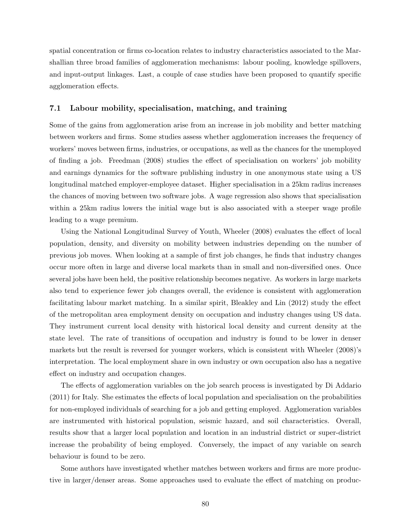spatial concentration or firms co-location relates to industry characteristics associated to the Marshallian three broad families of agglomeration mechanisms: labour pooling, knowledge spillovers, and input-output linkages. Last, a couple of case studies have been proposed to quantify specific agglomeration effects.

## 7.1 Labour mobility, specialisation, matching, and training

Some of the gains from agglomeration arise from an increase in job mobility and better matching between workers and firms. Some studies assess whether agglomeration increases the frequency of workers' moves between firms, industries, or occupations, as well as the chances for the unemployed of finding a job. Freedman (2008) studies the effect of specialisation on workers' job mobility and earnings dynamics for the software publishing industry in one anonymous state using a US longitudinal matched employer-employee dataset. Higher specialisation in a 25km radius increases the chances of moving between two software jobs. A wage regression also shows that specialisation within a 25km radius lowers the initial wage but is also associated with a steeper wage profile leading to a wage premium.

Using the National Longitudinal Survey of Youth, Wheeler (2008) evaluates the effect of local population, density, and diversity on mobility between industries depending on the number of previous job moves. When looking at a sample of first job changes, he finds that industry changes occur more often in large and diverse local markets than in small and non-diversified ones. Once several jobs have been held, the positive relationship becomes negative. As workers in large markets also tend to experience fewer job changes overall, the evidence is consistent with agglomeration facilitating labour market matching. In a similar spirit, Bleakley and Lin (2012) study the effect of the metropolitan area employment density on occupation and industry changes using US data. They instrument current local density with historical local density and current density at the state level. The rate of transitions of occupation and industry is found to be lower in denser markets but the result is reversed for younger workers, which is consistent with Wheeler (2008)'s interpretation. The local employment share in own industry or own occupation also has a negative effect on industry and occupation changes.

The effects of agglomeration variables on the job search process is investigated by Di Addario (2011) for Italy. She estimates the effects of local population and specialisation on the probabilities for non-employed individuals of searching for a job and getting employed. Agglomeration variables are instrumented with historical population, seismic hazard, and soil characteristics. Overall, results show that a larger local population and location in an industrial district or super-district increase the probability of being employed. Conversely, the impact of any variable on search behaviour is found to be zero.

Some authors have investigated whether matches between workers and firms are more productive in larger/denser areas. Some approaches used to evaluate the effect of matching on produc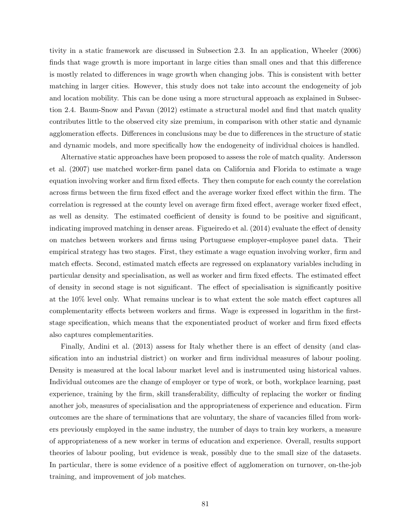tivity in a static framework are discussed in Subsection 2.3. In an application, Wheeler (2006) finds that wage growth is more important in large cities than small ones and that this difference is mostly related to differences in wage growth when changing jobs. This is consistent with better matching in larger cities. However, this study does not take into account the endogeneity of job and location mobility. This can be done using a more structural approach as explained in Subsection 2.4. Baum-Snow and Pavan (2012) estimate a structural model and find that match quality contributes little to the observed city size premium, in comparison with other static and dynamic agglomeration effects. Differences in conclusions may be due to differences in the structure of static and dynamic models, and more specifically how the endogeneity of individual choices is handled.

Alternative static approaches have been proposed to assess the role of match quality. Andersson et al. (2007) use matched worker-firm panel data on California and Florida to estimate a wage equation involving worker and firm fixed effects. They then compute for each county the correlation across firms between the firm fixed effect and the average worker fixed effect within the firm. The correlation is regressed at the county level on average firm fixed effect, average worker fixed effect, as well as density. The estimated coefficient of density is found to be positive and significant, indicating improved matching in denser areas. Figueiredo et al. (2014) evaluate the effect of density on matches between workers and firms using Portuguese employer-employee panel data. Their empirical strategy has two stages. First, they estimate a wage equation involving worker, firm and match effects. Second, estimated match effects are regressed on explanatory variables including in particular density and specialisation, as well as worker and firm fixed effects. The estimated effect of density in second stage is not significant. The effect of specialisation is significantly positive at the 10% level only. What remains unclear is to what extent the sole match effect captures all complementarity effects between workers and firms. Wage is expressed in logarithm in the firststage specification, which means that the exponentiated product of worker and firm fixed effects also captures complementarities.

Finally, Andini et al. (2013) assess for Italy whether there is an effect of density (and classification into an industrial district) on worker and firm individual measures of labour pooling. Density is measured at the local labour market level and is instrumented using historical values. Individual outcomes are the change of employer or type of work, or both, workplace learning, past experience, training by the firm, skill transferability, difficulty of replacing the worker or finding another job, measures of specialisation and the appropriateness of experience and education. Firm outcomes are the share of terminations that are voluntary, the share of vacancies filled from workers previously employed in the same industry, the number of days to train key workers, a measure of appropriateness of a new worker in terms of education and experience. Overall, results support theories of labour pooling, but evidence is weak, possibly due to the small size of the datasets. In particular, there is some evidence of a positive effect of agglomeration on turnover, on-the-job training, and improvement of job matches.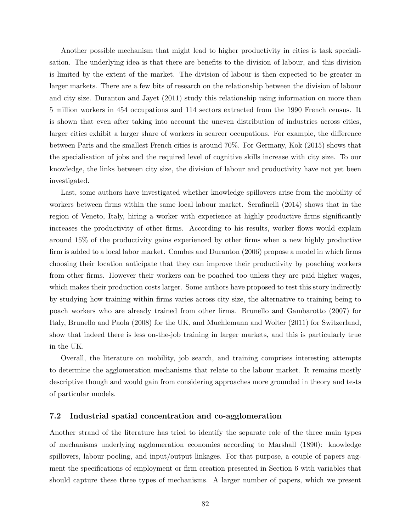Another possible mechanism that might lead to higher productivity in cities is task specialisation. The underlying idea is that there are benefits to the division of labour, and this division is limited by the extent of the market. The division of labour is then expected to be greater in larger markets. There are a few bits of research on the relationship between the division of labour and city size. Duranton and Jayet (2011) study this relationship using information on more than 5 million workers in 454 occupations and 114 sectors extracted from the 1990 French census. It is shown that even after taking into account the uneven distribution of industries across cities, larger cities exhibit a larger share of workers in scarcer occupations. For example, the difference between Paris and the smallest French cities is around 70%. For Germany, Kok (2015) shows that the specialisation of jobs and the required level of cognitive skills increase with city size. To our knowledge, the links between city size, the division of labour and productivity have not yet been investigated.

Last, some authors have investigated whether knowledge spillovers arise from the mobility of workers between firms within the same local labour market. Serafinelli (2014) shows that in the region of Veneto, Italy, hiring a worker with experience at highly productive firms significantly increases the productivity of other firms. According to his results, worker flows would explain around 15% of the productivity gains experienced by other firms when a new highly productive firm is added to a local labor market. Combes and Duranton (2006) propose a model in which firms choosing their location anticipate that they can improve their productivity by poaching workers from other firms. However their workers can be poached too unless they are paid higher wages, which makes their production costs larger. Some authors have proposed to test this story indirectly by studying how training within firms varies across city size, the alternative to training being to poach workers who are already trained from other firms. Brunello and Gambarotto (2007) for Italy, Brunello and Paola (2008) for the UK, and Muehlemann and Wolter (2011) for Switzerland, show that indeed there is less on-the-job training in larger markets, and this is particularly true in the UK.

Overall, the literature on mobility, job search, and training comprises interesting attempts to determine the agglomeration mechanisms that relate to the labour market. It remains mostly descriptive though and would gain from considering approaches more grounded in theory and tests of particular models.

### 7.2 Industrial spatial concentration and co-agglomeration

Another strand of the literature has tried to identify the separate role of the three main types of mechanisms underlying agglomeration economies according to Marshall (1890): knowledge spillovers, labour pooling, and input/output linkages. For that purpose, a couple of papers augment the specifications of employment or firm creation presented in Section 6 with variables that should capture these three types of mechanisms. A larger number of papers, which we present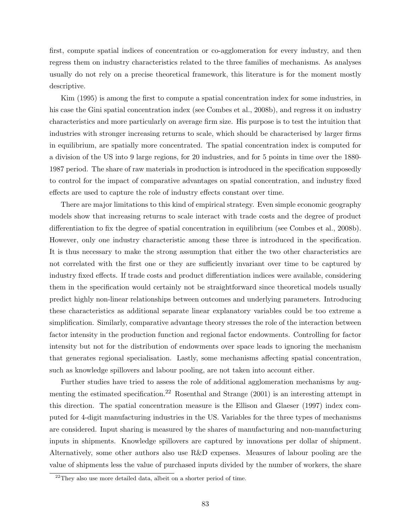first, compute spatial indices of concentration or co-agglomeration for every industry, and then regress them on industry characteristics related to the three families of mechanisms. As analyses usually do not rely on a precise theoretical framework, this literature is for the moment mostly descriptive.

Kim (1995) is among the first to compute a spatial concentration index for some industries, in his case the Gini spatial concentration index (see Combes et al., 2008b), and regress it on industry characteristics and more particularly on average firm size. His purpose is to test the intuition that industries with stronger increasing returns to scale, which should be characterised by larger firms in equilibrium, are spatially more concentrated. The spatial concentration index is computed for a division of the US into 9 large regions, for 20 industries, and for 5 points in time over the 1880- 1987 period. The share of raw materials in production is introduced in the specification supposedly to control for the impact of comparative advantages on spatial concentration, and industry fixed effects are used to capture the role of industry effects constant over time.

There are major limitations to this kind of empirical strategy. Even simple economic geography models show that increasing returns to scale interact with trade costs and the degree of product differentiation to fix the degree of spatial concentration in equilibrium (see Combes et al., 2008b). However, only one industry characteristic among these three is introduced in the specification. It is thus necessary to make the strong assumption that either the two other characteristics are not correlated with the first one or they are sufficiently invariant over time to be captured by industry fixed effects. If trade costs and product differentiation indices were available, considering them in the specification would certainly not be straightforward since theoretical models usually predict highly non-linear relationships between outcomes and underlying parameters. Introducing these characteristics as additional separate linear explanatory variables could be too extreme a simplification. Similarly, comparative advantage theory stresses the role of the interaction between factor intensity in the production function and regional factor endowments. Controlling for factor intensity but not for the distribution of endowments over space leads to ignoring the mechanism that generates regional specialisation. Lastly, some mechanisms affecting spatial concentration, such as knowledge spillovers and labour pooling, are not taken into account either.

Further studies have tried to assess the role of additional agglomeration mechanisms by augmenting the estimated specification.<sup>22</sup> Rosenthal and Strange  $(2001)$  is an interesting attempt in this direction. The spatial concentration measure is the Ellison and Glaeser (1997) index computed for 4-digit manufacturing industries in the US. Variables for the three types of mechanisms are considered. Input sharing is measured by the shares of manufacturing and non-manufacturing inputs in shipments. Knowledge spillovers are captured by innovations per dollar of shipment. Alternatively, some other authors also use R&D expenses. Measures of labour pooling are the value of shipments less the value of purchased inputs divided by the number of workers, the share

<sup>&</sup>lt;sup>22</sup>They also use more detailed data, albeit on a shorter period of time.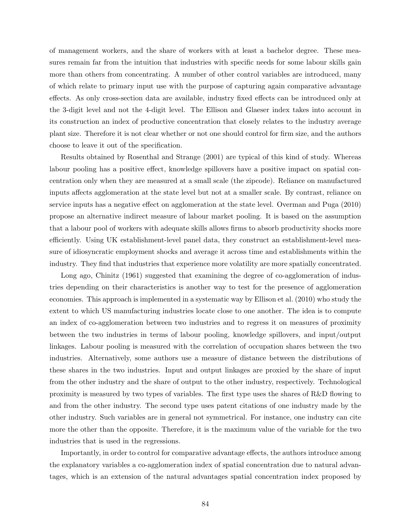of management workers, and the share of workers with at least a bachelor degree. These measures remain far from the intuition that industries with specific needs for some labour skills gain more than others from concentrating. A number of other control variables are introduced, many of which relate to primary input use with the purpose of capturing again comparative advantage effects. As only cross-section data are available, industry fixed effects can be introduced only at the 3-digit level and not the 4-digit level. The Ellison and Glaeser index takes into account in its construction an index of productive concentration that closely relates to the industry average plant size. Therefore it is not clear whether or not one should control for firm size, and the authors choose to leave it out of the specification.

Results obtained by Rosenthal and Strange (2001) are typical of this kind of study. Whereas labour pooling has a positive effect, knowledge spillovers have a positive impact on spatial concentration only when they are measured at a small scale (the zipcode). Reliance on manufactured inputs affects agglomeration at the state level but not at a smaller scale. By contrast, reliance on service inputs has a negative effect on agglomeration at the state level. Overman and Puga (2010) propose an alternative indirect measure of labour market pooling. It is based on the assumption that a labour pool of workers with adequate skills allows firms to absorb productivity shocks more efficiently. Using UK establishment-level panel data, they construct an establishment-level measure of idiosyncratic employment shocks and average it across time and establishments within the industry. They find that industries that experience more volatility are more spatially concentrated.

Long ago, Chinitz (1961) suggested that examining the degree of co-agglomeration of industries depending on their characteristics is another way to test for the presence of agglomeration economies. This approach is implemented in a systematic way by Ellison et al. (2010) who study the extent to which US manufacturing industries locate close to one another. The idea is to compute an index of co-agglomeration between two industries and to regress it on measures of proximity between the two industries in terms of labour pooling, knowledge spillovers, and input/output linkages. Labour pooling is measured with the correlation of occupation shares between the two industries. Alternatively, some authors use a measure of distance between the distributions of these shares in the two industries. Input and output linkages are proxied by the share of input from the other industry and the share of output to the other industry, respectively. Technological proximity is measured by two types of variables. The first type uses the shares of R&D flowing to and from the other industry. The second type uses patent citations of one industry made by the other industry. Such variables are in general not symmetrical. For instance, one industry can cite more the other than the opposite. Therefore, it is the maximum value of the variable for the two industries that is used in the regressions.

Importantly, in order to control for comparative advantage effects, the authors introduce among the explanatory variables a co-agglomeration index of spatial concentration due to natural advantages, which is an extension of the natural advantages spatial concentration index proposed by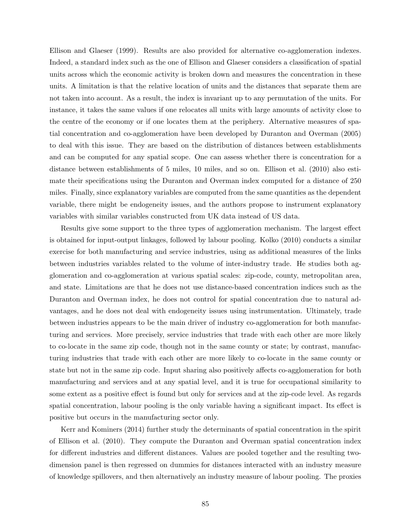Ellison and Glaeser (1999). Results are also provided for alternative co-agglomeration indexes. Indeed, a standard index such as the one of Ellison and Glaeser considers a classification of spatial units across which the economic activity is broken down and measures the concentration in these units. A limitation is that the relative location of units and the distances that separate them are not taken into account. As a result, the index is invariant up to any permutation of the units. For instance, it takes the same values if one relocates all units with large amounts of activity close to the centre of the economy or if one locates them at the periphery. Alternative measures of spatial concentration and co-agglomeration have been developed by Duranton and Overman (2005) to deal with this issue. They are based on the distribution of distances between establishments and can be computed for any spatial scope. One can assess whether there is concentration for a distance between establishments of 5 miles, 10 miles, and so on. Ellison et al. (2010) also estimate their specifications using the Duranton and Overman index computed for a distance of 250 miles. Finally, since explanatory variables are computed from the same quantities as the dependent variable, there might be endogeneity issues, and the authors propose to instrument explanatory variables with similar variables constructed from UK data instead of US data.

Results give some support to the three types of agglomeration mechanism. The largest effect is obtained for input-output linkages, followed by labour pooling. Kolko (2010) conducts a similar exercise for both manufacturing and service industries, using as additional measures of the links between industries variables related to the volume of inter-industry trade. He studies both agglomeration and co-agglomeration at various spatial scales: zip-code, county, metropolitan area, and state. Limitations are that he does not use distance-based concentration indices such as the Duranton and Overman index, he does not control for spatial concentration due to natural advantages, and he does not deal with endogeneity issues using instrumentation. Ultimately, trade between industries appears to be the main driver of industry co-agglomeration for both manufacturing and services. More precisely, service industries that trade with each other are more likely to co-locate in the same zip code, though not in the same county or state; by contrast, manufacturing industries that trade with each other are more likely to co-locate in the same county or state but not in the same zip code. Input sharing also positively affects co-agglomeration for both manufacturing and services and at any spatial level, and it is true for occupational similarity to some extent as a positive effect is found but only for services and at the zip-code level. As regards spatial concentration, labour pooling is the only variable having a significant impact. Its effect is positive but occurs in the manufacturing sector only.

Kerr and Kominers (2014) further study the determinants of spatial concentration in the spirit of Ellison et al. (2010). They compute the Duranton and Overman spatial concentration index for different industries and different distances. Values are pooled together and the resulting twodimension panel is then regressed on dummies for distances interacted with an industry measure of knowledge spillovers, and then alternatively an industry measure of labour pooling. The proxies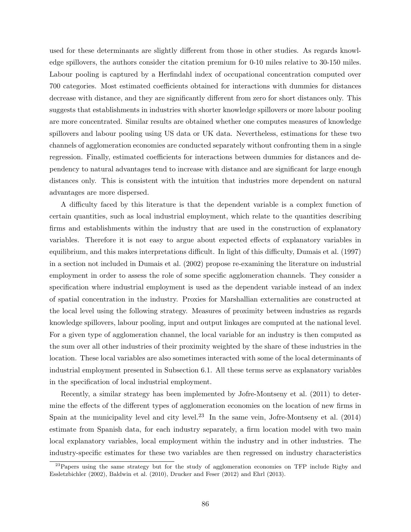used for these determinants are slightly different from those in other studies. As regards knowledge spillovers, the authors consider the citation premium for 0-10 miles relative to 30-150 miles. Labour pooling is captured by a Herfindahl index of occupational concentration computed over 700 categories. Most estimated coefficients obtained for interactions with dummies for distances decrease with distance, and they are significantly different from zero for short distances only. This suggests that establishments in industries with shorter knowledge spillovers or more labour pooling are more concentrated. Similar results are obtained whether one computes measures of knowledge spillovers and labour pooling using US data or UK data. Nevertheless, estimations for these two channels of agglomeration economies are conducted separately without confronting them in a single regression. Finally, estimated coefficients for interactions between dummies for distances and dependency to natural advantages tend to increase with distance and are significant for large enough distances only. This is consistent with the intuition that industries more dependent on natural advantages are more dispersed.

A difficulty faced by this literature is that the dependent variable is a complex function of certain quantities, such as local industrial employment, which relate to the quantities describing firms and establishments within the industry that are used in the construction of explanatory variables. Therefore it is not easy to argue about expected effects of explanatory variables in equilibrium, and this makes interpretations difficult. In light of this difficulty, Dumais et al. (1997) in a section not included in Dumais et al. (2002) propose re-examining the literature on industrial employment in order to assess the role of some specific agglomeration channels. They consider a specification where industrial employment is used as the dependent variable instead of an index of spatial concentration in the industry. Proxies for Marshallian externalities are constructed at the local level using the following strategy. Measures of proximity between industries as regards knowledge spillovers, labour pooling, input and output linkages are computed at the national level. For a given type of agglomeration channel, the local variable for an industry is then computed as the sum over all other industries of their proximity weighted by the share of these industries in the location. These local variables are also sometimes interacted with some of the local determinants of industrial employment presented in Subsection 6.1. All these terms serve as explanatory variables in the specification of local industrial employment.

Recently, a similar strategy has been implemented by Jofre-Montseny et al. (2011) to determine the effects of the different types of agglomeration economies on the location of new firms in Spain at the municipality level and city level.<sup>23</sup> In the same vein, Jofre-Montseny et al.  $(2014)$ estimate from Spanish data, for each industry separately, a firm location model with two main local explanatory variables, local employment within the industry and in other industries. The industry-specific estimates for these two variables are then regressed on industry characteristics

<sup>&</sup>lt;sup>23</sup>Papers using the same strategy but for the study of agglomeration economies on TFP include Rigby and Essletzbichler (2002), Baldwin et al. (2010), Drucker and Feser (2012) and Ehrl (2013).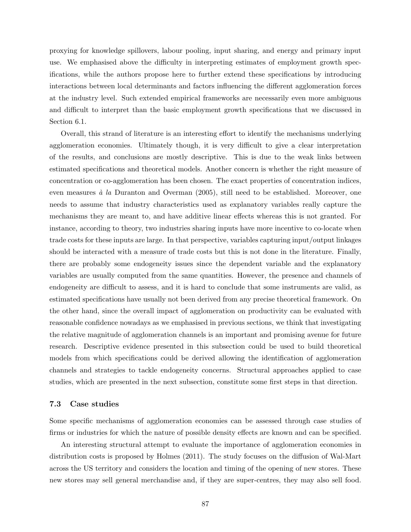proxying for knowledge spillovers, labour pooling, input sharing, and energy and primary input use. We emphasised above the difficulty in interpreting estimates of employment growth specifications, while the authors propose here to further extend these specifications by introducing interactions between local determinants and factors influencing the different agglomeration forces at the industry level. Such extended empirical frameworks are necessarily even more ambiguous and difficult to interpret than the basic employment growth specifications that we discussed in Section 6.1.

Overall, this strand of literature is an interesting effort to identify the mechanisms underlying agglomeration economies. Ultimately though, it is very difficult to give a clear interpretation of the results, and conclusions are mostly descriptive. This is due to the weak links between estimated specifications and theoretical models. Another concern is whether the right measure of concentration or co-agglomeration has been chosen. The exact properties of concentration indices, even measures  $\dot{a}$  la Duranton and Overman (2005), still need to be established. Moreover, one needs to assume that industry characteristics used as explanatory variables really capture the mechanisms they are meant to, and have additive linear effects whereas this is not granted. For instance, according to theory, two industries sharing inputs have more incentive to co-locate when trade costs for these inputs are large. In that perspective, variables capturing input/output linkages should be interacted with a measure of trade costs but this is not done in the literature. Finally, there are probably some endogeneity issues since the dependent variable and the explanatory variables are usually computed from the same quantities. However, the presence and channels of endogeneity are difficult to assess, and it is hard to conclude that some instruments are valid, as estimated specifications have usually not been derived from any precise theoretical framework. On the other hand, since the overall impact of agglomeration on productivity can be evaluated with reasonable confidence nowadays as we emphasised in previous sections, we think that investigating the relative magnitude of agglomeration channels is an important and promising avenue for future research. Descriptive evidence presented in this subsection could be used to build theoretical models from which specifications could be derived allowing the identification of agglomeration channels and strategies to tackle endogeneity concerns. Structural approaches applied to case studies, which are presented in the next subsection, constitute some first steps in that direction.

## 7.3 Case studies

Some specific mechanisms of agglomeration economies can be assessed through case studies of firms or industries for which the nature of possible density effects are known and can be specified.

An interesting structural attempt to evaluate the importance of agglomeration economies in distribution costs is proposed by Holmes (2011). The study focuses on the diffusion of Wal-Mart across the US territory and considers the location and timing of the opening of new stores. These new stores may sell general merchandise and, if they are super-centres, they may also sell food.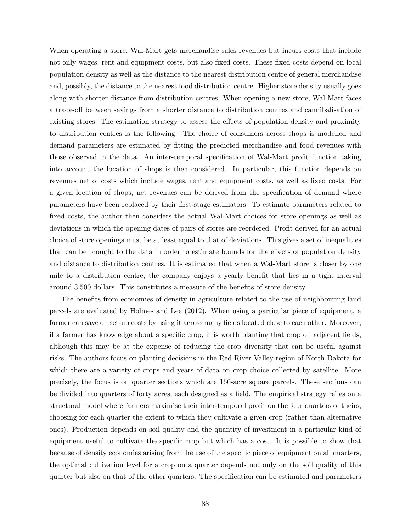When operating a store, Wal-Mart gets merchandise sales revenues but incurs costs that include not only wages, rent and equipment costs, but also fixed costs. These fixed costs depend on local population density as well as the distance to the nearest distribution centre of general merchandise and, possibly, the distance to the nearest food distribution centre. Higher store density usually goes along with shorter distance from distribution centres. When opening a new store, Wal-Mart faces a trade-off between savings from a shorter distance to distribution centres and cannibalisation of existing stores. The estimation strategy to assess the effects of population density and proximity to distribution centres is the following. The choice of consumers across shops is modelled and demand parameters are estimated by fitting the predicted merchandise and food revenues with those observed in the data. An inter-temporal specification of Wal-Mart profit function taking into account the location of shops is then considered. In particular, this function depends on revenues net of costs which include wages, rent and equipment costs, as well as fixed costs. For a given location of shops, net revenues can be derived from the specification of demand where parameters have been replaced by their first-stage estimators. To estimate parameters related to fixed costs, the author then considers the actual Wal-Mart choices for store openings as well as deviations in which the opening dates of pairs of stores are reordered. Profit derived for an actual choice of store openings must be at least equal to that of deviations. This gives a set of inequalities that can be brought to the data in order to estimate bounds for the effects of population density and distance to distribution centres. It is estimated that when a Wal-Mart store is closer by one mile to a distribution centre, the company enjoys a yearly benefit that lies in a tight interval around 3,500 dollars. This constitutes a measure of the benefits of store density.

The benefits from economies of density in agriculture related to the use of neighbouring land parcels are evaluated by Holmes and Lee (2012). When using a particular piece of equipment, a farmer can save on set-up costs by using it across many fields located close to each other. Moreover, if a farmer has knowledge about a specific crop, it is worth planting that crop on adjacent fields, although this may be at the expense of reducing the crop diversity that can be useful against risks. The authors focus on planting decisions in the Red River Valley region of North Dakota for which there are a variety of crops and years of data on crop choice collected by satellite. More precisely, the focus is on quarter sections which are 160-acre square parcels. These sections can be divided into quarters of forty acres, each designed as a field. The empirical strategy relies on a structural model where farmers maximise their inter-temporal profit on the four quarters of theirs, choosing for each quarter the extent to which they cultivate a given crop (rather than alternative ones). Production depends on soil quality and the quantity of investment in a particular kind of equipment useful to cultivate the specific crop but which has a cost. It is possible to show that because of density economies arising from the use of the specific piece of equipment on all quarters, the optimal cultivation level for a crop on a quarter depends not only on the soil quality of this quarter but also on that of the other quarters. The specification can be estimated and parameters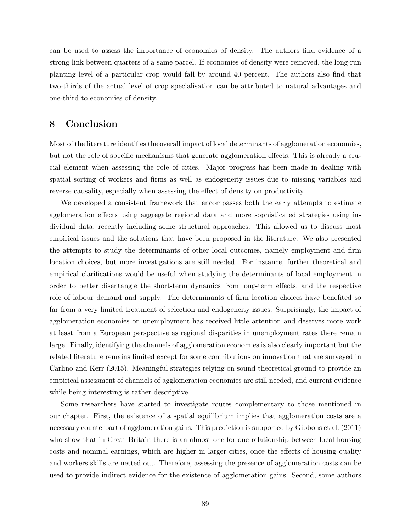can be used to assess the importance of economies of density. The authors find evidence of a strong link between quarters of a same parcel. If economies of density were removed, the long-run planting level of a particular crop would fall by around 40 percent. The authors also find that two-thirds of the actual level of crop specialisation can be attributed to natural advantages and one-third to economies of density.

## 8 Conclusion

Most of the literature identifies the overall impact of local determinants of agglomeration economies, but not the role of specific mechanisms that generate agglomeration effects. This is already a crucial element when assessing the role of cities. Major progress has been made in dealing with spatial sorting of workers and firms as well as endogeneity issues due to missing variables and reverse causality, especially when assessing the effect of density on productivity.

We developed a consistent framework that encompasses both the early attempts to estimate agglomeration effects using aggregate regional data and more sophisticated strategies using individual data, recently including some structural approaches. This allowed us to discuss most empirical issues and the solutions that have been proposed in the literature. We also presented the attempts to study the determinants of other local outcomes, namely employment and firm location choices, but more investigations are still needed. For instance, further theoretical and empirical clarifications would be useful when studying the determinants of local employment in order to better disentangle the short-term dynamics from long-term effects, and the respective role of labour demand and supply. The determinants of firm location choices have benefited so far from a very limited treatment of selection and endogeneity issues. Surprisingly, the impact of agglomeration economies on unemployment has received little attention and deserves more work at least from a European perspective as regional disparities in unemployment rates there remain large. Finally, identifying the channels of agglomeration economies is also clearly important but the related literature remains limited except for some contributions on innovation that are surveyed in Carlino and Kerr (2015). Meaningful strategies relying on sound theoretical ground to provide an empirical assessment of channels of agglomeration economies are still needed, and current evidence while being interesting is rather descriptive.

Some researchers have started to investigate routes complementary to those mentioned in our chapter. First, the existence of a spatial equilibrium implies that agglomeration costs are a necessary counterpart of agglomeration gains. This prediction is supported by Gibbons et al. (2011) who show that in Great Britain there is an almost one for one relationship between local housing costs and nominal earnings, which are higher in larger cities, once the effects of housing quality and workers skills are netted out. Therefore, assessing the presence of agglomeration costs can be used to provide indirect evidence for the existence of agglomeration gains. Second, some authors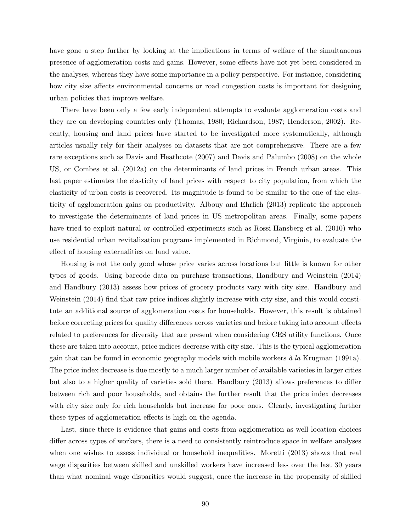have gone a step further by looking at the implications in terms of welfare of the simultaneous presence of agglomeration costs and gains. However, some effects have not yet been considered in the analyses, whereas they have some importance in a policy perspective. For instance, considering how city size affects environmental concerns or road congestion costs is important for designing urban policies that improve welfare.

There have been only a few early independent attempts to evaluate agglomeration costs and they are on developing countries only (Thomas, 1980; Richardson, 1987; Henderson, 2002). Recently, housing and land prices have started to be investigated more systematically, although articles usually rely for their analyses on datasets that are not comprehensive. There are a few rare exceptions such as Davis and Heathcote (2007) and Davis and Palumbo (2008) on the whole US, or Combes et al. (2012a) on the determinants of land prices in French urban areas. This last paper estimates the elasticity of land prices with respect to city population, from which the elasticity of urban costs is recovered. Its magnitude is found to be similar to the one of the elasticity of agglomeration gains on productivity. Albouy and Ehrlich (2013) replicate the approach to investigate the determinants of land prices in US metropolitan areas. Finally, some papers have tried to exploit natural or controlled experiments such as Rossi-Hansberg et al. (2010) who use residential urban revitalization programs implemented in Richmond, Virginia, to evaluate the effect of housing externalities on land value.

Housing is not the only good whose price varies across locations but little is known for other types of goods. Using barcode data on purchase transactions, Handbury and Weinstein (2014) and Handbury (2013) assess how prices of grocery products vary with city size. Handbury and Weinstein (2014) find that raw price indices slightly increase with city size, and this would constitute an additional source of agglomeration costs for households. However, this result is obtained before correcting prices for quality differences across varieties and before taking into account effects related to preferences for diversity that are present when considering CES utility functions. Once these are taken into account, price indices decrease with city size. This is the typical agglomeration gain that can be found in economic geography models with mobile workers  $\dot{a}$  la Krugman (1991a). The price index decrease is due mostly to a much larger number of available varieties in larger cities but also to a higher quality of varieties sold there. Handbury (2013) allows preferences to differ between rich and poor households, and obtains the further result that the price index decreases with city size only for rich households but increase for poor ones. Clearly, investigating further these types of agglomeration effects is high on the agenda.

Last, since there is evidence that gains and costs from agglomeration as well location choices differ across types of workers, there is a need to consistently reintroduce space in welfare analyses when one wishes to assess individual or household inequalities. Moretti (2013) shows that real wage disparities between skilled and unskilled workers have increased less over the last 30 years than what nominal wage disparities would suggest, once the increase in the propensity of skilled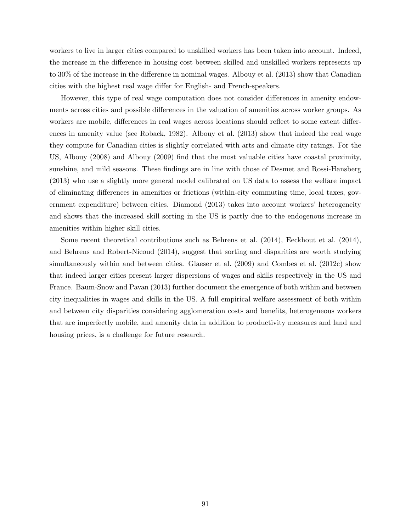workers to live in larger cities compared to unskilled workers has been taken into account. Indeed, the increase in the difference in housing cost between skilled and unskilled workers represents up to 30% of the increase in the difference in nominal wages. Albouy et al. (2013) show that Canadian cities with the highest real wage differ for English- and French-speakers.

However, this type of real wage computation does not consider differences in amenity endowments across cities and possible differences in the valuation of amenities across worker groups. As workers are mobile, differences in real wages across locations should reflect to some extent differences in amenity value (see Roback, 1982). Albouy et al. (2013) show that indeed the real wage they compute for Canadian cities is slightly correlated with arts and climate city ratings. For the US, Albouy (2008) and Albouy (2009) find that the most valuable cities have coastal proximity, sunshine, and mild seasons. These findings are in line with those of Desmet and Rossi-Hansberg (2013) who use a slightly more general model calibrated on US data to assess the welfare impact of eliminating differences in amenities or frictions (within-city commuting time, local taxes, government expenditure) between cities. Diamond (2013) takes into account workers' heterogeneity and shows that the increased skill sorting in the US is partly due to the endogenous increase in amenities within higher skill cities.

Some recent theoretical contributions such as Behrens et al. (2014), Eeckhout et al. (2014), and Behrens and Robert-Nicoud (2014), suggest that sorting and disparities are worth studying simultaneously within and between cities. Glaeser et al. (2009) and Combes et al. (2012c) show that indeed larger cities present larger dispersions of wages and skills respectively in the US and France. Baum-Snow and Pavan (2013) further document the emergence of both within and between city inequalities in wages and skills in the US. A full empirical welfare assessment of both within and between city disparities considering agglomeration costs and benefits, heterogeneous workers that are imperfectly mobile, and amenity data in addition to productivity measures and land and housing prices, is a challenge for future research.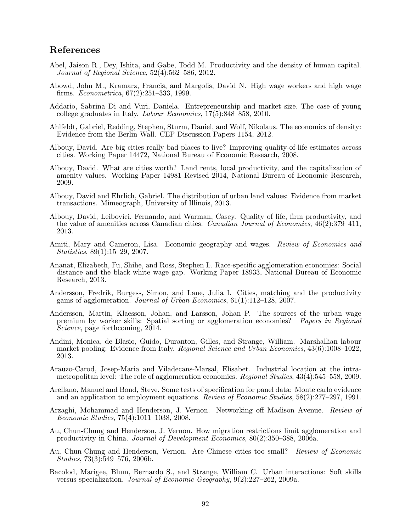# References

- Abel, Jaison R., Dey, Ishita, and Gabe, Todd M. Productivity and the density of human capital. Journal of Regional Science, 52(4):562–586, 2012.
- Abowd, John M., Kramarz, Francis, and Margolis, David N. High wage workers and high wage firms. Econometrica, 67(2):251–333, 1999.
- Addario, Sabrina Di and Vuri, Daniela. Entrepreneurship and market size. The case of young college graduates in Italy. Labour Economics, 17(5):848–858, 2010.
- Ahlfeldt, Gabriel, Redding, Stephen, Sturm, Daniel, and Wolf, Nikolaus. The economics of density: Evidence from the Berlin Wall. CEP Discussion Papers 1154, 2012.
- Albouy, David. Are big cities really bad places to live? Improving quality-of-life estimates across cities. Working Paper 14472, National Bureau of Economic Research, 2008.
- Albouy, David. What are cities worth? Land rents, local productivity, and the capitalization of amenity values. Working Paper 14981 Revised 2014, National Bureau of Economic Research, 2009.
- Albouy, David and Ehrlich, Gabriel. The distribution of urban land values: Evidence from market transactions. Mimeograph, University of Illinois, 2013.
- Albouy, David, Leibovici, Fernando, and Warman, Casey. Quality of life, firm productivity, and the value of amenities across Canadian cities. Canadian Journal of Economics, 46(2):379–411, 2013.
- Amiti, Mary and Cameron, Lisa. Economic geography and wages. Review of Economics and Statistics, 89(1):15–29, 2007.
- Ananat, Elizabeth, Fu, Shihe, and Ross, Stephen L. Race-specific agglomeration economies: Social distance and the black-white wage gap. Working Paper 18933, National Bureau of Economic Research, 2013.
- Andersson, Fredrik, Burgess, Simon, and Lane, Julia I. Cities, matching and the productivity gains of agglomeration. Journal of Urban Economics, 61(1):112–128, 2007.
- Andersson, Martin, Klaesson, Johan, and Larsson, Johan P. The sources of the urban wage premium by worker skills: Spatial sorting or agglomeration economies? Papers in Regional Science, page forthcoming, 2014.
- Andini, Monica, de Blasio, Guido, Duranton, Gilles, and Strange, William. Marshallian labour market pooling: Evidence from Italy. Regional Science and Urban Economics, 43(6):1008–1022, 2013.
- Arauzo-Carod, Josep-Maria and Viladecans-Marsal, Elisabet. Industrial location at the intrametropolitan level: The role of agglomeration economies. Regional Studies, 43(4):545–558, 2009.
- Arellano, Manuel and Bond, Steve. Some tests of specification for panel data: Monte carlo evidence and an application to employment equations. Review of Economic Studies, 58(2):277–297, 1991.
- Arzaghi, Mohammad and Henderson, J. Vernon. Networking off Madison Avenue. Review of Economic Studies, 75(4):1011–1038, 2008.
- Au, Chun-Chung and Henderson, J. Vernon. How migration restrictions limit agglomeration and productivity in China. Journal of Development Economics, 80(2):350–388, 2006a.
- Au, Chun-Chung and Henderson, Vernon. Are Chinese cities too small? Review of Economic Studies, 73(3):549–576, 2006b.
- Bacolod, Marigee, Blum, Bernardo S., and Strange, William C. Urban interactions: Soft skills versus specialization. Journal of Economic Geography, 9(2):227–262, 2009a.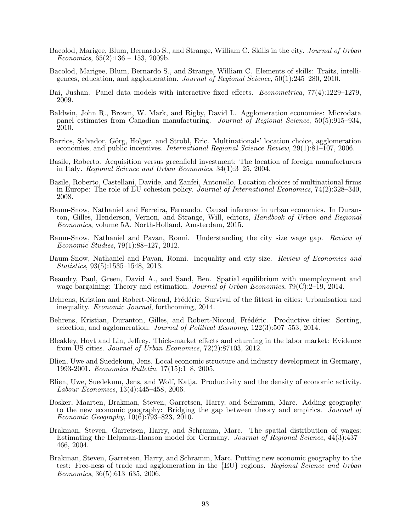- Bacolod, Marigee, Blum, Bernardo S., and Strange, William C. Skills in the city. Journal of Urban Economics,  $65(2):136 - 153$ , 2009b.
- Bacolod, Marigee, Blum, Bernardo S., and Strange, William C. Elements of skills: Traits, intelligences, education, and agglomeration. Journal of Regional Science, 50(1):245–280, 2010.
- Bai, Jushan. Panel data models with interactive fixed effects. *Econometrica*, 77(4):1229–1279, 2009.
- Baldwin, John R., Brown, W. Mark, and Rigby, David L. Agglomeration economies: Microdata panel estimates from Canadian manufacturing. Journal of Regional Science, 50(5):915–934, 2010.
- Barrios, Salvador, Görg, Holger, and Strobl, Eric. Multinationals' location choice, agglomeration economies, and public incentives. International Regional Science Review, 29(1):81–107, 2006.
- Basile, Roberto. Acquisition versus greenfield investment: The location of foreign manufacturers in Italy. Regional Science and Urban Economics, 34(1):3–25, 2004.
- Basile, Roberto, Castellani, Davide, and Zanfei, Antonello. Location choices of multinational firms in Europe: The role of EU cohesion policy. Journal of International Economics, 74(2):328–340, 2008.
- Baum-Snow, Nathaniel and Ferreira, Fernando. Causal inference in urban economics. In Duranton, Gilles, Henderson, Vernon, and Strange, Will, editors, Handbook of Urban and Regional Economics, volume 5A. North-Holland, Amsterdam, 2015.
- Baum-Snow, Nathaniel and Pavan, Ronni. Understanding the city size wage gap. Review of Economic Studies, 79(1):88–127, 2012.
- Baum-Snow, Nathaniel and Pavan, Ronni. Inequality and city size. Review of Economics and Statistics, 93(5):1535–1548, 2013.
- Beaudry, Paul, Green, David A., and Sand, Ben. Spatial equilibrium with unemployment and wage bargaining: Theory and estimation. *Journal of Urban Economics*, 79(C):2–19, 2014.
- Behrens, Kristian and Robert-Nicoud, Frédéric. Survival of the fittest in cities: Urbanisation and inequality. Economic Journal, forthcoming, 2014.
- Behrens, Kristian, Duranton, Gilles, and Robert-Nicoud, Frédéric. Productive cities: Sorting, selection, and agglomeration. Journal of Political Economy, 122(3):507–553, 2014.
- Bleakley, Hoyt and Lin, Jeffrey. Thick-market effects and churning in the labor market: Evidence from US cities. Journal of Urban Economics, 72(2):87103, 2012.
- Blien, Uwe and Suedekum, Jens. Local economic structure and industry development in Germany, 1993-2001. Economics Bulletin, 17(15):1–8, 2005.
- Blien, Uwe, Suedekum, Jens, and Wolf, Katja. Productivity and the density of economic activity. Labour Economics, 13(4):445–458, 2006.
- Bosker, Maarten, Brakman, Steven, Garretsen, Harry, and Schramm, Marc. Adding geography to the new economic geography: Bridging the gap between theory and empirics. Journal of Economic Geography,  $\overline{10(6)}$ :793–823, 2010.
- Brakman, Steven, Garretsen, Harry, and Schramm, Marc. The spatial distribution of wages: Estimating the Helpman-Hanson model for Germany. Journal of Regional Science, 44(3):437– 466, 2004.
- Brakman, Steven, Garretsen, Harry, and Schramm, Marc. Putting new economic geography to the test: Free-ness of trade and agglomeration in the {EU} regions. Regional Science and Urban Economics, 36(5):613–635, 2006.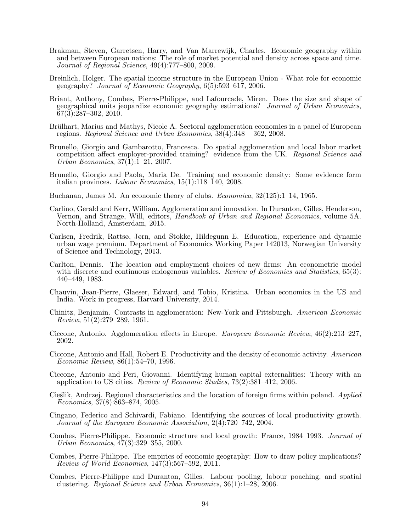- Brakman, Steven, Garretsen, Harry, and Van Marrewijk, Charles. Economic geography within and between European nations: The role of market potential and density across space and time. Journal of Regional Science, 49(4):777–800, 2009.
- Breinlich, Holger. The spatial income structure in the European Union What role for economic geography? Journal of Economic Geography, 6(5):593–617, 2006.
- Briant, Anthony, Combes, Pierre-Philippe, and Lafourcade, Miren. Does the size and shape of geographical units jeopardize economic geography estimations? Journal of Urban Economics, 67(3):287–302, 2010.
- Brülhart, Marius and Mathys, Nicole A. Sectoral agglomeration economies in a panel of European regions. Regional Science and Urban Economics, 38(4):348 – 362, 2008.
- Brunello, Giorgio and Gambarotto, Francesca. Do spatial agglomeration and local labor market competition affect employer-provided training? evidence from the UK. Regional Science and Urban Economics, 37(1):1–21, 2007.
- Brunello, Giorgio and Paola, Maria De. Training and economic density: Some evidence form italian provinces. Labour Economics, 15(1):118–140, 2008.
- Buchanan, James M. An economic theory of clubs. Economica, 32(125):1–14, 1965.
- Carlino, Gerald and Kerr, William. Agglomeration and innovation. In Duranton, Gilles, Henderson, Vernon, and Strange, Will, editors, Handbook of Urban and Regional Economics, volume 5A. North-Holland, Amsterdam, 2015.
- Carlsen, Fredrik, Rattsø, Jørn, and Stokke, Hildegunn E. Education, experience and dynamic urban wage premium. Department of Economics Working Paper 142013, Norwegian University of Science and Technology, 2013.
- Carlton, Dennis. The location and employment choices of new firms: An econometric model with discrete and continuous endogenous variables. Review of Economics and Statistics, 65(3): 440–449, 1983.
- Chauvin, Jean-Pierre, Glaeser, Edward, and Tobio, Kristina. Urban economics in the US and India. Work in progress, Harvard University, 2014.
- Chinitz, Benjamin. Contrasts in agglomeration: New-York and Pittsburgh. American Economic Review, 51(2):279–289, 1961.
- Ciccone, Antonio. Agglomeration effects in Europe. European Economic Review, 46(2):213–227, 2002.
- Ciccone, Antonio and Hall, Robert E. Productivity and the density of economic activity. American Economic Review, 86(1):54–70, 1996.
- Ciccone, Antonio and Peri, Giovanni. Identifying human capital externalities: Theory with an application to US cities. Review of Economic Studies, 73(2):381–412, 2006.
- Ciestik, Andrzej. Regional characteristics and the location of foreign firms within poland. Applied Economics, 37(8):863–874, 2005.
- Cingano, Federico and Schivardi, Fabiano. Identifying the sources of local productivity growth. Journal of the European Economic Association, 2(4):720–742, 2004.
- Combes, Pierre-Philippe. Economic structure and local growth: France, 1984–1993. Journal of Urban Economics, 47(3):329–355, 2000.
- Combes, Pierre-Philippe. The empirics of economic geography: How to draw policy implications? Review of World Economics, 147(3):567–592, 2011.
- Combes, Pierre-Philippe and Duranton, Gilles. Labour pooling, labour poaching, and spatial clustering. Regional Science and Urban Economics, 36(1):1–28, 2006.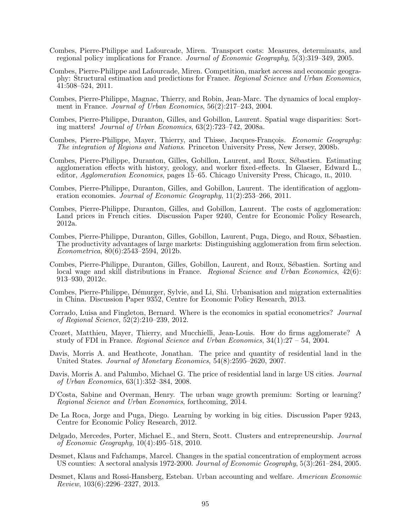- Combes, Pierre-Philippe and Lafourcade, Miren. Transport costs: Measures, determinants, and regional policy implications for France. Journal of Economic Geography, 5(3):319–349, 2005.
- Combes, Pierre-Philippe and Lafourcade, Miren. Competition, market access and economic geography: Structural estimation and predictions for France. Regional Science and Urban Economics, 41:508–524, 2011.
- Combes, Pierre-Philippe, Magnac, Thierry, and Robin, Jean-Marc. The dynamics of local employment in France. Journal of Urban Economics, 56(2):217–243, 2004.
- Combes, Pierre-Philippe, Duranton, Gilles, and Gobillon, Laurent. Spatial wage disparities: Sorting matters! Journal of Urban Economics, 63(2):723–742, 2008a.
- Combes, Pierre-Philippe, Mayer, Thierry, and Thisse, Jacques-François. Economic Geography: The integration of Regions and Nations. Princeton University Press, New Jersey, 2008b.
- Combes, Pierre-Philippe, Duranton, Gilles, Gobillon, Laurent, and Roux, Sébastien. Estimating agglomeration effects with history, geology, and worker fixed-effects. In Glaeser, Edward L., editor, *Agglomeration Economics*, pages 15–65. Chicago University Press, Chicago, IL, 2010.
- Combes, Pierre-Philippe, Duranton, Gilles, and Gobillon, Laurent. The identification of agglomeration economies. Journal of Economic Geography, 11(2):253–266, 2011.
- Combes, Pierre-Philippe, Duranton, Gilles, and Gobillon, Laurent. The costs of agglomeration: Land prices in French cities. Discussion Paper 9240, Centre for Economic Policy Research, 2012a.
- Combes, Pierre-Philippe, Duranton, Gilles, Gobillon, Laurent, Puga, Diego, and Roux, Sébastien. The productivity advantages of large markets: Distinguishing agglomeration from firm selection. Econometrica, 80(6):2543–2594, 2012b.
- Combes, Pierre-Philippe, Duranton, Gilles, Gobillon, Laurent, and Roux, Sébastien. Sorting and local wage and skill distributions in France. Regional Science and Urban Economics, 42(6): 913–930, 2012c.
- Combes, Pierre-Philippe, Démurger, Sylvie, and Li, Shi. Urbanisation and migration externalities in China. Discussion Paper 9352, Centre for Economic Policy Research, 2013.
- Corrado, Luisa and Fingleton, Bernard. Where is the economics in spatial econometrics? Journal of Regional Science, 52(2):210–239, 2012.
- Crozet, Matthieu, Mayer, Thierry, and Mucchielli, Jean-Louis. How do firms agglomerate? A study of FDI in France. Regional Science and Urban Economics,  $34(1):27 - 54$ ,  $2004$ .
- Davis, Morris A. and Heathcote, Jonathan. The price and quantity of residential land in the United States. Journal of Monetary Economics, 54(8):2595–2620, 2007.
- Davis, Morris A. and Palumbo, Michael G. The price of residential land in large US cities. *Journal* of Urban Economics, 63(1):352–384, 2008.
- D'Costa, Sabine and Overman, Henry. The urban wage growth premium: Sorting or learning? Regional Science and Urban Economics, forthcoming, 2014.
- De La Roca, Jorge and Puga, Diego. Learning by working in big cities. Discussion Paper 9243, Centre for Economic Policy Research, 2012.
- Delgado, Mercedes, Porter, Michael E., and Stern, Scott. Clusters and entrepreneurship. Journal of Economic Geography, 10(4):495–518, 2010.
- Desmet, Klaus and Fafchamps, Marcel. Changes in the spatial concentration of employment across US counties: A sectoral analysis 1972-2000. Journal of Economic Geography, 5(3):261–284, 2005.
- Desmet, Klaus and Rossi-Hansberg, Esteban. Urban accounting and welfare. American Economic Review, 103(6):2296–2327, 2013.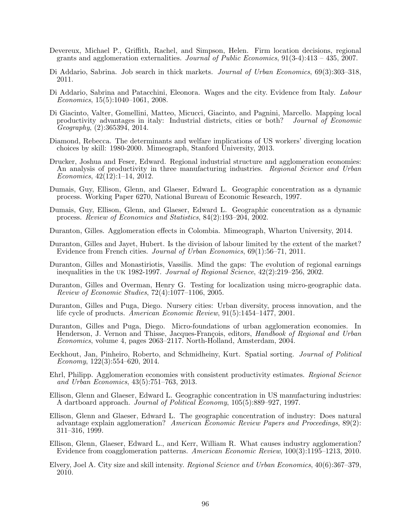- Devereux, Michael P., Griffith, Rachel, and Simpson, Helen. Firm location decisions, regional grants and agglomeration externalities. Journal of Public Economics,  $91(3-4):413-435$ ,  $2007$ .
- Di Addario, Sabrina. Job search in thick markets. *Journal of Urban Economics*, 69(3):303–318, 2011.
- Di Addario, Sabrina and Patacchini, Eleonora. Wages and the city. Evidence from Italy. Labour Economics, 15(5):1040–1061, 2008.
- Di Giacinto, Valter, Gomellini, Matteo, Micucci, Giacinto, and Pagnini, Marcello. Mapping local productivity advantages in italy: Industrial districts, cities or both? Journal of Economic Geography, (2):365394, 2014.
- Diamond, Rebecca. The determinants and welfare implications of US workers' diverging location choices by skill: 1980-2000. Mimeograph, Stanford University, 2013.
- Drucker, Joshua and Feser, Edward. Regional industrial structure and agglomeration economies: An analysis of productivity in three manufacturing industries. Regional Science and Urban Economics, 42(12):1–14, 2012.
- Dumais, Guy, Ellison, Glenn, and Glaeser, Edward L. Geographic concentration as a dynamic process. Working Paper 6270, National Bureau of Economic Research, 1997.
- Dumais, Guy, Ellison, Glenn, and Glaeser, Edward L. Geographic concentration as a dynamic process. Review of Economics and Statistics, 84(2):193–204, 2002.
- Duranton, Gilles. Agglomeration effects in Colombia. Mimeograph, Wharton University, 2014.
- Duranton, Gilles and Jayet, Hubert. Is the division of labour limited by the extent of the market? Evidence from French cities. Journal of Urban Economics, 69(1):56–71, 2011.
- Duranton, Gilles and Monastiriotis, Vassilis. Mind the gaps: The evolution of regional earnings inequalities in the uk 1982-1997. Journal of Regional Science, 42(2):219–256, 2002.
- Duranton, Gilles and Overman, Henry G. Testing for localization using micro-geographic data. Review of Economic Studies, 72(4):1077–1106, 2005.
- Duranton, Gilles and Puga, Diego. Nursery cities: Urban diversity, process innovation, and the life cycle of products. American Economic Review, 91(5):1454–1477, 2001.
- Duranton, Gilles and Puga, Diego. Micro-foundations of urban agglomeration economies. In Henderson, J. Vernon and Thisse, Jacques-François, editors, Handbook of Regional and Urban Economics, volume 4, pages 2063–2117. North-Holland, Amsterdam, 2004.
- Eeckhout, Jan, Pinheiro, Roberto, and Schmidheiny, Kurt. Spatial sorting. Journal of Political Economy, 122(3):554–620, 2014.
- Ehrl, Philipp. Agglomeration economies with consistent productivity estimates. Regional Science and Urban Economics, 43(5):751–763, 2013.
- Ellison, Glenn and Glaeser, Edward L. Geographic concentration in US manufacturing industries: A dartboard approach. Journal of Political Economy, 105(5):889–927, 1997.
- Ellison, Glenn and Glaeser, Edward L. The geographic concentration of industry: Does natural advantage explain agglomeration? American Economic Review Papers and Proceedings, 89(2): 311–316, 1999.
- Ellison, Glenn, Glaeser, Edward L., and Kerr, William R. What causes industry agglomeration? Evidence from coagglomeration patterns. American Economic Review, 100(3):1195–1213, 2010.
- Elvery, Joel A. City size and skill intensity. Regional Science and Urban Economics, 40(6):367–379, 2010.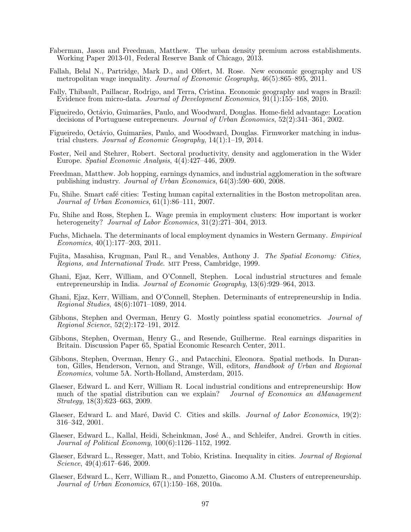- Faberman, Jason and Freedman, Matthew. The urban density premium across establishments. Working Paper 2013-01, Federal Reserve Bank of Chicago, 2013.
- Fallah, Belal N., Partridge, Mark D., and Olfert, M. Rose. New economic geography and US metropolitan wage inequality. Journal of Economic Geography, 46(5):865–895, 2011.
- Fally, Thibault, Paillacar, Rodrigo, and Terra, Cristina. Economic geography and wages in Brazil: Evidence from micro-data. Journal of Development Economics, 91(1):155–168, 2010.
- Figueiredo, Octávio, Guimarães, Paulo, and Woodward, Douglas. Home-field advantage: Location decisions of Portuguese entrepreneurs. Journal of Urban Economics, 52(2):341–361, 2002.
- Figueiredo, Octávio, Guimarães, Paulo, and Woodward, Douglas. Firmworker matching in industrial clusters. Journal of Economic Geography, 14(1):1–19, 2014.
- Foster, Neil and Stehrer, Robert. Sectoral productivity, density and agglomeration in the Wider Europe. Spatial Economic Analysis, 4(4):427–446, 2009.
- Freedman, Matthew. Job hopping, earnings dynamics, and industrial agglomeration in the software publishing industry. Journal of Urban Economics, 64(3):590–600, 2008.
- Fu, Shihe. Smart café cities: Testing human capital externalities in the Boston metropolitan area. Journal of Urban Economics, 61(1):86–111, 2007.
- Fu, Shihe and Ross, Stephen L. Wage premia in employment clusters: How important is worker heterogeneity? *Journal of Labor Economics*,  $31(2):271-304$ ,  $2013$ .
- Fuchs, Michaela. The determinants of local employment dynamics in Western Germany. Empirical Economics, 40(1):177–203, 2011.
- Fujita, Masahisa, Krugman, Paul R., and Venables, Anthony J. The Spatial Economy: Cities, Regions, and International Trade. mit Press, Cambridge, 1999.
- Ghani, Ejaz, Kerr, William, and O'Connell, Stephen. Local industrial structures and female entrepreneurship in India. Journal of Economic Geography, 13(6):929–964, 2013.
- Ghani, Ejaz, Kerr, William, and O'Connell, Stephen. Determinants of entrepreneurship in India. Regional Studies, 48(6):1071–1089, 2014.
- Gibbons, Stephen and Overman, Henry G. Mostly pointless spatial econometrics. *Journal of* Regional Science, 52(2):172–191, 2012.
- Gibbons, Stephen, Overman, Henry G., and Resende, Guilherme. Real earnings disparities in Britain. Discussion Paper 65, Spatial Economic Research Center, 2011.
- Gibbons, Stephen, Overman, Henry G., and Patacchini, Eleonora. Spatial methods. In Duranton, Gilles, Henderson, Vernon, and Strange, Will, editors, Handbook of Urban and Regional Economics, volume 5A. North-Holland, Amsterdam, 2015.
- Glaeser, Edward L. and Kerr, William R. Local industrial conditions and entrepreneurship: How much of the spatial distribution can we explain? Journal of Economics an dManagement Strategy, 18(3):623–663, 2009.
- Glaeser, Edward L. and Maré, David C. Cities and skills. *Journal of Labor Economics*, 19(2): 316–342, 2001.
- Glaeser, Edward L., Kallal, Heidi, Scheinkman, José A., and Schleifer, Andrei. Growth in cities. Journal of Political Economy, 100(6):1126–1152, 1992.
- Glaeser, Edward L., Resseger, Matt, and Tobio, Kristina. Inequality in cities. *Journal of Regional* Science, 49(4):617–646, 2009.
- Glaeser, Edward L., Kerr, William R., and Ponzetto, Giacomo A.M. Clusters of entrepreneurship. Journal of Urban Economics, 67(1):150–168, 2010a.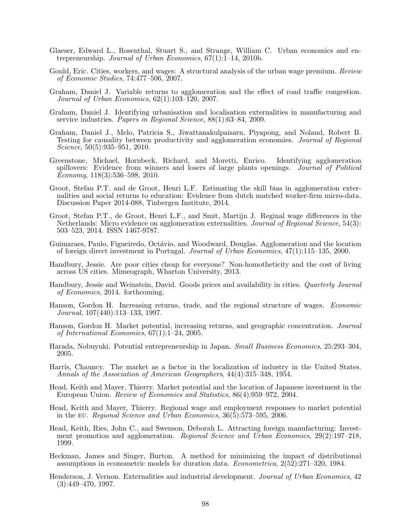- Glaeser, Edward L., Rosenthal, Stuart S., and Strange, William C. Urban economics and entrepreneurship. Journal of Urban Economics, 67(1):1–14, 2010b.
- Gould, Eric. Cities, workers, and wages: A structural analysis of the urban wage premium. Review of Economic Studies, 74:477–506, 2007.
- Graham, Daniel J. Variable returns to agglomeration and the effect of road traffic congestion. Journal of Urban Economics, 62(1):103–120, 2007.
- Graham, Daniel J. Identifying urbanisation and localisation externalities in manufacturing and service industries. Papers in Regional Science, 88(1):63–84, 2009.
- Graham, Daniel J., Melo, Patricia S., Jiwattanakulpaisarn, Piyapong, and Noland, Robert B. Testing for causality between productivity and agglomeration economies. Journal of Regional Science, 50(5):935–951, 2010.
- Greenstone, Michael, Hornbeck, Richard, and Moretti, Enrico. Identifying agglomeration spillovers: Evidence from winners and losers of large plants openings. Journal of Political Economy,  $118(3):536-598$ , 2010.
- Groot, Stefan P.T. and de Groot, Henri L.F. Estimating the skill bias in agglomeration externalities and social returns to education: Evidence from dutch matched worker-firm micro-data. Discussion Paper 2014-088, Tinbergen Institute, 2014.
- Groot, Stefan P.T., de Groot, Henri L.F., and Smit, Martijn J. Reginal wage differences in the Netherlands: Micro evidence on agglomeration externalities. Journal of Regional Science, 54(3): 503–523, 2014. ISSN 1467-9787.
- Guimaraes, Paulo, Figueiredo, Octávio, and Woodward, Douglas. Agglomeration and the location of foreign direct investment in Portugal. Journal of Urban Economics, 47(1):115–135, 2000.
- Handbury, Jessie. Are poor cities cheap for everyone? Non-homotheticity and the cost of living across US cities. Mimeograph, Wharton University, 2013.
- Handbury, Jessie and Weinstein, David. Goods prices and availability in cities. Quarterly Journal of Economics, 2014. forthcoming.
- Hanson, Gordon H. Increasing returns, trade, and the regional structure of wages. Economic Journal, 107(440):113–133, 1997.
- Hanson, Gordon H. Market potential, increasing returns, and geographic concentration. Journal of International Economics, 67(1):1–24, 2005.
- Harada, Nobuyuki. Potential entrepreneurship in Japan. Small Business Economics, 25:293–304, 2005.
- Harris, Chauncy. The market as a factor in the localization of industry in the United States. Annals of the Association of American Geographers, 44(4):315–348, 1954.
- Head, Keith and Mayer, Thierry. Market potential and the location of Japanese investment in the European Union. Review of Economics and Statistics, 86(4):959–972, 2004.
- Head, Keith and Mayer, Thierry. Regional wage and employment responses to market potential in the eu. Regional Science and Urban Economics, 36(5):573–595, 2006.
- Head, Keith, Ries, John C., and Swenson, Deborah L. Attracting foreign manufacturing: Investment promotion and agglomeration. Regional Science and Urban Economics, 29(2):197–218, 1999.
- Heckman, James and Singer, Burton. A method for minimizing the impact of distributional assumptions in econometric models for duration data. Econometrica, 2(52):271–320, 1984.
- Henderson, J. Vernon. Externalities and industrial development. *Journal of Urban Economics*, 42 (3):449–470, 1997.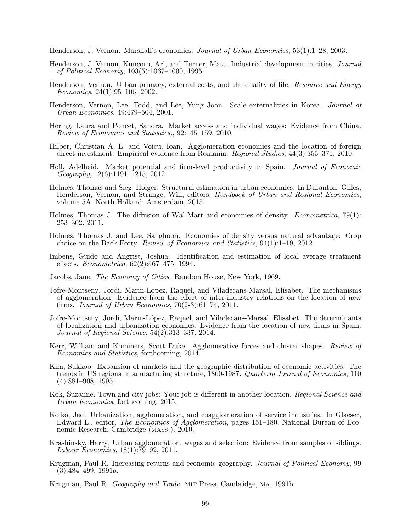Henderson, J. Vernon. Marshall's economies. Journal of Urban Economics, 53(1):1–28, 2003.

- Henderson, J. Vernon, Kuncoro, Ari, and Turner, Matt. Industrial development in cities. Journal of Political Economy, 103(5):1067–1090, 1995.
- Henderson, Vernon. Urban primacy, external costs, and the quality of life. Resource and Energy Economics, 24(1):95–106, 2002.
- Henderson, Vernon, Lee, Todd, and Lee, Yung Joon. Scale externalities in Korea. Journal of Urban Economics, 49:479–504, 2001.
- Hering, Laura and Poncet, Sandra. Market access and individual wages: Evidence from China. Review of Economics and Statistics,, 92:145–159, 2010.
- Hilber, Christian A. L. and Voicu, Ioan. Agglomeration economies and the location of foreign direct investment: Empirical evidence from Romania. Regional Studies, 44(3):355–371, 2010.
- Holl, Adelheid. Market potential and firm-level productivity in Spain. Journal of Economic Geography, 12(6):1191–1215, 2012.
- Holmes, Thomas and Sieg, Holger. Structural estimation in urban economics. In Duranton, Gilles, Henderson, Vernon, and Strange, Will, editors, Handbook of Urban and Regional Economics, volume 5A. North-Holland, Amsterdam, 2015.
- Holmes, Thomas J. The diffusion of Wal-Mart and economies of density. *Econometrica*, 79(1): 253–302, 2011.
- Holmes, Thomas J. and Lee, Sanghoon. Economies of density versus natural advantage: Crop choice on the Back Forty. Review of Economics and Statistics, 94(1):1–19, 2012.
- Imbens, Guido and Angrist, Joshua. Identification and estimation of local average treatment effects. Econometrica, 62(2):467–475, 1994.
- Jacobs, Jane. The Economy of Cities. Random House, New York, 1969.
- Jofre-Montseny, Jordi, Marin-Lopez, Raquel, and Viladecans-Marsal, Elisabet. The mechanisms of agglomeration: Evidence from the effect of inter-industry relations on the location of new firms. Journal of Urban Economics, 70(2-3):61–74, 2011.
- Jofre-Montseny, Jordi, Marín-López, Raquel, and Viladecans-Marsal, Elisabet. The determinants of localization and urbanization economies: Evidence from the location of new firms in Spain. Journal of Regional Science, 54(2):313–337, 2014.
- Kerr, William and Kominers, Scott Duke. Agglomerative forces and cluster shapes. Review of Economics and Statistics, forthcoming, 2014.
- Kim, Sukkoo. Expansion of markets and the geographic distribution of economic activities: The trends in US regional manufacturing structure, 1860-1987. Quarterly Journal of Economics, 110 (4):881–908, 1995.
- Kok, Suzanne. Town and city jobs: Your job is different in another location. Regional Science and Urban Economics, forthcoming, 2015.
- Kolko, Jed. Urbanization, agglomeration, and coagglomeration of service industries. In Glaeser, Edward L., editor, The Economics of Agglomeration, pages 151–180. National Bureau of Economic Research, Cambridge (mass.), 2010.
- Krashinsky, Harry. Urban agglomeration, wages and selection: Evidence from samples of siblings. Labour Economics, 18(1):79–92, 2011.
- Krugman, Paul R. Increasing returns and economic geography. Journal of Political Economy, 99 (3):484–499, 1991a.
- Krugman, Paul R. Geography and Trade. mit Press, Cambridge, ma, 1991b.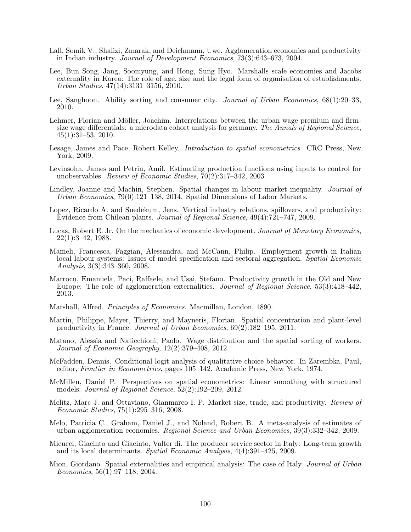- Lall, Somik V., Shalizi, Zmarak, and Deichmann, Uwe. Agglomeration economies and productivity in Indian industry. Journal of Development Economics, 73(3):643–673, 2004.
- Lee, Bun Song, Jang, Soomyung, and Hong, Sung Hyo. Marshalls scale economies and Jacobs externality in Korea: The role of age, size and the legal form of organisation of establishments. Urban Studies, 47(14):3131–3156, 2010.
- Lee, Sanghoon. Ability sorting and consumer city. *Journal of Urban Economics*,  $68(1):20-33$ , 2010.
- Lehmer, Florian and Möller, Joachim. Interrelations between the urban wage premium and firmsize wage differentials: a microdata cohort analysis for germany. The Annals of Regional Science, 45(1):31–53, 2010.
- Lesage, James and Pace, Robert Kelley. *Introduction to spatial econometrics*. CRC Press, New York, 2009.
- Levinsohn, James and Petrin, Amil. Estimating production functions using inputs to control for unobservables. Review of Economic Studies, 70(2):317–342, 2003.
- Lindley, Joanne and Machin, Stephen. Spatial changes in labour market inequality. *Journal of* Urban Economics, 79(0):121–138, 2014. Spatial Dimensions of Labor Markets.
- Lopez, Ricardo A. and Suedekum, Jens. Vertical industry relations, spillovers, and productivity: Evidence from Chilean plants. Journal of Regional Science, 49(4):721–747, 2009.
- Lucas, Robert E. Jr. On the mechanics of economic development. Journal of Monetary Economics, 22(1):3–42, 1988.
- Mameli, Francesca, Faggian, Alessandra, and McCann, Philip. Employment growth in Italian local labour systems: Issues of model specification and sectoral aggregation. Spatial Economic Analysis, 3(3):343–360, 2008.
- Marrocu, Emanuela, Paci, Raffaele, and Usai, Stefano. Productivity growth in the Old and New Europe: The role of agglomeration externalities. Journal of Regional Science, 53(3):418–442, 2013.
- Marshall, Alfred. Principles of Economics. Macmillan, London, 1890.
- Martin, Philippe, Mayer, Thierry, and Mayneris, Florian. Spatial concentration and plant-level productivity in France. Journal of Urban Economics, 69(2):182–195, 2011.
- Matano, Alessia and Naticchioni, Paolo. Wage distribution and the spatial sorting of workers. Journal of Economic Geography, 12(2):379–408, 2012.
- McFadden, Dennis. Conditional logit analysis of qualitative choice behavior. In Zarembka, Paul, editor, Frontier in Econometrics, pages 105–142. Academic Press, New York, 1974.
- McMillen, Daniel P. Perspectives on spatial econometrics: Linear smoothing with structured models. Journal of Regional Science, 52(2):192–209, 2012.
- Melitz, Marc J. and Ottaviano, Gianmarco I. P. Market size, trade, and productivity. Review of Economic Studies, 75(1):295–316, 2008.
- Melo, Patricia C., Graham, Daniel J., and Noland, Robert B. A meta-analysis of estimates of urban agglomeration economies. Regional Science and Urban Economics, 39(3):332–342, 2009.
- Micucci, Giacinto and Giacinto, Valter di. The producer service sector in Italy: Long-term growth and its local determinants. Spatial Economic Analysis, 4(4):391–425, 2009.
- Mion, Giordano. Spatial externalities and empirical analysis: The case of Italy. *Journal of Urban* Economics, 56(1):97–118, 2004.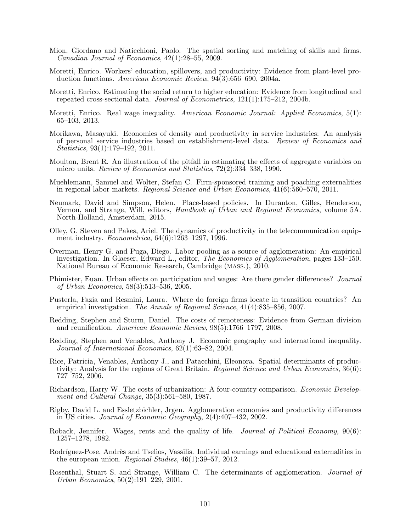- Mion, Giordano and Naticchioni, Paolo. The spatial sorting and matching of skills and firms. Canadian Journal of Economics, 42(1):28–55, 2009.
- Moretti, Enrico. Workers' education, spillovers, and productivity: Evidence from plant-level production functions. American Economic Review, 94(3):656–690, 2004a.
- Moretti, Enrico. Estimating the social return to higher education: Evidence from longitudinal and repeated cross-sectional data. Journal of Econometrics, 121(1):175–212, 2004b.
- Moretti, Enrico. Real wage inequality. American Economic Journal: Applied Economics, 5(1): 65–103, 2013.
- Morikawa, Masayuki. Economies of density and productivity in service industries: An analysis of personal service industries based on establishment-level data. Review of Economics and Statistics, 93(1):179–192, 2011.
- Moulton, Brent R. An illustration of the pitfall in estimating the effects of aggregate variables on micro units. Review of Economics and Statistics, 72(2):334–338, 1990.
- Muehlemann, Samuel and Wolter, Stefan C. Firm-sponsored training and poaching externalities in regional labor markets. Regional Science and Urban Economics, 41(6):560–570, 2011.
- Neumark, David and Simpson, Helen. Place-based policies. In Duranton, Gilles, Henderson, Vernon, and Strange, Will, editors, Handbook of Urban and Regional Economics, volume 5A. North-Holland, Amsterdam, 2015.
- Olley, G. Steven and Pakes, Ariel. The dynamics of productivity in the telecommunication equipment industry. Econometrica, 64(6):1263–1297, 1996.
- Overman, Henry G. and Puga, Diego. Labor pooling as a source of agglomeration: An empirical investigation. In Glaeser, Edward L., editor, The Economics of Agglomeration, pages 133–150. National Bureau of Economic Research, Cambridge (mass.), 2010.
- Phimister, Euan. Urban effects on participation and wages: Are there gender differences? Journal of Urban Economics, 58(3):513–536, 2005.
- Pusterla, Fazia and Resmini, Laura. Where do foreign firms locate in transition countries? An empirical investigation. The Annals of Regional Science, 41(4):835–856, 2007.
- Redding, Stephen and Sturm, Daniel. The costs of remoteness: Evidence from German division and reunification. American Economic Review, 98(5):1766–1797, 2008.
- Redding, Stephen and Venables, Anthony J. Economic geography and international inequality. Journal of International Economics, 62(1):63–82, 2004.
- Rice, Patricia, Venables, Anthony J., and Patacchini, Eleonora. Spatial determinants of productivity: Analysis for the regions of Great Britain. Regional Science and Urban Economics, 36(6): 727–752, 2006.
- Richardson, Harry W. The costs of urbanization: A four-country comparison. Economic Development and Cultural Change, 35(3):561–580, 1987.
- Rigby, David L. and Essletzbichler, Jrgen. Agglomeration economies and productivity differences in US cities. Journal of Economic Geography, 2(4):407–432, 2002.
- Roback, Jennifer. Wages, rents and the quality of life. *Journal of Political Economy*, 90(6): 1257–1278, 1982.
- Rodríguez-Pose, Andrès and Tselios, Vassilis. Individual earnings and educational externalities in the european union. Regional Studies,  $46(1):39-57$ ,  $2012$ .
- Rosenthal, Stuart S. and Strange, William C. The determinants of agglomeration. Journal of Urban Economics, 50(2):191–229, 2001.